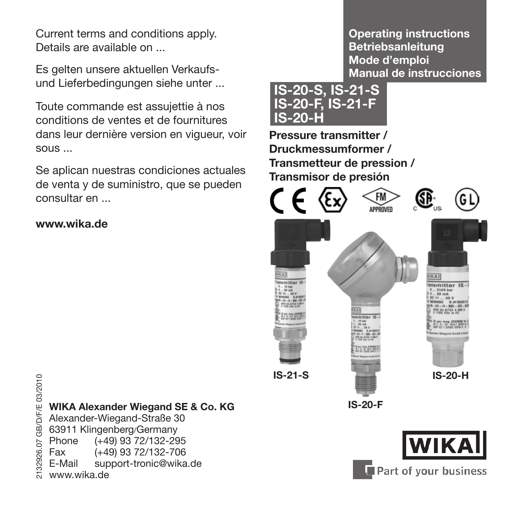Current terms and conditions apply. Details are available on ...

Es gelten unsere aktuellen Verkaufsund Lieferbedingungen siehe unter ...

Toute commande est assujettie à nos conditions de ventes et de fournitures dans leur dernière version en vigueur, voir sous ...

Se aplican nuestras condiciones actuales de venta y de suministro, que se pueden consultar en ...

#### **www.wika.de**

<del>2</del><br>2029<br>2020<br>2020 Alexander-Wiegand-Straße 30<br>30 63911 Klingenberg/Germany<br>2020 Fax (+49) 93 72/132-295<br>20 Fax (+49) 93 72/132-706<br>20 Fax (+49) 93 72/132-706<br>20 E-Mail support-tronic@wika.de<br>20 www.wika.de Alexander-Wiegand-Straße 30 63911 Klingenberg/Germany Phone (+49) 93 72/132-295 Fax (+49) 93 72/132-706 support-tronic@wika.de www.wika.de

**Operating instructions Betriebsanleitung Mode d'emploi Manual de instrucciones**



**Pressure transmitter / Druckmessumformer / Transmetteur de pression / Transmisor de presión** 



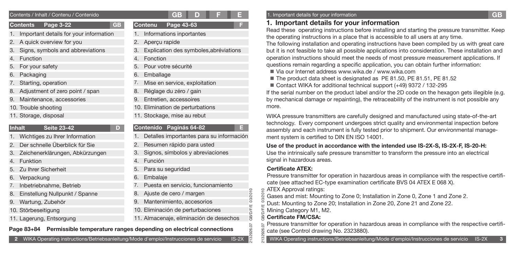### **Contents Page 3-22 GB**

- 1. Important details for your information
- 2. A quick overview for you
- 3. Signs, symbols and abbreviations
- 4. Function
- 5. For your safety
- Packaging
- Starting, operation
- 8. Adjustment of zero point / span
- Maintenance, accessories
- 10. Trouble shooting
- 11. Storage, disposal

### **Inhalt** Seite 23-42

- 1. Wichtiges zu Ihrer Information
- 2. Der schnelle Überblick für Sie
- 3. Zeichenerklärungen, Abkürzungen
- 4. Funktion
- 5. Zu Ihrer Sicherheit
- 6. Verpackung
- 7. Inbetriebnahme, Betrieb
- Einstellung Nullpunkt / Spanne
- 9. Wartung, Zubehör
- 10. Störbeseitigung
- 11. Lagerung, Entsorgung

|--|--|--|--|--|--|

- 1. Informations inportantes
- 2. Aperçu rapide
- 3. Explication des symboles,abréviations

**Contenu Page 43-63 F**

- 4. Fonction
- 5. Pour votre sécurité
- 6. Emballage
- Mise en service, exploitation
- 8. Réglage du zéro / gain
- 9. Entretien, accessoires
- 10. Elimination de perturbations
- 11. Stockage, mise au rebut

### **Contenido Paginás 64-82 E**

- Detalles importantes para su información
- 2. Resumen rápido para usted
- 3. Signos, símbolos y abreviaciones
- 4. Función
- 5. Para su seguridad
- 6. Embalaje
- 7. Puesta en servicio, funcionamiento
- 8. Ajuste de cero / margen
- 9. Mantenimiento, accesorios
- 10. Eliminación de perturbaciones
- 11. Almacenaje, eliminación de desechos

# e Cate Control drawing No. 2323880).<br>Page 83+84 Permissible temperature ranges depending on electrical connections<br>
S cate (see Control drawing No. 2323880).

### Contents / Inhalt / Contenu / Contenido **F E** 1. Important details for your information **GB**

### **1. Important details for your information**

Read these operating instructions before installing and starting the pressure transmitter. Keep the operating instructions in a place that is accessible to all users at any time.

The following installation and operating instructions have been compiled by us with great care but it is not feasible to take all possible applications into consideration. These installation and operation instructions should meet the needs of most pressure measurement applications. If questions remain regarding a specific application, you can obtain further information:

- Via our Internet address www.wika.de / www.wika.com
- The product data sheet is designated as PE 81.50, PE 81.51, PE 81.52
- Contact WIKA for additional technical support (+49) 9372 / 132-295

If the serial number on the product label and/or the 2D code on the hexagon gets illegible (e.g. by mechanical damage or repainting), the retraceability of the instrument is not possible any more.

WIKA pressure transmitters are carefully designed and manufactured using state-of-the-art technology. Every component undergoes strict quality and environmental inspection before assembly and each instrument is fully tested prior to shipment. Our environmental management system is certified to DIN EN ISO 14001.

### **Use of the product in accordance with the intended use IS-2X-S, IS-2X-F, IS-20-H:**

Use the intrinsically safe pressure transmitter to transform the pressure into an electrical signal in hazardous areas.

### **Certificate ATEX:**

Pressure transmitter for operation in hazardous areas in compliance with the respective certificate (see attached EC-type examination certificate BVS 04 ATEX E 068 X).

ATEX Approval ratings:  $\circ$ 

Gases and mist: Mounting to Zone 0; Installation in Zone 0, Zone 1 and Zone 2.

Dust: Mounting to Zone 20; Installation in Zone 20, Zone 21 and Zone 22.

Mining Category M1, M2.

### **Certificate FM/CSA:**

2132926.07 GB/D/F/E 03/2010

>Æ GB) Ψij

03/2010

2132926.07 GB/D/F/E 03/2010 Pressure transmitter for operation in hazardous areas in compliance with the respective certifi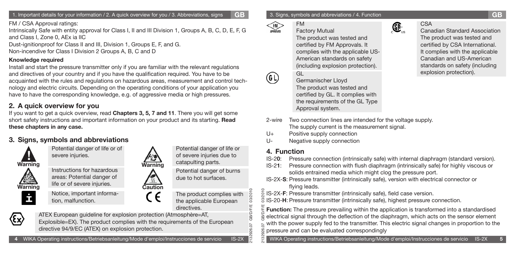1. Important details for your information / 2. A quick overview for you / 3. Abbreviations, signs **GB**

FM / CSA Approval ratings:

Intrinsically Safe with entity approval for Class I, II and III Division 1, Groups A, B, C, D, E, F, G and Class I, Zone 0, AEx ia IIC

Dust-ignitionproof for Class II and III, Division 1, Groups E, F, and G. Non-incendive for Class I Division 2 Groups A, B, C and D

### **Knowledge required**

Install and start the pressure transmitter only if you are familiar with the relevant regulations and directives of your country and if you have the qualification required. You have to be acquainted with the rules and regulations on hazardous areas, measurement and control technology and electric circuits. Depending on the operating conditions of your application you have to have the corresponding knowledge, e.g. of aggressive media or high pressures.

### **2. A quick overview for you**

If you want to get a quick overview, read **Chapters 3, 5, 7 and 11**. There you will get some short safety instructions and important information on your product and its starting. **Read these chapters in any case.** 

### **3. Signs, symbols and abbreviations**

severe injuries.



**Warning Warning**



Instructions for hazardous areas: Potential danger of

Potential danger of life or of

İ tion, malfunction.

life or of severe injuries.

Notice, important informa-

Potential danger of life or of severe injuries due to catapulting parts.

Potential danger of burns due to hot surfaces.

The product complies with the applicable European directives.

2132926.07 GB/D/F/E 03/2010

26.0

**GB/D/F/E** 

š

ATEX European guideline for explosion protection (Atmosphère=AT, Explosible=EX). The product complies with the requirements of the European directive 94/9/EC (ATEX) on explosion protection.

**Caution**

CE

**4** WIKA Operating instructions/Betriebsanleitung/Mode d'emploi/Instrucciones de servicio IS-2X

3. Signs, symbols and abbreviations / 4. Function **GB**

#### FM FM<sub>></sub>

Factory Mutual The product was tested and certified by FM Approvals. It complies with the applicable US-American standards on safety (including explosion protection).



Germanischer Lloyd The product was tested and certified by GL. It complies with the requirements of the GL Type Approval system.



### CSA

Canadian Standard Association The product was tested and certified by CSA International. It complies with the applicable Canadian and US-American standards on safety (including GI explosion protection).

- 2-wire Two connection lines are intended for the voltage supply. The supply current is the measurement signal.
- U+ Positive supply connection
- U- Negative supply connection

### **4. Function**

- IS-2**0**: Pressure connection (intrinsically safe) with internal diaphragm (standard version).
- IS-2**1**: Pressure connection with flush diaphragm (intrinsically safe) for highly viscous or solids entrained media which might clog the pressure port.
- IS-2X-**S**: Pressure transmitter (intrinsically safe), version with electrical connector or flying leads.

IS-2X-**F**: Pressure transmitter (intrinsically safe), field case version.

IS-20-**H**: Pressure transmitter (intrinsically safe), highest pressure connection.

2132926.07 GB/D/F/E 03/2010 **Function:** The pressure prevailing within the application is transformed into a standardised electrical signal through the deflection of the diaphragm, which acts on the sensor element with the power supply fed to the transmitter. This electric signal changes in proportion to the pressure and can be evaluated correspondingly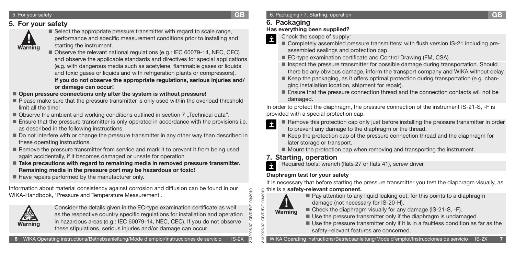### 5. For your safety

### **5. For your safety**



- Select the appropriate pressure transmitter with regard to scale range, performance and specific measurement conditions prior to installing and starting the instrument.
- Observe the relevant national regulations (e.g.: IEC 60079-14, NEC, CEC) and observe the applicable standards and directives for special applications (e.g. with dangerous media such as acetylene, flammable gases or liquids and toxic gases or liquids and with refrigeration plants or compressors). **If you do not observe the appropriate regulations, serious injuries and/ or damage can occur!**
- Open pressure connections only after the system is without pressure!
- **Please make sure that the pressure transmitter is only used within the overload threshold** limit all the time!
- Observe the ambient and working conditions outlined in section 7 "Technical data".
- **Ensure that the pressure transmitter is only operated in accordance with the provisions i.e.** as described in the following instructions.
- Do not interfere with or change the pressure transmitter in any other way than described in these operating instructions.
- Remove the pressure transmitter from service and mark it to prevent it from being used again accidentally, if it becomes damaged or unsafe for operation
- Take precautions with regard to remaining media in removed pressure transmitter. **Remaining media in the pressure port may be hazardous or toxic!**
- $\blacksquare$  Have repairs performed by the manufacturer only.

Information about material consistency against corrosion and diffusion can be found in our WIKA-Handbook, 'Pressure and Temperature Measurement'.



Consider the details given in the EC-type examination certificate as well as the respective country specific regulations for installation and operation in hazardous areas (e.g.: IEC 60079-14, NEC, CEC). If you do not observe these stipulations, serious injuries and/or damage can occur.

### **6. Packaging**

### **Has everything been supplied?**

Check the scope of supply: İ

- Completely assembled pressure transmitters; with flush version IS-21 including preassembled sealings and protection cap.
- EC-type examination certificate and Control Drawing (FM, CSA)
- **Inspect the pressure transmitter for possible damage during transportation. Should** there be any obvious damage, inform the transport company and WIKA without delay.
- $\blacksquare$  Keep the packaging, as it offers optimal protection during transportation (e.g. changing installation location, shipment for repair).
- Ensure that the pressure connection thread and the connection contacts will not be damaged.

In order to protect the diaphragm, the pressure connection of the instrument IS-21-S, -F is provided with a special protection cap.

- Remove this protection cap only just before installing the pressure transmitter in order
- to prevent any damage to the diaphragm or the thread.
- Keep the protection cap of the pressure connection thread and the diaphragm for later storage or transport.
- $\blacksquare$  Mount the protection cap when removing and transporting the instrument.

### **7. Starting, operation**

Required tools: wrench (flats 27 or flats 41), screw driver İ

### **Diaphragm test for your safety**

It is necessary that before starting the pressure transmitter you test the diaphragm visually, as

2132926.07 GB/D/F/E 03/2010 this is a **safety-relevant component.**



2132926.07 GB/D/F/E 03/2010

**GB/D/F/E** 

26.

03/2010

**GB**

- Pay attention to any liquid leaking out, for this points to a diaphragm damage (not necessary for IS-20-H).
- Check the diaphragm visually for any damage (IS-21-S, -F).
- Use the pressure transmitter only if the diaphragm is undamaged.
- Use the pressure transmitter only if it is in a faultless condition as far as the safety-relevant features are concerned.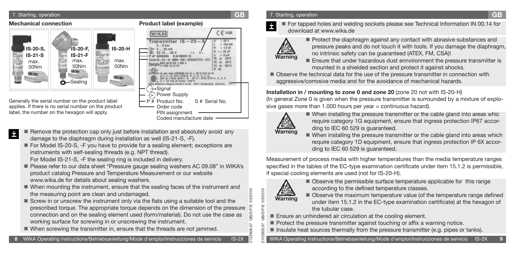### 7. Starting, operation **GB**



- Remove the protection cap only just before installation and absolutely avoid any İ damage to the diaphragm during installation as well (IS-21-S, -F).
	- For Model IS-20-S, -F you have to provide for a sealing element; exceptions are instruments with self-sealing threads (e.g. NPT thread). For Model IS-21-S, -F the sealing ring is included in delivery.
	- Please refer to our data sheet "Pressure gauge sealing washers AC 09.08" in WIKA's product catalog Pressure and Temperature Measurement or our website www.wika.de for details about sealing washers.
	- When mounting the instrument, ensure that the sealing faces of the instrument and the measuring point are clean and undamaged.
	- Screw in or unscrew the instrument only via the flats using a suitable tool and the prescribed torque. The appropriate torque depends on the dimension of the pressure connection and on the sealing element used (form/material). Do not use the case as working surface for screwing in or unscrewing the instrument.
	- When screwing the transmitter in, ensure that the threads are not jammed.

### 7. Starting, operation **GB**

 For tapped holes and welding sockets please see Technical Information IN 00.14 for download at www.wika.de



- Protect the diaphragm against any contact with abrasive substances and pressure peaks and do not touch it with tools. If you damage the diaphragm, no intrinsic safety can be guaranteed (ATEX, FM, CSA)!
- Ensure that under hazardous dust ennvironment the pressure transmitter is mounted in a shielded section and protect it against shocks.
- Observe the technical data for the use of the pressure transmitter in connection with aggressive/corrosive media and for the avoidance of mechanical hazards.

**Installation in / mounting to zone 0 and zone 20** (zone 20 not with IS-20-H)

(In general Zone 0 is given when the pressure transmitter is surrounded by a mixture of explosive gases more than 1.000 hours per year = continuous hazard).



- When installing the pressure transmitter or the cable gland into areas whic require category 1G equipment, ensure that ingress protection IP67 according to IEC 60 529 is guaranteed.
- When installing the pressure transmitter or the cable gland into areas which require category 1D equipment, ensure that ingress protection IP 6X according to IEC 60 529 is guaranteed.

Measurement of process media with higher temperatures than the media temperature ranges specified in the tables of the EC-type examination certificate under item 15.1.2 is permissible, if special cooling elements are used (not for IS-20-H).



2132926.07 GB/D/F/E 03/2010

2132926.07 GB/D/F/E 03/2010

13/2010

■ Observe the permissible surface temperature applicable for this range according to the defined temperature classes.

- Observe the maximum temperature value (of the temperature range defined under item 15.1.2 in the EC-type examination certificate) at the hexagon of the tubular case.
- Ensure an unhindered air circulation at the cooling element.
- Protect the pressure transmitter against touching or affix a warning notice.
- Insulate heat sources thermally from the pressure transmitter (e.g. pipes or tanks).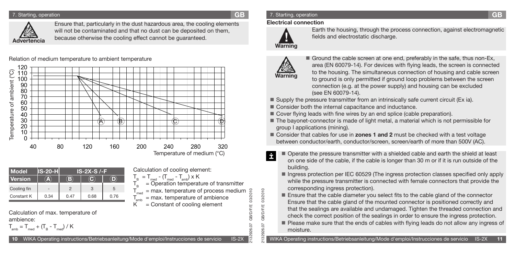### 7. Starting, operation **GB**



Ensure that, particularly in the dust hazardous area, the cooling elements will not be contaminated and that no dust can be deposited on them, because otherwise the cooling effect cannot be guaranteed.

Calculation of cooling element:

 $T_B = T_{med}$  - ( $T_{med}$  -  $T_{amb}$ ) x K<br> $T_R$  = Operation temperature of transmitter  ${\sf T}_{_{\sf B}}$  = Operation temperature of transmitter  ${\sf T}_{_{\sf med}}$  = max. temperature of process medium  $T_{\textrm{\tiny amb }}=$  max. temperature of ambience  $K =$  Constant of cooling element

Relation of medium temperature to ambient temperature



| <b>Model</b>   | <b>S-20-H</b> | $IS-2X-S$ /-F |      |      |  |  |  |
|----------------|---------------|---------------|------|------|--|--|--|
| <b>Version</b> |               |               |      |      |  |  |  |
| Cooling fin    |               |               | 3    | 5    |  |  |  |
| Constant K     | 0.34          | 0.47          | 0.68 | 0.76 |  |  |  |

Calculation of max. temperature of ambience:

$$
T_{amb} = T_{med} + (T_B - T_{med}) / K
$$

### 7. Starting, operation **GB**

### **Electrical connection**



Earth the housing, through the process connection, against electromagnetic fields and electrostatic discharge.



2132926.07 GB/D/F/E 03/2010

2132926.07 GB/D/F/E 03/2010

26.07  $\overline{0}$ 26.

329

**GB/D/F/E GB/D/F/E** 

03/2010

- Ground the cable screen at one end, preferably in the safe, thus non-Ex, area (EN 60079-14). For devices with flying leads, the screen is connected to the housing. The simultaneous connection of housing and cable screen to ground is only permitted if ground loop problems between the screen connection (e.g. at the power supply) and housing can be excluded (see EN 60079-14).
- Supply the pressure transmitter from an intrinsically safe current circuit (Ex ia).
- Consider both the internal capacitance and inductance.
- Cover flying leads with fine wires by an end splice (cable preparation).
- The bayonet-connector is made of light metal, a material which is not permissible for group I applications (mining).
- Consider that cables for use in **zones 1 and 2** must be checked with a test voltage between conductor/earth, conductor/screen, screen/earth of more than 500V (AC).
- Operate the pressure transmitter with a shielded cable and earth the shield at least Ė on one side of the cable, if the cable is longer than 30 m or if it is run outside of the building.
	- Ingress protection per IEC 60529 (The ingress protection classes specified only apply while the pressure transmitter is connected with female connectors that provide the corresponding ingress protection).
	- Ensure that the cable diameter you select fits to the cable gland of the connector Ensure that the cable gland of the mounted connector is positioned correctly and that the sealings are available and undamaged. Tighten the threaded connection and check the correct position of the sealings in order to ensure the ingress protection.
	- Please make sure that the ends of cables with flying leads do not allow any ingress of moisture.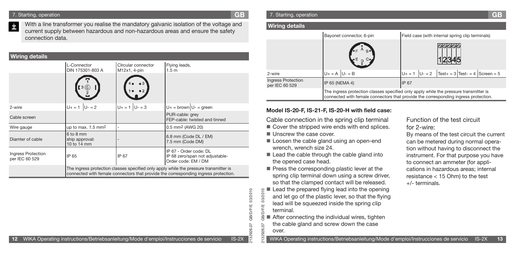#### 7. Starting, operation **GB**

With a line transformer you realise the mandatory galvanic isolation of the voltage and İ current supply between hazardous and non-hazardous areas and ensure the safety connection data.

| <b>Wiring details</b>                |                                                                                                                                                                              |                                    |                                                                                  |  |  |  |
|--------------------------------------|------------------------------------------------------------------------------------------------------------------------------------------------------------------------------|------------------------------------|----------------------------------------------------------------------------------|--|--|--|
|                                      | L-Connector<br>DIN 175301-803 A                                                                                                                                              | Circular connector<br>M12x1, 4-pin | Flying leads,<br>1.5 <sub>m</sub>                                                |  |  |  |
|                                      | 3(6)                                                                                                                                                                         |                                    |                                                                                  |  |  |  |
| 2-wire                               | $U_+ = 1$ $ U_- = 2$                                                                                                                                                         | $U_+ = 1$ $ U_- = 3$               | $U_+$ = brown $U_-$ = green                                                      |  |  |  |
| Cable screen                         |                                                                                                                                                                              |                                    | PUR-cable: grey<br>FEP-cable: twisted and tinned                                 |  |  |  |
| Wire gauge                           | up to max. 1.5 mm <sup>2</sup>                                                                                                                                               | ۰                                  | 0.5 mm <sup>2</sup> (AWG 20)                                                     |  |  |  |
| Diamter of cable                     | $6$ to $8$ mm<br>ship approval:<br>10 to 14 mm                                                                                                                               |                                    | 6.8 mm (Code DL / EM)<br>7.5 mm (Code DM)                                        |  |  |  |
| Ingress Protection<br>per IEC 60 529 | IP 65                                                                                                                                                                        | IP 67                              | IP 67 - Order code: DL<br>IP 68 zero/span not adjustable-<br>Order code: EM / DM |  |  |  |
|                                      | The ingress protection classes specified only apply while the pressure transmitter is<br>connected with female connectors that provide the corresponding ingress protection. |                                    |                                                                                  |  |  |  |

### **Wiring details**

|                                      | Bayonet connector, 6-pin                                                                                                                                                     | Field case (with internal spring clip terminals)        |  |  |  |  |
|--------------------------------------|------------------------------------------------------------------------------------------------------------------------------------------------------------------------------|---------------------------------------------------------|--|--|--|--|
|                                      | $F$ <sup>A</sup> B <sup>o</sup><br>$F$ <sub>E</sub> D C <sub>2</sub>                                                                                                         |                                                         |  |  |  |  |
| 2-wire                               | $U_+ = A \mid U_- = B$                                                                                                                                                       | $ U - 2 $ Test + = 3 Test - = 4 Screen = 5<br>$U + = 1$ |  |  |  |  |
| Ingress Protection<br>per IEC 60 529 | IP 65 (NEMA 4)                                                                                                                                                               | <b>IP 67</b>                                            |  |  |  |  |
|                                      | The ingress protection classes specified only apply while the pressure transmitter is<br>connected with female connectors that provide the corresponding ingress protection. |                                                         |  |  |  |  |

### **Model IS-20-F, IS-21-F, IS-20-H with field case:**

 Cable connection in the spring clip terminal Cover the stripped wire ends with end splices.

Unscrew the case cover.

2132926.07 GB/D/F/E 03/2010

926.07

329 ೫

**GB/D/F/E** 

03/2010

- Loosen the cable gland using an open-end wrench, wrench size 24.
- $\blacksquare$  Lead the cable through the cable gland into the opened case head.
- $\blacksquare$  Press the corresponding plastic lever at the spring clip terminal down using a screw driver, so that the clamped contact will be released.
- $\blacksquare$  Lead the prepared flying lead into the opening 010270 2132926.07 GB/D/F/E 03/2010 and let go of the plastic lever, so that the flying lead will be squeezed inside the spring clip Щ terminal.
- After connecting the individual wires, tighten the cable gland and screw down the case 26.07 over.

### Function of the test circuit for 2-wire:

By means of the test circuit the current can be metered during normal operation without having to disconnect the instrument. For that purpose you have to connect an ammeter (for applications in hazardous areas; internal resistance < 15 Ohm) to the test +/- terminals.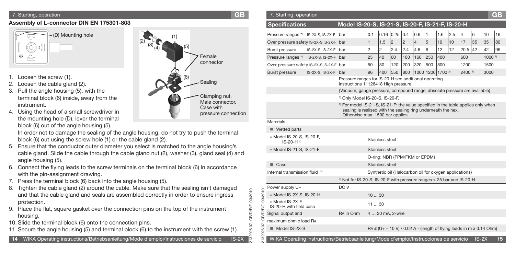### **Assembly of L-connector DIN EN 175301-803**



- 1. Loosen the screw (1).
- Loosen the cable gland (2).
- 3. Pull the angle housing (5), with the terminal block (6) inside, away from the instrument.
- 4. Using the head of a small screwdriver in the mounting hole (D), lever the terminal block (6) out of the angle housing (5).

- 5. Ensure that the conductor outer diameter you select is matched to the angle housing's cable gland. Slide the cable through the cable gland nut (2), washer (3), gland seal (4) and angle housing (5).
- 6. Connect the flying leads to the screw terminals on the terminal block (6) in accordance with the pin-assignment drawing.
- 7. Press the terminal block (6) back into the angle housing (5).
- 8. Tighten the cable gland (2) around the cable. Make sure that the sealing isn't damaged and that the cable gland and seals are assembled correctly in order to ensure ingress protection.
- 9. Place the flat, square gasket over the connection pins on the top of the instrument housing.
- 10. Slide the terminal block (6) onto the connection pins.
- 11. Secure the angle housing (5) and terminal block (6) to the instrument with the screw (1).



| 7. Starting, operation                                                                                                                                                                |  | <b>GB</b>                                   | 7. Starting, operation                                                                |                                   |                                                                                                                                                               |         |                                             |             |     |            |                                                                                   |                    |         |                   | <b>GB</b> |
|---------------------------------------------------------------------------------------------------------------------------------------------------------------------------------------|--|---------------------------------------------|---------------------------------------------------------------------------------------|-----------------------------------|---------------------------------------------------------------------------------------------------------------------------------------------------------------|---------|---------------------------------------------|-------------|-----|------------|-----------------------------------------------------------------------------------|--------------------|---------|-------------------|-----------|
| ssembly of L-connector DIN EN 175301-803                                                                                                                                              |  |                                             | <b>Specifications</b>                                                                 |                                   | Model IS-20-S, IS-21-S, IS-20-F, IS-21-F, IS-20-H                                                                                                             |         |                                             |             |     |            |                                                                                   |                    |         |                   |           |
| (D) Mounting hole<br>لت                                                                                                                                                               |  |                                             | Pressure ranges *) IS-2X-S, IS-2X-F bar                                               |                                   |                                                                                                                                                               |         | $\vert 0.1 \vert 0.16 \vert 0.25 \vert 0.4$ |             | 0.6 | 1          | 1.6<br> 2.5                                                                       |                    | 16      | 10                | 16        |
|                                                                                                                                                                                       |  |                                             | Over pressure safety IS-2X-S, IS-2X-F bar                                             |                                   |                                                                                                                                                               |         | 1.5<br> 2                                   | $ 2\rangle$ |     | $\sqrt{5}$ | 10<br>10                                                                          | 17                 | 35      | 35                | 80        |
| O                                                                                                                                                                                     |  |                                             | <b>Burst pressure</b>                                                                 | $IS-2X-S$ , $IS-2X-F$ $\vert$ bar |                                                                                                                                                               | 2<br>12 | 2.4                                         | 2.4         | 4.8 | <b>6</b>   | 12<br>12                                                                          | 20.5 42            |         | 42                | 96        |
| $\tilde{\mathbb{L}}^2$<br>$^{\circledR}$                                                                                                                                              |  | Female                                      | Pressure ranges *) IS-2X-S, IS-2X-F bar                                               |                                   |                                                                                                                                                               | 25      | 60<br>$ 40\rangle$                          | 100         | 160 | 250        | 400                                                                               | 600                |         | 1000 <sup>1</sup> |           |
|                                                                                                                                                                                       |  | connector                                   | Over pressure safety IS-2X-S, IS-2X-F bar                                             |                                   |                                                                                                                                                               | 50      | 80<br>120                                   | 200         | 320 | 500 800    |                                                                                   | 1200               |         | 1500              |           |
|                                                                                                                                                                                       |  |                                             | <b>Burst pressure</b>                                                                 | $IS-2X-S$ , $IS-2X-F$ $bar$       |                                                                                                                                                               | 96      | 400 550 800 1000 1200 1700 <sup>2)</sup>    |             |     |            |                                                                                   | 2400 <sup>2)</sup> |         | 3000              |           |
| Loosen the screw (1).<br>Loosen the cable gland (2).                                                                                                                                  |  | Sealing                                     |                                                                                       |                                   | Pressure ranges for IS-20-H see additional operating<br>instructions 11126418 High pressure                                                                   |         |                                             |             |     |            |                                                                                   |                    |         |                   |           |
| Pull the angle housing (5), with the                                                                                                                                                  |  |                                             |                                                                                       |                                   | {Vacuum, gauge pressure, compound range, absolute pressure are available}                                                                                     |         |                                             |             |     |            |                                                                                   |                    |         |                   |           |
| terminal block (6) inside, away from the                                                                                                                                              |  | Clamping nut,<br>Male connector,            |                                                                                       |                                   | <sup>1)</sup> Only Model IS-20-S, IS-20-F.                                                                                                                    |         |                                             |             |     |            |                                                                                   |                    |         |                   |           |
| instrument.<br>Using the head of a small screwdriver in                                                                                                                               |  | Case with                                   |                                                                                       |                                   | <sup>2)</sup> For model IS-21-S, IS-21-F: the value specified in the table applies only when<br>sealing is realised with the sealing ring underneath the hex. |         |                                             |             |     |            |                                                                                   |                    |         |                   |           |
| the mounting hole (D), lever the terminal                                                                                                                                             |  | pressure connection                         | Materials                                                                             |                                   | Otherwise max. 1500 bar applies.                                                                                                                              |         |                                             |             |     |            |                                                                                   |                    |         |                   |           |
| block (6) out of the angle housing (5).                                                                                                                                               |  |                                             |                                                                                       |                                   |                                                                                                                                                               |         |                                             |             |     |            |                                                                                   |                    |         |                   |           |
| In order not to damage the sealing of the angle housing, do not try to push the terminal                                                                                              |  |                                             | ■ Wetted parts                                                                        |                                   |                                                                                                                                                               |         |                                             |             |     |            |                                                                                   |                    |         |                   |           |
| block (6) out using the screw hole (1) or the cable gland (2).                                                                                                                        |  |                                             | » Model IS-20-S, IS-20-F,<br>$IS-20-H$ <sup>*</sup>                                   |                                   |                                                                                                                                                               |         | Stainless steel                             |             |     |            |                                                                                   |                    |         |                   |           |
| Ensure that the conductor outer diameter you select is matched to the angle housing's<br>cable gland. Slide the cable through the cable gland nut (2), washer (3), gland seal (4) and |  |                                             | » Model IS-21-S, IS-21-F                                                              |                                   |                                                                                                                                                               |         | Stainless steel                             |             |     |            |                                                                                   |                    |         |                   |           |
| angle housing (5).                                                                                                                                                                    |  |                                             |                                                                                       |                                   |                                                                                                                                                               |         | O-ring: NBR {FPM/FKM or EPDM}               |             |     |            |                                                                                   |                    |         |                   |           |
| Connect the flying leads to the screw terminals on the terminal block (6) in accordance                                                                                               |  |                                             | ■ Case                                                                                |                                   |                                                                                                                                                               |         | Stainless steel                             |             |     |            |                                                                                   |                    |         |                   |           |
| with the pin-assignment drawing.                                                                                                                                                      |  |                                             | Internal transmission fluid <sup>3)</sup>                                             |                                   |                                                                                                                                                               |         |                                             |             |     |            | Synthetic oil {Halocarbon oil for oxygen applications}                            |                    |         |                   |           |
| Press the terminal block (6) back into the angle housing (5).                                                                                                                         |  |                                             |                                                                                       |                                   | <sup>3)</sup> Not for IS-20-S, IS-20-F with pressure ranges > 25 bar and IS-20-H.                                                                             |         |                                             |             |     |            |                                                                                   |                    |         |                   |           |
| Tighten the cable gland (2) around the cable. Make sure that the sealing isn't damaged                                                                                                |  |                                             | Power supply U+                                                                       |                                   | DC V                                                                                                                                                          |         |                                             |             |     |            |                                                                                   |                    |         |                   |           |
| and that the cable gland and seals are assembled correctly in order to ensure ingress                                                                                                 |  | 03/2010                                     | /2010<br>» Model IS-2X-S, IS-20-H                                                     |                                   |                                                                                                                                                               | 1030    |                                             |             |     |            |                                                                                   |                    |         |                   |           |
| protection.<br>Place the flat, square gasket over the connection pins on the top of the instrument                                                                                    |  | » Model IS-2X-F.<br>IS-20-H with field case |                                                                                       |                                   | 11  30                                                                                                                                                        |         |                                             |             |     |            |                                                                                   |                    |         |                   |           |
| housing.                                                                                                                                                                              |  |                                             | Signal output and                                                                     |                                   | RA in Ohm                                                                                                                                                     |         | $ 420$ mA, 2-wire                           |             |     |            |                                                                                   |                    |         |                   |           |
| 0. Slide the terminal block (6) onto the connection pins.                                                                                                                             |  |                                             | maximum ohmic load RA                                                                 |                                   |                                                                                                                                                               |         |                                             |             |     |            |                                                                                   |                    |         |                   |           |
| 1. Secure the angle housing (5) and terminal block (6) to the instrument with the screw (1).                                                                                          |  |                                             | $Model$ IS-2X-S                                                                       |                                   |                                                                                                                                                               |         |                                             |             |     |            | $\vert$ RA $\leq$ (U+ – 10 V) / 0.02 A - (length of flying leads in m x 0.14 Ohm) |                    |         |                   |           |
| 14 WIKA Operating instructions/Betriebsanleitung/Mode d'emploi/Instrucciones de servicio                                                                                              |  | $IS-2X$                                     | WIKA Operating instructions/Betriebsanleitung/Mode d'emploi/Instrucciones de servicio |                                   |                                                                                                                                                               |         |                                             |             |     |            |                                                                                   |                    | $IS-2X$ |                   | 15        |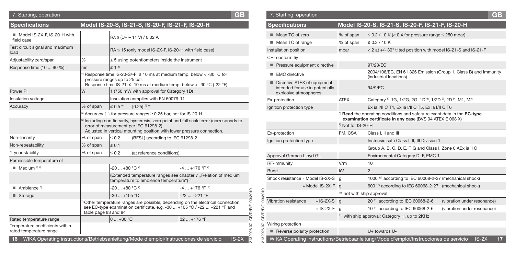| 7. Starting, operation                                     |                                                                                                                                                                           |                                                                                                                          | <b>GB</b>                                                                                          |                                    | 7. Starting, operation                                                                  |                                      |                                                                                                                                                              | GB      |
|------------------------------------------------------------|---------------------------------------------------------------------------------------------------------------------------------------------------------------------------|--------------------------------------------------------------------------------------------------------------------------|----------------------------------------------------------------------------------------------------|------------------------------------|-----------------------------------------------------------------------------------------|--------------------------------------|--------------------------------------------------------------------------------------------------------------------------------------------------------------|---------|
| <b>Specifications</b>                                      |                                                                                                                                                                           | Model IS-20-S, IS-21-S, IS-20-F, IS-21-F, IS-20-H                                                                        |                                                                                                    |                                    | <b>Specifications</b>                                                                   |                                      | Model IS-20-S, IS-21-S, IS-20-F, IS-21-F, IS-20-H                                                                                                            |         |
| Model IS-2X-F, IS-20-H with<br>field case                  |                                                                                                                                                                           | $RA \leq (U + -11 V)/0.02 A$                                                                                             |                                                                                                    |                                    | $\blacksquare$ Mean TC of zero<br>Mean TC of range                                      | % of span<br>% of span               | $\leq$ 0.2 / 10 K (< 0.4 for pressure range $\leq$ 250 mbar)<br>$\leq$ 0.2 / 10 K                                                                            |         |
| Test circuit signal and maximum<br>load                    |                                                                                                                                                                           | $RA \leq 15$ (only model IS-2X-F, IS-20-H with field case)                                                               |                                                                                                    |                                    | Installation position                                                                   | mbar                                 | < 2 at +/- 30° tilted position with model IS-21-S and IS-21-F                                                                                                |         |
| Adjustability zero/span                                    | %                                                                                                                                                                         | $\pm$ 5 using potentiometers inside the instrument                                                                       |                                                                                                    |                                    | CE-conformitiv                                                                          |                                      |                                                                                                                                                              |         |
| Response time (10  90 %)                                   | ms                                                                                                                                                                        | $\leq 1$ 4                                                                                                               |                                                                                                    |                                    | Pressure equipment directive                                                            |                                      | 97/23/EC                                                                                                                                                     |         |
|                                                            |                                                                                                                                                                           | Besponse time IS-20-S/-F: $\leq$ 10 ms at medium temp. below $<$ -30 °C for<br>pressure ranges up to 25 bar.             |                                                                                                    |                                    | ■ EMC directive                                                                         |                                      | 2004/108/EC, EN 61 326 Emission (Group 1, Class B) and Immunity<br>(industrial locations)                                                                    |         |
| Power Pi                                                   | W                                                                                                                                                                         | Response time IS-21: $\leq$ 10 ms at medium temp. below $<$ -30 °C (-22 °F).<br>1 (750 mW with approval for Category 1D) |                                                                                                    |                                    | Directive ATEX of equipment<br>intended for use in potentially<br>explosive atmospheres |                                      | 94/9/EC                                                                                                                                                      |         |
| Insulation voltage                                         |                                                                                                                                                                           | Insulation complies with EN 60079-11                                                                                     |                                                                                                    |                                    | Ex-protection                                                                           | <b>ATEX</b>                          | Category <sup>8</sup> 1G, 1/2G, 2G, 1D <sup>9</sup> , 1/2D <sup>9</sup> , 2D <sup>9</sup> , M1, M2                                                           |         |
| Accuracy                                                   | % of span                                                                                                                                                                 | $\leq 0.5^{6}$<br>${0.25}^{5.5}$                                                                                         |                                                                                                    |                                    | Ignition protection type                                                                |                                      | Ex ia I/II C T4, Ex ia I/II C T5, Ex ia I/II C T6                                                                                                            |         |
|                                                            |                                                                                                                                                                           | <sup>5)</sup> Accuracy { } for pressure ranges $\geq$ 0.25 bar, not for IS-20-H                                          |                                                                                                    |                                    |                                                                                         |                                      | Read the operating conditions and safety-relevant data in the EC-type                                                                                        |         |
|                                                            |                                                                                                                                                                           | error of measurement per IEC 61298-2).                                                                                   | <sup>6)</sup> Including non-linearity, hysteresis, zero point and full scale error (corresponds to |                                    |                                                                                         | <sup>9)</sup> Not for IS-20-H        | examination certificate in any case (BVS 04 ATEX E 068 X)                                                                                                    |         |
|                                                            |                                                                                                                                                                           | Adjusted in vertical mounting position with lower pressure connection.                                                   |                                                                                                    |                                    | Ex-protection                                                                           | FM, CSA                              | Class I. II and III                                                                                                                                          |         |
| Non-linearity                                              | % of span                                                                                                                                                                 | $\leq 0.2$<br>(BFSL) according to IEC 61298-2                                                                            |                                                                                                    |                                    | Ignition protection type                                                                |                                      | Instrinsic safe Class I, II, III Division 1,                                                                                                                 |         |
| Non-repeatability                                          | % of span                                                                                                                                                                 | $\leq 0.1$                                                                                                               |                                                                                                    |                                    |                                                                                         |                                      | Group A, B, C, D, E, F, G and Class I, Zone 0 AEx ia II C                                                                                                    |         |
| 1-year stability                                           | % of span                                                                                                                                                                 | $\leq 0.2$<br>(at reference conditions)                                                                                  |                                                                                                    |                                    | Approval German Lloyd GL                                                                |                                      | Environmental Category D, F, EMC 1                                                                                                                           |         |
| Permissible temperature of                                 |                                                                                                                                                                           |                                                                                                                          |                                                                                                    |                                    | RF-immunity                                                                             | V/m                                  | 10                                                                                                                                                           |         |
| $\blacksquare$ Medium $\binom{8}{1}$                       |                                                                                                                                                                           | $-20$ $+80$ °C $^7$                                                                                                      | $-4+176$ °F <sup>7</sup>                                                                           |                                    | <b>Burst</b>                                                                            | kV                                   |                                                                                                                                                              |         |
|                                                            |                                                                                                                                                                           | temperature to ambience temperature") $\frac{1}{2}$                                                                      | (Extended temperature ranges see chapter 7 "Relation of medium                                     |                                    | Shock resistance » Model IS-2X-S                                                        |                                      | 1000 <sup>10</sup> according to IEC 60068-2-27 (mechanical shock)                                                                                            |         |
| $\blacksquare$ Ambience $\delta$                           |                                                                                                                                                                           | $-20$ $+80$ °C $^7$                                                                                                      | $-4$ +176 °F $^7$                                                                                  |                                    | » Model IS-2X-F                                                                         |                                      | 600 <sup>10)</sup> according to IEC 60068-2-27 (mechanical shock)                                                                                            |         |
| ■ Storage                                                  |                                                                                                                                                                           | $-30+105$ °C                                                                                                             | $-22$ $+221$ °F                                                                                    | 03/2010<br>/2010                   |                                                                                         | <sup>10</sup> not with ship approval |                                                                                                                                                              |         |
|                                                            | Other temperature ranges are possible, depending on the electrical connection;<br>see EC-type examination certificate, e.g. -30 $\dots$ +105 °C / -22 $\dots$ +221 °F and |                                                                                                                          |                                                                                                    | සූ                                 | Vibration resistance<br>» IS-2X-S<br>» IS-2X-F                                          |                                      | $20$ <sup>11)</sup> according to IEC 60068-2-6<br>(vibration under resonance)<br>10 <sup>11)</sup> according to IEC 60068-2-6<br>(vibration under resonance) |         |
|                                                            | table page 83 and 84                                                                                                                                                      |                                                                                                                          |                                                                                                    | <b>GB/D/F/E</b><br><b>GB/D/F/E</b> |                                                                                         |                                      | <sup>11)</sup> with ship approval: Category H, up to 2KHz                                                                                                    |         |
| Rated temperature range                                    |                                                                                                                                                                           | $ 0+80$ °C                                                                                                               | 32  +176 °F                                                                                        | 5                                  | Wiring protection                                                                       |                                      |                                                                                                                                                              |         |
| Temperature coefficients within<br>rated temperature range |                                                                                                                                                                           |                                                                                                                          |                                                                                                    | 926.07                             | Reverse polarity protection                                                             |                                      | U+ towards U-                                                                                                                                                |         |
|                                                            |                                                                                                                                                                           | 16 WIKA Operating instructions/Betriebsanleitung/Mode d'emploi/Instrucciones de servicio                                 | $IS-2X$                                                                                            |                                    |                                                                                         |                                      | WIKA Operating instructions/Betriebsanleitung/Mode d'emploi/Instrucciones de servicio                                                                        | $IS-2X$ |

| <b>Specifications</b>                                                                   |                                       | Model IS-20-S, IS-21-S, IS-20-F, IS-21-F, IS-20-H                                                                                                |  |
|-----------------------------------------------------------------------------------------|---------------------------------------|--------------------------------------------------------------------------------------------------------------------------------------------------|--|
| Mean TC of zero                                                                         | % of span                             | $\leq$ 0.2 / 10 K (< 0.4 for pressure range $\leq$ 250 mbar)                                                                                     |  |
| Mean TC of range                                                                        | % of span                             | $\leq$ 0.2 / 10 K                                                                                                                                |  |
| Installation position                                                                   | mbar                                  | < 2 at +/- 30° tilted position with model IS-21-S and IS-21-F                                                                                    |  |
| CE-conformitiv                                                                          |                                       |                                                                                                                                                  |  |
| Pressure equipment directive                                                            |                                       | 97/23/EC                                                                                                                                         |  |
| <b>EMC</b> directive<br>٠                                                               |                                       | 2004/108/EC, EN 61 326 Emission (Group 1, Class B) and Immunity<br>(industrial locations)                                                        |  |
| Directive ATEX of equipment<br>intended for use in potentially<br>explosive atmospheres |                                       | 94/9/EC                                                                                                                                          |  |
| Ex-protection                                                                           | <b>ATEX</b>                           | Category <sup>8)</sup> 1G, 1/2G, 2G, 1D <sup>9</sup> , 1/2D <sup>9</sup> , 2D <sup>9</sup> , M1, M2                                              |  |
| Ignition protection type                                                                |                                       | Ex ia I/II C T4, Ex ia I/II C T5, Ex ia I/II C T6                                                                                                |  |
|                                                                                         |                                       | <sup>8)</sup> Read the operating conditions and safety-relevant data in the EC-type<br>examination certificate in any case (BVS 04 ATEX E 068 X) |  |
|                                                                                         | <sup>9)</sup> Not for IS-20-H         |                                                                                                                                                  |  |
| Ex-protection                                                                           | FM, CSA                               | Class I, II and III                                                                                                                              |  |
| Ignition protection type                                                                |                                       | Instrinsic safe Class I, II, III Division 1,                                                                                                     |  |
|                                                                                         |                                       | Group A, B, C, D, E, F, G and Class I, Zone 0 AEx ia II C                                                                                        |  |
| Approval German Lloyd GL                                                                |                                       | Environmental Category D, F, EMC 1                                                                                                               |  |
| RF-immunity                                                                             | V/m                                   | 10                                                                                                                                               |  |
| <b>Burst</b>                                                                            | kV                                    | $\overline{2}$                                                                                                                                   |  |
| Shock resistance » Model IS-2X-S                                                        | q                                     | 1000 <sup>10</sup> according to IEC 60068-2-27 (mechanical shock)                                                                                |  |
| » Model IS-2X-F                                                                         | $\mathbf{q}$                          | 600 <sup>10)</sup> according to IEC 60068-2-27 (mechanical shock)                                                                                |  |
|                                                                                         | <sup>10)</sup> not with ship approval |                                                                                                                                                  |  |
| Vibration resistance<br>» $IS-2X-S$                                                     | $\mathbf{q}$                          | 20 <sup>11)</sup> according to IEC 60068-2-6<br>(vibration under resonance)                                                                      |  |
| $\cdot$ IS-2X-F                                                                         | g                                     | 10 <sup>11)</sup> according to IEC 60068-2-6<br>(vibration under resonance)                                                                      |  |
|                                                                                         |                                       | <sup>11)</sup> with ship approval: Category H, up to 2KHz                                                                                        |  |
| Wiring protection                                                                       |                                       |                                                                                                                                                  |  |
| Reverse polarity protection                                                             |                                       | U+ towards U-                                                                                                                                    |  |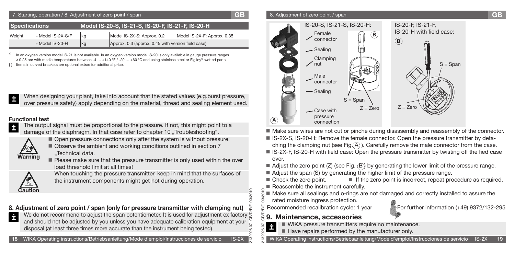| 7. Starting, operation / 8. Adjustment of zero point / span                |                   |    |                                                    |                             |  |  |
|----------------------------------------------------------------------------|-------------------|----|----------------------------------------------------|-----------------------------|--|--|
| Model IS-20-S, IS-21-S, IS-20-F, IS-21-F, IS-20-H<br><b>Specifications</b> |                   |    |                                                    |                             |  |  |
| Weight                                                                     | » Model IS-2X-S/F | kg | Model IS-2X-S: Approx. 0.2                         | Model IS-2X-F: Approx. 0.35 |  |  |
|                                                                            | » Model IS-20-H   | kg | Approx. 0.3 (approx. 0.45 with version field case) |                             |  |  |

\*) In an oxygen version model IS-21 is not available. In an oxygen version model IS-20 is only available in gauge pressure ranges ≥ 0.25 bar with media temperatures between -4 … +140 °F / -20 … +60 °C and using stainless steel or Elgiloy® wetted parts. Items in curved brackets are optional extras for additional price.



### **Functional test**



- The output signal must be proportional to the pressure. If not, this might point to a damage of the diaphragm. In that case refer to chapter 10 "Troubleshooting".
	-



- Open pressure connections only after the system is without pressure!  $\blacksquare$  Observe the ambient and working conditions outlined in section 7
	- ..Technical data.
- **Please make sure that the pressure transmitter is only used within the over** load threshold limit at all times!



When touching the pressure transmitter, keep in mind that the surfaces of the instrument components might get hot during operation.

### **8. Adjustment of zero point / span (only for pressure transmitter with clamping nut)**

We do not recommend to adjust the span potentiometer. It is used for adjustment ex factory  $\frac{1}{b}$ İ and should not be adjusted by you unless you have adequate calibration equipment at your disposal (at least three times more accurate than the instrument being tested).

### 8. Adjustment of zero point / span **GB**



- $\blacksquare$  Make sure wires are not cut or pinche during disassembly and reassembly of the connector.
- IS-2X-S, IS-20-H: Remove the female connector. Open the pressure transmitter by detaching the clamping nut (see Fig. $(A)$ ). Carefully remove the male connector from the case.
- IS-2X-F, IS-20-H with field case: Open the pressure transmitter by twisting off the fied case over.
- $\blacksquare$  Adjust the zero point (Z) (see Fig.  $\textcircled{B}$ ) by generating the lower limit of the pressure range.
- Adjust the span (S) by generating the higher limit of the pressure range.
- Check the zero point. If the zero point is incorrect, repeat procedure as required. Reassemble the instrument carefully.
- Make sure all sealings and o-rings are not damaged and correctly installed to assure the rated moisture ingress protection.

2132926.07 GB/D/F/E 03/2010



### **9. Maintenance, accessories**

2132926.07 GB/D/F/E 03/2010

 $\breve{\alpha}$  $\frac{1}{2}$  $\overline{3}$ 

δp

- WIKA pressure transmitters require no maintenance. İ
- Have repairs performed by the manufacturer only.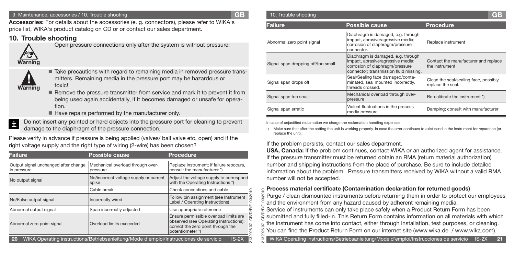#### 9. Maintenance, accessories / 10. Trouble shooting **GB**

**Accessories:** For details about the accessories (e. g. connectors), please refer to WIKA's price list, WIKA's product catalog on CD or or contact our sales department.

### **10. Trouble shooting**



Open pressure connections only after the system is without pressure!



■ Take precautions with regard to remaining media in removed pressure transmitters. Remaining media in the pressure port may be hazardous or toxic!

- Remove the pressure transmitter from service and mark it to prevent it from being used again accidentally, if it becomes damaged or unsafe for operation.
- $\blacksquare$  Have repairs performed by the manufacturer only.
- Do not insert any pointed or hard objects into the pressure port for cleaning to prevent İ damage to the diaphragm of the pressure connection.

Please verify in advance if pressure is being applied (valves/ ball valve etc. open) and if the right voltage supply and the right type of wiring (2-wire) has been chosen? If the problem persists, contact our sales department.

| <b>Failure</b>                                                                                                                     | <b>Possible cause</b>                                                                                                                                                  | <b>Procedure</b>                                                                        |  |  |  |  |  |
|------------------------------------------------------------------------------------------------------------------------------------|------------------------------------------------------------------------------------------------------------------------------------------------------------------------|-----------------------------------------------------------------------------------------|--|--|--|--|--|
| Output signal unchanged after change<br>in pressure                                                                                | Mechanical overload through over-<br>pressure                                                                                                                          | Replace instrument; if failure reoccurs,<br>consult the manufacturer *)                 |  |  |  |  |  |
| No output signal                                                                                                                   | No/incorrect voltage supply or current<br>spike                                                                                                                        | Adjust the voltage supply to correspond<br>with the Operating Instructions *)           |  |  |  |  |  |
|                                                                                                                                    | Cable break                                                                                                                                                            | Check connections and cable                                                             |  |  |  |  |  |
| No/False output signal                                                                                                             | Incorrectly wired                                                                                                                                                      | 3/2010<br>Follow pin assignment (see Instrument<br>Label / Operating Instructions)<br>Ö |  |  |  |  |  |
| Abnormal output signal                                                                                                             | Span incorrectly adjusted                                                                                                                                              | Use appropriate reference                                                               |  |  |  |  |  |
| Abnormal zero point signal                                                                                                         | Ensure permissible overload limits are<br>observed (see Operating Instructions);<br>Overload limits exceeded<br>correct the zero point through the<br>potentiometer *) |                                                                                         |  |  |  |  |  |
| 926.07<br>6<br>WIKA Operating instructions/Betriebsanleitung/Mode d'emploi/Instrucciones de servicio<br>$ S-2\rangle$<br><b>20</b> |                                                                                                                                                                        |                                                                                         |  |  |  |  |  |

| 10. Trouble shooting               |                                                                                                                                                      | GB                                                         |
|------------------------------------|------------------------------------------------------------------------------------------------------------------------------------------------------|------------------------------------------------------------|
| Failure                            | <b>Possible cause</b>                                                                                                                                | <b>Procedure</b>                                           |
| Abnormal zero point signal         | Diaphragm is damaged, e.g. through<br>impact, abrasive/agressive media;<br>corrosion of diaphragm/pressure<br>connector.                             | Replace instrument                                         |
| Signal span dropping off/too small | Diaphragm is damaged, e.g. through<br>impact, abrasive/agressive media;<br>corrosion of diaphragm/pressure<br>connector; transmission fluid missing. | Contact the manufacturer and replace<br>the instrument     |
| Signal span drops off              | Seal/Sealing face damaged/conta-<br>minated, seal mounted incorrectly,<br>threads crossed.                                                           | Clean the seal/sealing face, possibly<br>replace the seal. |
| Signal span too small              | Mechanical overload through over-<br>pressure                                                                                                        | Re-calibrate the instrument *)                             |
| Signal span erratic                | Violent fluctuations in the process<br>media pressure                                                                                                | Damping; consult with manufacturer                         |

In case of unjustified reclamation we charge the reclamation handling expenses.

\*) Make sure that after the setting the unit is working properly. In case the error continues to exist send in the instrument for reparation (or replace the unit).

**USA, Canada:** If the problem continues, contact WIKA or an authorized agent for assistance. If the pressure transmitter must be returned obtain an RMA (return material authorization) number and shipping instructions from the place of purchase. Be sure to include detailed information about the problem. Pressure transmitters received by WIKA without a valid RMA number will not be accepted.

### **Process material certificate (Contamination declaration for returned goods)**

Purge / clean dismounted instruments before returning them in order to protect our employees and the environment from any hazard caused by adherent remaining media.

2132926.07 GB/D/F/E 03/2010 Service of instruments can only take place safely when a Product Return Form has been submitted and fully filled-in. This Return Form contains information on all materials with which the instrument has come into contact, either through installation, test purposes, or cleaning. You can find the Product Return Form on our internet site (www.wika.de / www.wika.com). 329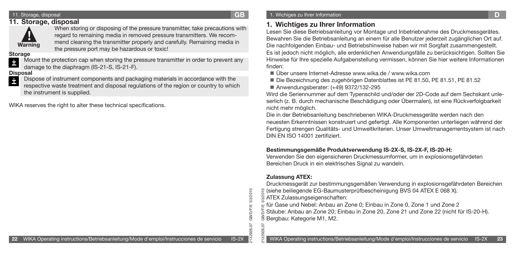### 11. Storage, disposal **GB**

### **11. Storage, disposal**



When storing or disposing of the pressure transmitter, take precautions with regard to remaining media in removed pressure transmitters. We recommend cleaning the transmitter properly and carefully. Remaining media in the pressure port may be hazardous or toxic!

### **Storage**

Mount the protection cap when storing the pressure transmitter in order to prevent any İ damage to the diaphragm (IS-21-S, IS-21-F).

Dispose of instrument components and packaging materials in accordance with the respective waste treatment and disposal regulations of the region or country to which the instrument is supplied. **Disposal**<br>**Pa** Dis

WIKA reserves the right to alter these technical specifications.

### **1. Wichtiges zu Ihrer Information**

Lesen Sie diese Betriebsanleitung vor Montage und Inbetriebnahme des Druckmessgerätes. Bewahren Sie die Betriebsanleitung an einem für alle Benutzer jederzeit zugänglichen Ort auf. Die nachfolgenden Einbau- und Betriebshinweise haben wir mit Sorgfalt zusammengestellt. Es ist jedoch nicht möglich, alle erdenklichen Anwendungsfälle zu berücksichtigen. Sollten Sie Hinweise für Ihre spezielle Aufgabenstellung vermissen, können Sie hier weitere Informationen finden:

- Über unsere Internet-Adresse www.wika.de / www.wika.com
- Die Bezeichnung des zugehörigen Datenblattes ist PE 81.50, PE 81.51, PE 81.52
- Anwendungsberater: (+49) 9372/132-295

Wird die Seriennummer auf dem Typenschild und/oder der 2D-Code auf dem Sechskant unleserlich (z. B. durch mechanische Beschädigung oder Übermalen), ist eine Rückverfolgbarkeit nicht mehr möglich.

Die in der Betriebsanleitung beschriebenen WIKA-Druckmessgeräte werden nach den neuesten Erkenntnissen konstruiert und gefertigt. Alle Komponenten unterliegen während der Fertigung strengen Qualitäts- und Umweltkriterien. Unser Umweltmanagementsystem ist nach DIN EN ISO 14001 zertifiziert.

### **Bestimmungsgemäße Produktverwendung IS-2X-S, IS-2X-F, IS-20-H:**

Verwenden Sie den eigensicheren Druckmessumformer, um in explosionsgefährdeten Bereichen Druck in ein elektrisches Signal zu wandeln.

### **Zulassung ATEX:**

2132926.07 GB/D/F/E 03/2010

26.07 8

**GB/D/F/E** 

03/2010

Druckmessgerät zur bestimmungsgemäßen Verwendung in explosionsgefährdeten Bereichen

- (siehe beiliegende EG-Baumusterprüfbescheinigung BVS 04 ATEX E 068 X).
- 2132926.07 GB/D/F/E 03/2010 ATEX Zulassungseigenschaften:
- für Gase und Nebel: Anbau an Zone 0; Einbau in Zone 0, Zone 1 und Zone 2
- Stäube: Anbau an Zone 20; Einbau in Zone 20, Zone 21 und Zone 22 (nicht für IS-20-H). Bergbau: Kategorie M1, M2.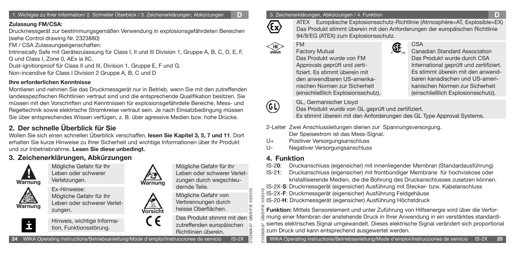1. Wichiges zu Ihrer Information/ 2. Schneller Überblick / 3. Zeichenerklärungen, Abkürzungen **D**

### **Zulassung FM/CSA:**

Druckmessgerät zur bestimmungsgemäßen Verwendung in explosionsgefährdeten Bereichen (siehe Control drawing Nr. 2323880)

FM / CSA Zulassungseigenschaften:

Intrinsically Safe mit Gerätezulassung für Class I, II und III Division 1, Gruppe A, B, C, D, E, F, G und Class I, Zone 0, AEx ia IIC.

Dust-ignitionproof für Class II und III, Division 1, Gruppe E, F und G. Non-incendive für Class I Division 2 Gruppe A, B, C und D

### **Ihre erforderlichen Kenntnisse**

Montieren und nehmen Sie das Druckmessgerät nur in Betrieb, wenn Sie mit den zutreffenden landesspezifischen Richtlinien vertraut sind und die entsprechende Qualifikation besitzen. Sie müssen mit den Vorschriften und Kenntnissen für explosionsgefährdete Bereiche, Mess- und Regeltechnik sowie elektrische Stromkreise vertraut sein. Je nach Einsatzbedingung müssen Sie über entsprechendes Wissen verfügen, z. B. über agressive Medien bzw. hohe Drücke.

# **2. Der schnelle Überblick für Sie**

Wollen Sie sich einen schnellen Überblick verschaffen, **lesen Sie Kapitel 3, 5, 7 und 11**. Dort erhalten Sie kurze Hinweise zu Ihrer Sicherheit und wichtige Informationen über Ihr Produkt und zur Inbetriebnahme. **Lesen Sie diese unbedingt.** 

## **3. Zeichenerklärungen, Abkürzungen**

Verletzungen.





Ex-Hinweise: Mögliche Gefahr für Ihr Leben oder schwerer Verletzungen.



Hinweis, wichtige Information, Funktionsstörung.



**Vorsicht** 

C E

Mögliche Gefahr für Ihr Leben oder schwerer Verletzungen durch wegschleudernde Teile. Mögliche Gefahr von

Verbrennungen durch heisse Oberflächen.

2132926.07 GB/D/F/E 03/2010 Das Produkt stimmt mit den zutreffenden europäischen

Richtlinien überein.

**24** WIKA Operating instructions/Betriebsanleitung/Mode d'emploi/Instrucciones de servicio IS-2X

3. Zeichenerklärungen, Abkürzungen / 4. Funktion **D**



(G L)

03/2010  $2010$ 

26

ATEX Europäische Explosionsschutz-Richtlinie (Atmosphère=AT, Explosible=EX) Das Produkt stimmt überein mit den Anforderungen der europäischen Richtlinie 94/9/EG (ATEX) zum Explosionsschutz.

FM

Factory Mutual Das Produkt wurde von FM Approvals geprüft und zertifiziert. Es stimmt überein mit den anwendbaren US-amerikanischen Normen zur Sicherheit (einschließlich Explosionsschutz).



### **CSA**

Canadian Standard Association Das Produkt wurde durch CSA International geprüft und zertifiziert. Es stimmt überein mit den anwendbaren kanadischen und US-amerikanischen Normen zur Sicherheit (einschließlich Explosionsschutz).

GL, Germanischer Lloyd

Das Produkt wurde von GL geprüft und zertifiziert. Es stimmt überein mit den Anforderungen des GL Type Approval Systems.

- 2-Leiter Zwei Anschlussleitungen dienen zur Spannungsversorgung. Der Speisestrom ist das Mess-Signal.
- U+ Positiver Versorgungsanschluss
- U- Negativer Versorgungsanschluss

### **4. Funktion**

- IS-2**0**: Druckanschluss (eigensicher) mit innenliegender Membran (Standardausführung)
- IS-2**1**: Druckanschluss (eigensicher) mit frontbündiger Membrane für hochviskose oder kristallisierende Medien, die die Bohrung des Druckanschlusses zusetzen können.
- IS-2X-**S**: Druckmessgerät (eigensicher) Ausführung mit Stecker- bzw. Kabelanschluss

IS-2X-**F**: Druckmessgerät (eigensicher) Ausführung Feldgehäuse

IS-20-**H**: Druckmessgerät (eigensicher) Ausführung Höchstdruck

2132926.07 GB/D/F/E 03/2010 **Funktion:** Mittels Sensorelement und unter Zuführung von Hilfsenergie wird über die Verformung einer Membran der anstehende Druck in Ihrer Anwendung in ein verstärktes standardisiertes elektrisches Signal umgewandelt. Dieses elektrische Signal verändert sich proportional zum Druck und kann entsprechend ausgewertet werden.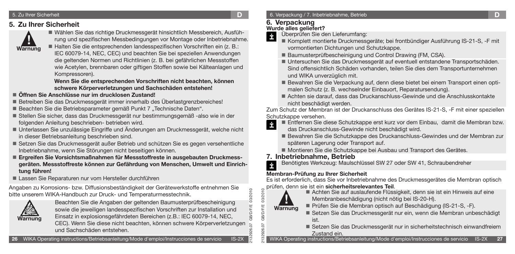#### 5. Zu Ihrer Sicherheit **D**

### **5. Zu Ihrer Sicherheit**



 Wählen Sie das richtige Druckmessgerät hinsichtlich Messbereich, Ausführung und spezifischen Messbedingungen vor Montage oder Inbetriebnahme. ■ Halten Sie die entsprechenden landesspezifischen Vorschriften ein (z. B.: IEC 60079-14, NEC, CEC) und beachten Sie bei speziellen Anwendungen die geltenden Normen und Richtlinien (z. B. bei gefährlichen Messstoffen

wie Acetylen, brennbaren oder giftigen Stoffen sowie bei Kälteanlagen und Kompressoren).

 **Wenn Sie die entsprechenden Vorschriften nicht beachten, können schwere Körperverletzungen und Sachschäden entstehen!**

### **Öffnen Sie Anschlüsse nur im drucklosen Zustand!**

- Betreiben Sie das Druckmessgerät immer innerhalb des Überlastgrenzbereiches!
- Beachten Sie die Betriebsparameter gemäß Punkt 7 "Technische Daten".
- Stellen Sie sicher, dass das Druckmessgerät nur bestimmungsgemäß -also wie in der folgenden Anleitung beschrieben- betrieben wird.
- Unterlassen Sie unzulässige Eingriffe und Änderungen am Druckmessgerät, welche nicht in dieser Betriebsanleitung beschrieben sind.
- Setzen Sie das Druckmessgerät außer Betrieb und schützen Sie es gegen versehentliche Inbetriebnahme, wenn Sie Störungen nicht beseitigen können.
- **Ergreifen Sie Vorsichtsmaßnahmen für Messstoffreste in ausgebauten Druckmessgeräten. Messstoffreste können zur Gefährdung von Menschen, Umwelt und Einrichtung führen!**
- Lassen Sie Reparaturen nur vom Hersteller durchführen

Angaben zu Korrosions- bzw. Diffusionsbeständigkeit der Gerätewerkstoffe entnehmen Sie bitte unserem WIKA-Handbuch zur Druck- und Temperaturmesstechnik.



Beachten Sie die Angaben der geltenden Baumusterprüfbescheinigung sowie die jeweiligen landesspezifischen Vorschriften zur Installation und Einsatz in explosionsgefährdeten Bereichen (z.B.: IEC 60079-14, NEC,

CEC). Wenn Sie diese nicht beachten, können schwere Körperverletzungen und Sachschäden entstehen.

### **6. Verpackung**

### **Wurde alles geliefert?**

Überprüfen Sie den Lieferumfang: İ

- Komplett montierte Druckmessgeräte; bei frontbündiger Ausführung IS-21-S, -F mit vormontierten Dichtungen und Schutzkappe.
- Baumusterprüfbescheinigung und Control Drawing (FM, CSA).
- Untersuchen Sie das Druckmessgerät auf eventuell entstandene Transportschäden. Sind offensichtlich Schäden vorhanden, teilen Sie dies dem Transportunternehmen und WIKA unverzüglich mit.
- Bewahren Sie die Verpackung auf, denn diese bietet bei einem Transport einen optimalen Schutz (z. B. wechselnder Einbauort, Reparatursendung).
- Achten sie darauf, dass das Druckanschluss-Gewinde und die Anschlusskontakte nicht beschädigt werden.

Zum Schutz der Membran ist der Druckanschluss des Gerätes IS-21-S, -F mit einer speziellen Schutzkappe versehen.

- Entfernen Sie diese Schutzkappe erst kurz vor dem Einbau, damit die Membran bzw.  $\dot{\mathbf{r}}$ 
	- das Druckanschluss-Gewinde nicht beschädigt wird.
	- Bewahren Sie die Schutzkappe des Druckanschluss-Gewindes und der Membran zur späteren Lagerung oder Transport auf.
	- Montieren Sie die Schutzkappe bei Ausbau und Transport des Gerätes.

### **7. Inbetriebnahme, Betrieb**

İ Benötigtes Werkzeug: Maulschlüssel SW 27 oder SW 41, Schraubendreher

### **Membran-Prüfung zu Ihrer Sicherheit**

Es ist erforderlich, dass Sie vor Inbetriebnahme des Druckmessgerätes die Membran optisch prüfen, denn sie ist ein **sicherheitsrelevantes Teil**.



2132926.07 GB/D/F/E 03/2010

**GB/D/F/E GB/D/F/E** 

03/2010 03/2010

2132926.07 GB/D/F/E 03/2010

- Achten Sie auf auslaufende Flüssigkeit, denn sie ist ein Hinweis auf eine Membranbeschädigung (nicht nötig bei IS-20-H).
- Prüfen Sie die Membran optisch auf Beschädigung (IS-21-S, -F).
	- Setzen Sie das Druckmessgerät nur ein, wenn die Membran unbeschädigt ist.
	- Setzen Sie das Druckmessgerät nur in sicherheitstechnisch einwandfreiem Zustand ein.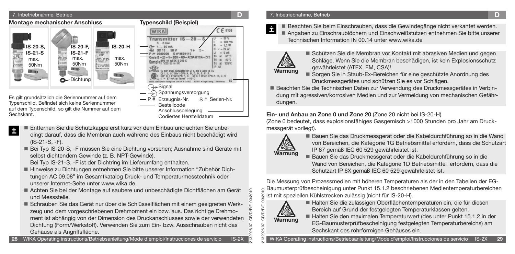

Sechskant.

İ

- Codiertes Herstelldatum Entfernen Sie die Schutzkappe erst kurz vor dem Einbau und achten Sie unbedingt darauf, dass die Membran auch während des Einbaus nicht beschädigt wird (IS-21-S, -F).
- Bei Typ IS-20-S, -F müssen Sie eine Dichtung vorsehen; Ausnahme sind Geräte mit selbst dichtendem Gewinde (z. B. NPT-Gewinde).

Bei Typ IS-21-S, -F ist der Dichtring im Lieferumfang enthalten.

- Hinweise zu Dichtungen entnehmen Sie bitte unserer Information "Zubehör Dichtungen AC 09.08" im Gesamtkatalog Druck- und Temperaturmesstechnik oder unserer Internet-Seite unter www.wika.de.
- Achten Sie bei der Montage auf saubere und unbeschädigte Dichtflächen am Gerät und Messstelle.
- Schrauben Sie das Gerät nur über die Schlüsselflächen mit einem geeigneten Werkzeug und dem vorgeschriebenen Drehmoment ein bzw. aus. Das richtige Drehmoment ist abhängig von der Dimension des Druckanschlusses sowie der verwendeten Dichtung (Form/Werkstoff). Verwenden Sie zum Ein- bzw. Ausschrauben nicht das Gehäuse als Angriffsfläche.

### 7. Inbetriebnahme, Betrieb **D**

 Beachten Sie beim Einschrauben, dass die Gewindegänge nicht verkantet werden. Angaben zu Einschraublöchern und Einschweißstutzen entnehmen Sie bitte unserer Technischen Information IN 00.14 unter www.wika.de



İ

- Schützen Sie die Membran vor Kontakt mit abrasiven Medien und gegen Schläge. Wenn Sie die Membran beschädigen, ist kein Explosionsschutz gewährleistet (ATEX, FM, CSA)!
- Sorgen Sie in Staub-Ex-Bereichen für eine geschützte Anordnung des Druckmessgerätes und schützen Sie es vor Schlägen.
- Beachten Sie die Technischen Daten zur Verwendung des Druckmessgerätes in Verbindung mit agressiven/korrosiven Medien und zur Vermeidung von mechanischen Gefährdungen.

### **Ein- und Anbau an Zone 0 und Zone 20** (Zone 20 nicht bei IS-20-H)

(Zone 0 bedeutet, dass explosionsfähiges Gasgemisch >1000 Stunden pro Jahr am Druckmessgerät vorliegt).



 Bauen Sie das Druckmessgerät oder die Kabeldurchführung so in die Wand von Bereichen, die Kategorie 1G Betriebsmittel erfordern, dass die Schutzart IP 67 gemäß IEC 60 529 gewährleistet ist.

 Bauen Sie das Druckmessgerät oder die Kabeldurchführung so in die Wand von Bereichen, die Kategorie 1D Betriebsmittel erfordern, dass die Schutzart IP 6X gemäß IEC 60 529 gewährleistet ist.

Die Messung von Prozessmedien mit höheren Temperaturen als der in den Tabellen der EG-Baumusterprüfbescheinigung unter Punkt 15.1.2 beschriebenen Medientemperaturbereichen ist mit speziellen Kühlstrecken zulässig (nicht für IS-20-H).



2132926.07 GB/D/F/E 03/2010

2132926.07 GB/D/F/E 03/2010

GB/D/F)

 $\overline{5}$  $\widetilde{S}$ 

 Halten Sie die zulässigen Oberflächentemperaturen ein, die für diesen Bereich auf Grund der festgelegten Temperaturklassen gelten.

■ Halten Sie den maximalen Temperaturwert (des unter Punkt 15.1.2 in der EG-Baumusterprüfbescheinigung festgelegten Temperaturbereichs) am Sechskant des rohrförmigen Gehäuses ein.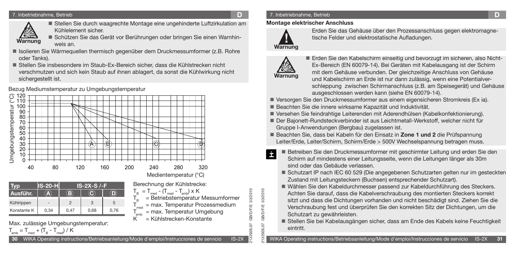#### 7. Inbetriebnahme, Betrieb **D**



 Stellen Sie durch waagrechte Montage eine ungehinderte Luftzirkulation am Kühlelement sicher.

> Berechnung der Kühlstrecke:  $T_B = T_{mod} - (T_{mod} - T_{emb}) \times K$

 $T_{amb}$  = max. Temperatur Umgebung<br>K = Kühlstrecken-Konstante  $=$  Kühlstrecken-Konstante

 $=$  Betriebstemperatur Messumformer  $=$  max. Temperatur Prozessmedium

 Schützen Sie das Gerät vor Berührungen oder bringen Sie einen Warnhinweis an.

- Isolieren Sie Wärmequellen thermisch gegenüber dem Druckmessumformer (z.B. Rohre oder Tanks).
- Stellen Sie insbesondere im Staub-Ex-Bereich sicher, dass die Kühlstrecken nicht verschmutzen und sich kein Staub auf ihnen ablagert, da sonst die Kühlwirkung nicht sichergestellt ist.

Bezug Mediumstemperatur zu Umgebungstemperatur



| VD          | <b>S-20-H</b> | $IS-2X-S$ /-F |      |      |  |  |  |
|-------------|---------------|---------------|------|------|--|--|--|
| Ausführ.    | 74)           | Е             |      |      |  |  |  |
| Kühlrippen  |               |               | 3    | 5    |  |  |  |
| Konstante K | 0,34          | 0,47          | 0,68 | 0,76 |  |  |  |

Max. zulässige Umgebungstemperatur:

### 7. Inbetriebnahme, Betrieb **D**

### **Montage elektrischer Anschluss**



Erden Sie das Gehäuse über den Prozessanschluss gegen elektromagnetische Felder und elektrostatische Aufladungen.

# **Warnung**

2132926.07 GB/D/F/E 03/2010

**GB/D/F/E** 07 26.

03/2010 03/2010

2132926.07 GB/D/F/E 03/2010

26.07 GB/D/F/E

329

 Erden Sie den Kabelschirm einseitig und bevorzugt im sicheren, also Nicht-Ex-Bereich (EN 60079-14). Bei Geräten mit Kabelausgang ist der Schirm mit dem Gehäuse verbunden. Der gleichzeitige Anschluss von Gehäuse und Kabelschirm an Erde ist nur dann zulässig, wenn eine Potentialverschleppung zwischen Schirmanschluss (z.B. am Speisegerät) und Gehäuse ausgeschlossen werden kann (siehe EN 60079-14).

- Versorgen Sie den Druckmessumformer aus einem eigensicheren Stromkreis (Ex ia).
- Beachten Sie die innere wirksame Kapazität und Induktivität.
- Versehen Sie feindrahtige Leiterenden mit Aderendhülsen (Kabelkonfektionierung).
- Der Bajonett-Rundsteckverbinder ist aus Leichtmetall-Werkstoff, welcher nicht für Gruppe I-Anwendungen (Bergbau) zugelassen ist.
- Beachten Sie, dass bei Kabeln für den Einsatz in **Zone 1 und 2** die Prüfspannung Leiter/Erde, Leiter/Schirm, Schirm/Erde > 500V Wechselspannung betragen muss.
- Betreiben Sie den Druckmessumformer mit geschirmter Leitung und erden Sie den İ Schirm auf mindestens einer Leitungsseite, wenn die Leitungen länger als 30m sind oder das Gebäude verlassen.
	- Schutzart IP nach IEC 60 529 (Die angegebenen Schutzarten gelten nur im gesteckten Zustand mit Leitungsteckern (Buchsen) entsprechender Schutzart).
	- Wählen Sie den Kabeldurchmesser passend zur Kabeldurchführung des Steckers. Achten Sie darauf, dass die Kabelverschraubung des montierten Steckers korrekt sitzt und dass die Dichtungen vorhanden und nicht beschädigt sind. Ziehen Sie die Verschraubung fest und überprüfen Sie den korrekten Sitz der Dichtungen, um die Schutzart zu gewährleisten.
	- Stellen Sie bei Kabelausgängen sicher, dass am Ende des Kabels keine Feuchtigkeit eintritt.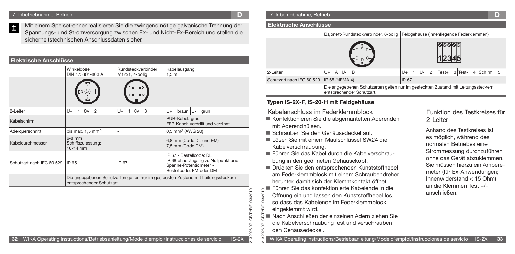Mit einem Speisetrenner realisieren Sie die zwingend nötige galvanische Trennung der İ Spannungs- und Stromversorgung zwischen Ex- und Nicht-Ex-Bereich und stellen die sicherheitstechnischen Anschlussdaten sicher.

### **Elektrische Anschlüsse**

|                           | Winkeldose<br>DIN 175301-803 A                                                                                 | Rundsteckverbinder<br>M12x1, 4-polig | Kabelausgang,<br>1,5m                                                                                              |  |  |
|---------------------------|----------------------------------------------------------------------------------------------------------------|--------------------------------------|--------------------------------------------------------------------------------------------------------------------|--|--|
|                           | [3 (©                                                                                                          |                                      |                                                                                                                    |  |  |
| 2-Leiter                  | $0V = 2$<br>$U + = 1$                                                                                          | $U + = 1$   $0V = 3$                 | $U+$ = braun $ U-$ = grün                                                                                          |  |  |
| Kabelschirm               |                                                                                                                |                                      | PUR-Kabel: grau<br>FEP-Kabel: verdrillt und verzinnt                                                               |  |  |
| Aderguerschnitt           | bis max. $1.5$ mm <sup>2</sup>                                                                                 |                                      | 0,5 mm <sup>2</sup> (AWG 20)                                                                                       |  |  |
| Kabeldurchmesser          | $6-8$ mm<br>Schiffszulassung:<br>$10-14$ mm                                                                    |                                      | 6,8 mm (Code DL und EM)<br>7,5 mm (Code DM)                                                                        |  |  |
| Schutzart nach IEC 60 529 | <b>IIP 65</b>                                                                                                  | IP 67                                | IP 67 - Bestellcode: DL<br>IP 68 ohne Zugang zu Nullpunkt und<br>Spanne-Potentiometer -<br>Bestellcode: EM oder DM |  |  |
|                           | Die angegebenen Schutzarten gelten nur im gesteckten Zustand mit Leitungssteckern<br>entsprechender Schutzart. |                                      |                                                                                                                    |  |  |

### 7. Inbetriebnahme, Betrieb **D**

#### **Elektrische Anschlüsse**

|                                          |                           | Bajonett-Rundsteckverbinder, 6-polig   Feldgehäuse (innenliegende Federklemmen)   |
|------------------------------------------|---------------------------|-----------------------------------------------------------------------------------|
|                                          | $E$ B $E$ B $E$           |                                                                                   |
| 2-Leiter                                 | $U + = A$ $U - = B$       | $\text{Test}+ = 3 \text{ Test} = 4 \text{ Schirm} = 5$<br>$U - 2$<br>$U + = 1$    |
| Schutzart nach IEC 60 529 IP 65 (NEMA 4) |                           | <b>IP 67</b>                                                                      |
|                                          | entsprechender Schutzart. | Die angegebenen Schutzarten gelten nur im gesteckten Zustand mit Leitungssteckern |

### **Typen IS-2X-F, IS-20-H mit Feldgehäuse**

### Kabelanschluss im Federklemmblock

- Konfektionieren Sie die abgemantelten Aderenden mit Aderendhülsen.
- Schrauben Sie den Gehäusedeckel auf.
- Lösen Sie mit einem Maulschlüssel SW24 die Kabelverschraubung.
- Führen Sie das Kabel durch die Kabelverschraubung in den geöffneten Gehäusekopf.
- Drücken Sie den entsprechenden Kunststoffhebel am Federklemmblock mit einem Schraubendreher herunter, damit sich der Klemmkontakt öffnet.
- Führen Sie das konfektionierte Kabelende in die Öffnung ein und lassen den Kunststoffhebel los, so dass das Kabelende im Federklemmblock eingeklemmt wird.
	-
	- Nach Anschließen der einzelnen Adern ziehen Sie
	- die Kabelverschraubung fest und verschrauben
	- den Gehäusedeckel.

### Funktion des Testkreises für 2-Leiter

Anhand des Testkreises ist es möglich, während des normalen Betriebes eine Strommessung durchzuführen ohne das Gerät abzuklemmen. Sie müssen hierzu ein Amperemeter (für Ex-Anwendungen; Innenwiderstand < 15 Ohm) an die Klemmen Test +/ anschließen.

03/2010 2132926.07 GB/D/F/E 03/2010 **GB/D/F/E** 926.07

2132926.07 GB/D/F/E 03/2010

୍ଷ 329

03/201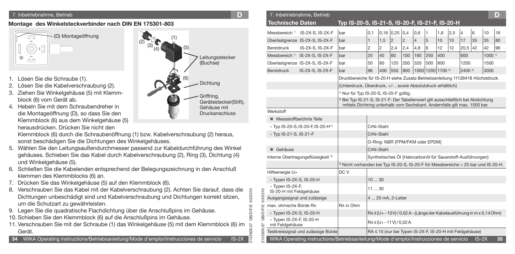### **Montage des Winkelsteckverbinder nach DIN EN 175301-803**



- 1. Lösen Sie die Schraube (1).
- 2. Lösen Sie die Kabelverschraubung (2).
- 3. Ziehen Sie Winkelgehäuse (5) mit Klemmblock (6) vom Gerät ab.
- 4. Hebeln Sie mit dem Schraubendreher in die Montageöffnung (D), so dass Sie den Klemmblock (6) aus dem Winkelgehäuse (5) herausdrücken. Drücken Sie nicht den

- 5. Wählen Sie den Leitungsaußendurchmesser passend zur Kabeldurchführung des gehäuses. Schieben Sie das Kabel durch Kabelverschraubung (2), Ring (3), Dichtung (4), Dichtung (4), Dichtung und Winkelgehäuse (5).
- 6. Schließen Sie die Kabelenden entsprechend der Belegungszeichnung in den Anschluß klemmen des Klemmblocks (6) an.
- 7. Drücken Sie das Winkelgehäuse (5) auf den Klemmblock (6).
- 8. Verschrauben Sie das Kabel mit der Kabelverschraubung (2). Achten Sie darauf Dichtungen unbeschädigt sind und Kabelverschraubung und Dichtungen korrel um die Schutzart zu gewährleisten.
- 9. Legen Sie die quadratische Flachdichtung über die Anschlußpins im Gehäuse.
- 10. Schieben Sie den Klemmblock (6) auf die Anschlußpins im Gehäuse.
- 11. Verschrauben Sie mit der Schraube (1) das Winkelgehäuse (5) mit dem Klemmblock (6) im 26. Gerät.

|                                      |                          |                                             | 7. Inbetriebnahme, Betrieb                           |                                                                        |              |                        |            |  |
|--------------------------------------|--------------------------|---------------------------------------------|------------------------------------------------------|------------------------------------------------------------------------|--------------|------------------------|------------|--|
|                                      |                          | <b>Technische Daten</b>                     |                                                      | Typ IS-20-S, IS-21-S                                                   |              |                        |            |  |
|                                      |                          | Messbereich <sup>3</sup>                    | IS-2X-S, IS-2X-F                                     | bar                                                                    | 0,1          | $0,16$ 0               |            |  |
|                                      |                          |                                             | Überlastgrenze IS-2X-S, IS-2X-F                      | bar                                                                    | $\mathbf{1}$ | 1,5                    |            |  |
|                                      |                          | <b>Berstdruck</b>                           | IS-2X-S, IS-2X-F                                     | bar                                                                    | 2            | 2                      |            |  |
| Leitungsstecker                      |                          | Messbereich <sup>3</sup>                    | IS-2X-S, IS-2X-F                                     | bar                                                                    | 25           | 40                     | $\epsilon$ |  |
| (Buchse)                             |                          |                                             | Überlastgrenze IS-2X-S, IS-2X-F                      | bar                                                                    | 50           | 80                     |            |  |
|                                      |                          | Berstdruck                                  | IS-2X-S, IS-2X-F                                     | bar                                                                    | 96           | 400                    |            |  |
|                                      |                          |                                             |                                                      | Druckbereiche für IS-20-H s                                            |              |                        |            |  |
| Dichtung                             |                          |                                             |                                                      | {Unterdruck, Überdruck, +/                                             |              |                        |            |  |
| Griffring,                           |                          |                                             |                                                      | <sup>1)</sup> Nur für Typ IS-20-S, IS-20                               |              |                        |            |  |
| Gerätestecker(Stift),<br>Gehäuse mit |                          |                                             |                                                      | <sup>2)</sup> Bei Typ IS-21-S, IS-21-F:<br>mittels Dichtring unterhall |              |                        |            |  |
| <b>Druckanschluss</b>                |                          | Werkstoff                                   |                                                      |                                                                        |              |                        |            |  |
|                                      |                          | ■ Messstoffberührte Teile                   |                                                      |                                                                        |              |                        |            |  |
|                                      |                          |                                             | » Typ IS-20-S, IS-20-F, IS-20-H*                     |                                                                        |              | CrNi-Stahl             |            |  |
| ıng (2) heraus,                      |                          | » Typ IS-21-S, IS-21-F                      |                                                      |                                                                        |              | CrNi-Stahl             |            |  |
|                                      |                          |                                             |                                                      |                                                                        |              | O-Ring: NBF            |            |  |
| nrung des Winkel                     |                          | Gehäuse                                     |                                                      |                                                                        | CrNi-Stahl   |                        |            |  |
| $(3)$ , Dichtung $(4)$               |                          |                                             | Interne Übertragungsflüssigkeit <sup>3)</sup>        |                                                                        |              | Synthetische           |            |  |
| den Anschluß                         |                          |                                             |                                                      | <sup>3)</sup> Nicht vorhanden bei Typ I                                |              |                        |            |  |
|                                      |                          | Hilfsenergie U+                             |                                                      | DC V                                                                   |              |                        |            |  |
|                                      |                          | » Typen IS-2X-S, IS-20-H                    |                                                      |                                                                        | 1030         |                        |            |  |
| e darauf, dass die                   |                          | » Typen IS-2X-F,<br>IS-20-H mit Feldgehäuse |                                                      |                                                                        | 1130         |                        |            |  |
| n korrekt sitzen.                    | 03/2010                  | Ausgangssignal und zulässige                |                                                      |                                                                        |              | 4  20 mA, 2            |            |  |
|                                      | GB/D/F/E 03/2010         | max, ohmsche Bürde RA                       |                                                      | RA in Ohm                                                              |              |                        |            |  |
| häuse.                               | <b>GB/D/F/E</b>          | » Typen IS-2X-S, IS-20-H                    |                                                      |                                                                        |              | $RA \leq (U + -10)$    |            |  |
| Klemmblock (6) im                    |                          | » Typen IS-2X-F, IS-20-H<br>mit Feldgehäuse |                                                      |                                                                        |              | $RA \leq (U_{+} - 11)$ |            |  |
|                                      | 2132926.07<br>2132926.07 |                                             | Testkreissignal und zulässige Bürde                  |                                                                        |              | $RA \leq 15$ (nur      |            |  |
| $IS-2X$<br>de servicio               |                          |                                             | WIKA Operating instructions/Betriebsanleitung/Mode o |                                                                        |              |                        |            |  |

| 7. Inbetriebnahme, Betrieb                                                                                                                        | D)                                   |                                             | 7. Inbetriebnahme, Betrieb                                                                  |                                                                                                                                                             |                    |                                 |     |     |     |                              |                 |                                                                                                 |                   |                 |
|---------------------------------------------------------------------------------------------------------------------------------------------------|--------------------------------------|---------------------------------------------|---------------------------------------------------------------------------------------------|-------------------------------------------------------------------------------------------------------------------------------------------------------------|--------------------|---------------------------------|-----|-----|-----|------------------------------|-----------------|-------------------------------------------------------------------------------------------------|-------------------|-----------------|
| lontage des Winkelsteckverbinder nach DIN EN 175301-803                                                                                           |                                      | <b>Technische Daten</b>                     |                                                                                             | Typ IS-20-S, IS-21-S, IS-20-F, IS-21-F, IS-20-H                                                                                                             |                    |                                 |     |     |     |                              |                 |                                                                                                 |                   |                 |
|                                                                                                                                                   |                                      |                                             | Messbereich <sup>1</sup> IS-2X-S, IS-2X-F                                                   | bar                                                                                                                                                         | 0,1                | 0,16 0,25 0,4                   |     | 0,6 |     | 1,6                          | 2,5             | 16                                                                                              | 10                | 16              |
| (D) Montageöffnung                                                                                                                                |                                      |                                             | Überlastgrenze IS-2X-S, IS-2X-F                                                             | $\vert$ bar                                                                                                                                                 |                    | 1,5<br>$ 2\rangle$              |     |     | 5   | 10 <sup>1</sup>              | 10 <sup>1</sup> | 17<br> 35                                                                                       | 35                | $ 80\rangle$    |
|                                                                                                                                                   |                                      | <b>Berstdruck</b>                           | IS-2X-S, IS-2X-F                                                                            | bar                                                                                                                                                         | 2<br>2             | 2,4                             | 2,4 | 4,8 | 16  | 12                           | 12              | 20,5 42                                                                                         | 42                | 96              |
| ⊕<br>$\Box$                                                                                                                                       | Leitungsstecker                      |                                             | Messbereich <sup>1</sup> IS-2X-S, IS-2X-F                                                   | $\vert$ bar                                                                                                                                                 | 25<br>$ 40\rangle$ | 60                              | 100 | 160 | 250 | 400                          |                 | 600                                                                                             | 1000 <sup>1</sup> |                 |
|                                                                                                                                                   | (Buchse)                             |                                             | Überlastgrenze IS-2X-S, IS-2X-F                                                             | bar                                                                                                                                                         | 50                 | 80<br>120                       | 200 | 320 | 500 | 800                          |                 | 1200                                                                                            | 1500              |                 |
|                                                                                                                                                   |                                      | <b>Berstdruck</b>                           | IS-2X-S, IS-2X-F                                                                            | bar                                                                                                                                                         | 96                 | 550<br>$ 400\rangle$            | 800 |     |     | 1000 1200 1700 <sup>2)</sup> |                 | 2400 <sup>2)</sup>                                                                              | 3000              |                 |
| Lösen Sie die Schraube (1).                                                                                                                       | Dichtung                             |                                             |                                                                                             | Druckbereiche für IS-20-H siehe Zusatz-Betriebsanleitung 11126418 Höchstdruck.                                                                              |                    |                                 |     |     |     |                              |                 |                                                                                                 |                   |                 |
| Lösen Sie die Kabelverschraubung (2).                                                                                                             |                                      |                                             |                                                                                             | {Unterdruck, Überdruck, +/-, sowie Absolutdruck erhältlich}                                                                                                 |                    |                                 |     |     |     |                              |                 |                                                                                                 |                   |                 |
| Ziehen Sie Winkelgehäuse (5) mit Klemm-                                                                                                           | Griffring,                           |                                             |                                                                                             | Nur für Typ IS-20-S, IS-20-F gültig.                                                                                                                        |                    |                                 |     |     |     |                              |                 |                                                                                                 |                   |                 |
| block (6) vom Gerät ab.<br>Hebeln Sie mit dem Schraubendreher in                                                                                  | Gerätestecker(Stift),                |                                             |                                                                                             | Bei Typ IS-21-S, IS-21-F: Der Tabellenwert gilt ausschließlich bei Abdichtung<br>mittels Dichtring unterhalb vom Sechskant. Andernfalls gilt max. 1500 bar. |                    |                                 |     |     |     |                              |                 |                                                                                                 |                   |                 |
| die Montageöffnung (D), so dass Sie den                                                                                                           | Gehäuse mit<br><b>Druckanschluss</b> | Werkstoff                                   |                                                                                             |                                                                                                                                                             |                    |                                 |     |     |     |                              |                 |                                                                                                 |                   |                 |
| Klemmblock (6) aus dem Winkelgehäuse (5)                                                                                                          |                                      | Messstoffberührte Teile                     |                                                                                             |                                                                                                                                                             |                    |                                 |     |     |     |                              |                 |                                                                                                 |                   |                 |
| herausdrücken. Drücken Sie nicht den                                                                                                              |                                      |                                             | » Typ IS-20-S, IS-20-F, IS-20-H*                                                            |                                                                                                                                                             | CrNi-Stahl         |                                 |     |     |     |                              |                 |                                                                                                 |                   |                 |
| Klemmblock (6) durch die Schraubenöffnung (1) bzw. Kabelverschraubung (2) heraus,                                                                 |                                      | » Typ IS-21-S, IS-21-F                      |                                                                                             |                                                                                                                                                             | CrNi-Stahl         |                                 |     |     |     |                              |                 |                                                                                                 |                   |                 |
| sonst beschädigen Sie die Dichtungen des Winkelgehäuses.                                                                                          |                                      |                                             |                                                                                             |                                                                                                                                                             |                    | O-Ring: NBR {FPM/FKM oder EPDM} |     |     |     |                              |                 |                                                                                                 |                   |                 |
| Wählen Sie den Leitungsaußendurchmesser passend zur Kabeldurchführung des Winkel                                                                  |                                      | Gehäuse                                     |                                                                                             |                                                                                                                                                             | CrNi-Stahl         |                                 |     |     |     |                              |                 |                                                                                                 |                   |                 |
| gehäuses. Schieben Sie das Kabel durch Kabelverschraubung (2), Ring (3), Dichtung (4)                                                             |                                      |                                             | Interne Übertragungsflüssigkeit <sup>3)</sup>                                               |                                                                                                                                                             |                    |                                 |     |     |     |                              |                 | Synthetisches Öl {Halocarbonöl für Sauerstoff-Ausführungen}                                     |                   |                 |
| und Winkelgehäuse (5).<br>Schließen Sie die Kabelenden entsprechend der Belegungszeichnung in den Anschluß                                        |                                      |                                             |                                                                                             | 3) Nicht vorhanden bei Typ IS-20-S, IS-20-F für Messbereiche > 25 bar und IS-20-H.                                                                          |                    |                                 |     |     |     |                              |                 |                                                                                                 |                   |                 |
| klemmen des Klemmblocks (6) an.                                                                                                                   |                                      | Hilfsenergie U+                             |                                                                                             | DC V                                                                                                                                                        |                    |                                 |     |     |     |                              |                 |                                                                                                 |                   |                 |
| Drücken Sie das Winkelgehäuse (5) auf den Klemmblock (6).                                                                                         |                                      | » Typen IS-2X-S, IS-20-H                    |                                                                                             |                                                                                                                                                             | 10  30             |                                 |     |     |     |                              |                 |                                                                                                 |                   |                 |
| Verschrauben Sie das Kabel mit der Kabelverschraubung (2). Achten Sie darauf, dass die                                                            |                                      | » Typen IS-2X-F,<br>IS-20-H mit Feldgehäuse |                                                                                             |                                                                                                                                                             | 1130               |                                 |     |     |     |                              |                 |                                                                                                 |                   |                 |
| Dichtungen unbeschädigt sind und Kabelverschraubung und Dichtungen korrekt sitzen,                                                                | 03/2010                              |                                             | Ausgangssignal und zulässige                                                                |                                                                                                                                                             |                    | 4  20 mA, 2-Leiter              |     |     |     |                              |                 |                                                                                                 |                   |                 |
| um die Schutzart zu gewährleisten.                                                                                                                |                                      | max, ohmsche Bürde RA                       |                                                                                             | RA in Ohm                                                                                                                                                   |                    |                                 |     |     |     |                              |                 |                                                                                                 |                   |                 |
| Legen Sie die quadratische Flachdichtung über die Anschlußpins im Gehäuse.<br>0. Schieben Sie den Klemmblock (6) auf die Anschlußpins im Gehäuse. |                                      | » Typen IS-2X-S, IS-20-H                    |                                                                                             |                                                                                                                                                             |                    |                                 |     |     |     |                              |                 | $\left  \text{Ra} \leq (U + -10V)/0.02 A - (Länge der Kabelausführung in m x 0.14 Ohm) \right $ |                   |                 |
| 1. Verschrauben Sie mit der Schraube (1) das Winkelgehäuse (5) mit dem Klemmblock (6) im                                                          |                                      | » Typen IS-2X-F, IS-20-H<br>mit Feldgehäuse |                                                                                             |                                                                                                                                                             |                    | RA≤(U+-11V)/0,02A               |     |     |     |                              |                 |                                                                                                 |                   |                 |
| Gerät.                                                                                                                                            |                                      |                                             | Testkreissignal und zulässige Bürde                                                         |                                                                                                                                                             |                    |                                 |     |     |     |                              |                 | RA ≤ 15 (nur bei Typen IS-2X-F, IS-20-H mit Feldgehäuse)                                        |                   |                 |
| WIKA Operating instructions/Betriebsanleitung/Mode d'emploi/Instrucciones de servicio                                                             | $IS-2X$                              |                                             | WIKA Operating instructions/Betriebsanleitung/Mode d'emploi/Instrucciones de servicio IS-2X |                                                                                                                                                             |                    |                                 |     |     |     |                              |                 |                                                                                                 |                   | 35 <sup>°</sup> |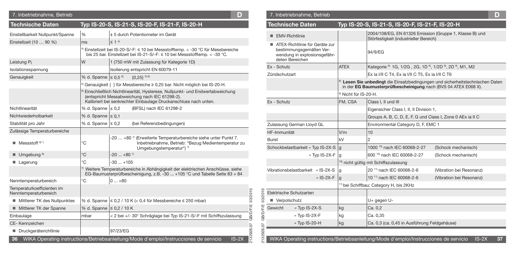| 7. Inbetriebnahme, Betrieb              |                                                  |                                                                                                                                                                                         | D)   |                                | 7. Inbetriebnahme, Betrieb                                                                  |                                  |                                                                                                     | D                                                                          |
|-----------------------------------------|--------------------------------------------------|-----------------------------------------------------------------------------------------------------------------------------------------------------------------------------------------|------|--------------------------------|---------------------------------------------------------------------------------------------|----------------------------------|-----------------------------------------------------------------------------------------------------|----------------------------------------------------------------------------|
| <b>Technische Daten</b>                 |                                                  | Typ IS-20-S, IS-21-S, IS-20-F, IS-21-F, IS-20-H                                                                                                                                         |      | <b>Technische Daten</b>        |                                                                                             |                                  | Typ IS-20-S, IS-21-S, IS-20-F, IS-21-F, IS-20-H                                                     |                                                                            |
| Einstellbarkeit Nullpunkt/Spanne        | $\frac{9}{6}$                                    | ± 5 durch Potentiometer im Gerät                                                                                                                                                        |      | EMV-Richtlinie                 |                                                                                             |                                  | 2004/108/EG, EN 61326 Emission (Gruppe 1, Klasse B) und<br>Störfestigkeit (industrieller Bereich)   |                                                                            |
| Einstellzeit (10  90 %)                 | l ms                                             | $\leq$ 1 4<br><sup>)</sup> Einstellzeit bei IS-20-S/-F: ≤ 10 bei Messstofftemp. < -30 °C für Messbereiche<br>bis 25 bar. Einstellzeit bei IS-21-S/-F: ≤ 10 bei Messstofftemp. < -30 °C. |      |                                | ■ ATEX-Richtlinie für Geräte zur<br>bestimmungsgemäßen Ver-<br>wendung in explosionsgefähr- |                                  | 94/9/EG                                                                                             |                                                                            |
| Leistung Pi                             | lw                                               | 1 (750 mW mit Zulassung für Kategorie 1D)                                                                                                                                               |      | deten Bereichen<br>Ex - Schutz |                                                                                             | <b>ATEX</b>                      |                                                                                                     |                                                                            |
| Isolationsspannung                      |                                                  | Isolierung entspricht EN 60079-11                                                                                                                                                       |      |                                |                                                                                             |                                  | Kategorie <sup>8</sup> 1G, 1/2G, 2G, 1D <sup>9</sup> , 1/2D <sup>9</sup> , 2D <sup>9</sup> , M1, M2 |                                                                            |
| Genauigkeit                             | $\frac{9}{6}$ d. Spanne $\leq 0.5$ <sup>6)</sup> | ${0,25}$ <sup>5)</sup>                                                                                                                                                                  |      | Zündschutzart                  |                                                                                             |                                  | Ex ia I/II C T4, Ex ia I/II C T5, Ex ia I/II C T6                                                   |                                                                            |
|                                         |                                                  | <sup>0</sup> Genauigkeit { } für Messbereiche ≥ 0,25 bar. Nicht möglich bei IS-20-H.                                                                                                    |      |                                |                                                                                             |                                  | in der EG Baumusterprüfbescheinigung nach (BVS 04 ATEX E068 X).                                     | Lesen Sie unbedingt die Einsatzbedingungen und sicherheitstechnischen Date |
|                                         |                                                  | Einschließlich Nichtlinearität, Hysterese, Nullpunkt- und Endwertabweichung<br>(entspricht Messabweichung nach IEC 61298-2).                                                            |      |                                |                                                                                             | <sup>9)</sup> Nicht für IS-20-H. |                                                                                                     |                                                                            |
|                                         |                                                  | Kalibriert bei senkrechter Einbaulage Druckanschluss nach unten.                                                                                                                        |      | Ex - Schutz                    |                                                                                             | FM. CSA                          | Class I. II und III                                                                                 |                                                                            |
| Nichtlinearität                         | % d. Spanne $\leq 0.2$                           | (BFSL) nach IEC 61298-2                                                                                                                                                                 |      |                                |                                                                                             |                                  | Eigensicher Class I, II, II Division 1,                                                             |                                                                            |
| Nichtwiederholbarkeit                   | $\%$ d. Spanne $\leq 0.1$                        |                                                                                                                                                                                         |      |                                |                                                                                             |                                  | Groups A, B, C, D, E, F, G und Class I, Zone 0 AEx ia II C                                          |                                                                            |
| Stabilität pro Jahr                     | $\%$ d. Spanne $\leq$ 0.2                        | (bei Referenzbedingungen)                                                                                                                                                               |      |                                | Zulassung German Lloyd GL                                                                   |                                  | Environmental Category D, F, EMC 1                                                                  |                                                                            |
| Zulässige Temperaturbereiche            |                                                  |                                                                                                                                                                                         |      | HF-Immunität                   |                                                                                             | V/m                              | 10                                                                                                  |                                                                            |
| $\blacksquare$ Messstoff $\binom{8}{7}$ | °C                                               | -20  +80 $\frac{1}{7}$ (Erweiterte Temperaturbereiche siehe unter Punkt 7.<br>Inbetriebnahme, Betrieb: "Bezug Medientemperatur zu<br>Umgebungstemperatur") 7)                           |      | <b>Burst</b>                   | Schockbelastbarkeit » Typ IS-2X-S  g                                                        | kV                               | 1000 10) nach IEC 60068-2-27                                                                        | (Schock mechanisch)                                                        |
| $\blacksquare$ Umgebung 8)              | $^{\circ}$ C                                     | $-20$ $+80$ <sup>7</sup>                                                                                                                                                                |      |                                | » Typ IS-2X-F  q                                                                            |                                  | 600 10) nach IEC 60068-2-27                                                                         | (Schock mechanisch)                                                        |
| Lagerung                                | °C                                               | $-30+105$                                                                                                                                                                               |      |                                |                                                                                             |                                  | 10) nicht gültig mit Schiffszulassung                                                               |                                                                            |
|                                         |                                                  | <sup>7</sup> Weitere Temperaturbereiche in Abhängigkeit der elektrischen Anschlüsse, siehe<br>EG-Baumusterprüfbescheinigung, z.B. -30  +105 °C und Tabelle Seite 83 + 84                |      | Vibrationsbelastbarkeit        | » IS-2X-S                                                                                   | a                                | 20 <sup>11)</sup> nach IEC 60068-2-6                                                                | (Vibration bei Resonanz)                                                   |
| Nenntemperaturbereich                   | °C                                               | $ 0+80$                                                                                                                                                                                 |      |                                | » IS-2X-F                                                                                   | q                                | 10 <sup>11)</sup> nach IEC 60068-2-6                                                                | (Vibration bei Resonanz)                                                   |
| Temperaturkoeffizienten im              |                                                  |                                                                                                                                                                                         |      |                                |                                                                                             |                                  | <sup>1)</sup> bei Schiffbau: Category H, bis 2KHz                                                   |                                                                            |
| Nenntemperaturbereich                   |                                                  |                                                                                                                                                                                         | 7201 | Elektrische Schutzarten<br>201 |                                                                                             |                                  |                                                                                                     |                                                                            |
| Mittlerer TK des Nullpunktes            |                                                  | $\frac{1}{6}$ d. Spanne $\leq$ 0.2 / 10 K (< 0.4 für Messbereiche ≤ 250 mbar)                                                                                                           |      | ജ<br>Verpolschutz<br>٠         |                                                                                             |                                  | U+ gegen U-                                                                                         |                                                                            |
| ■ Mittlerer TK der Spanne               | $\frac{9}{6}$ d. Spanne $\leq$ 0,2 / 10 K        |                                                                                                                                                                                         |      | Gewicht                        | » Typ IS-2X-S                                                                               | kg                               | Ca. 0.2                                                                                             |                                                                            |
| Einbaulage                              | Imbar                                            | < 2 bei +/- 30° Schräglage bei Typ IS-21-S/-F mit Schiffszulassung                                                                                                                      |      | GB/D/F/E                       | » Typ IS-2X-F                                                                               | kg                               | Ca. 0,35                                                                                            |                                                                            |
| CE-Kennzeichen                          |                                                  |                                                                                                                                                                                         |      |                                | » Typ IS-20-H                                                                               | kg                               | Ca. 0.3 (ca. 0.45 in Ausführung Feldgehäuse)                                                        |                                                                            |
| Druckgeräterichtlinie                   |                                                  | 97/23/EG                                                                                                                                                                                |      |                                |                                                                                             |                                  |                                                                                                     |                                                                            |
|                                         |                                                  | 36 WIKA Operating instructions/Betriebsanleitung/Mode d'emploi/Instrucciones de servicio<br>$IS-2X$                                                                                     |      |                                |                                                                                             |                                  | WIKA Operating instructions/Betriebsanleitung/Mode d'emploi/Instrucciones de servicio               | $IS-2X$                                                                    |

| 7. Inbetriebnahme, Betrieb                                                                                   |                                  |                                                                                                                                                              | D                        |  |  |  |  |
|--------------------------------------------------------------------------------------------------------------|----------------------------------|--------------------------------------------------------------------------------------------------------------------------------------------------------------|--------------------------|--|--|--|--|
| <b>Technische Daten</b>                                                                                      |                                  | Typ IS-20-S, IS-21-S, IS-20-F, IS-21-F, IS-20-H                                                                                                              |                          |  |  |  |  |
| EMV-Richtlinie                                                                                               |                                  | 2004/108/EG, EN 61326 Emission (Gruppe 1, Klasse B) und<br>Störfestigkeit (industrieller Bereich)                                                            |                          |  |  |  |  |
| ATEX-Richtlinie für Geräte zur<br>bestimmungsgemäßen Ver-<br>wendung in explosionsgefähr-<br>deten Bereichen |                                  | 94/9/EG                                                                                                                                                      |                          |  |  |  |  |
| Ex - Schutz                                                                                                  | <b>ATEX</b>                      | Kategorie <sup>8</sup> 1G, 1/2G, 2G, 1D <sup>9</sup> , 1/2D <sup>9</sup> , 2D <sup>9</sup> , M1, M2                                                          |                          |  |  |  |  |
| Zündschutzart                                                                                                |                                  | Ex ia I/II C T4, Ex ia I/II C T5, Ex ia I/II C T6                                                                                                            |                          |  |  |  |  |
|                                                                                                              |                                  | <sup>8)</sup> Lesen Sie unbedingt die Einsatzbedingungen und sicherheitstechnischen Daten<br>in der EG Baumusterprüfbescheinigung nach (BVS 04 ATEX E068 X). |                          |  |  |  |  |
|                                                                                                              | <sup>9)</sup> Nicht für IS-20-H. |                                                                                                                                                              |                          |  |  |  |  |
| Ex - Schutz                                                                                                  | FM, CSA                          | Class I, II und III                                                                                                                                          |                          |  |  |  |  |
|                                                                                                              |                                  | Eigensicher Class I, II, II Division 1,                                                                                                                      |                          |  |  |  |  |
|                                                                                                              |                                  | Groups A, B, C, D, E, F, G und Class I, Zone 0 AEx ia II C                                                                                                   |                          |  |  |  |  |
| Zulassung German Lloyd GL                                                                                    |                                  | Environmental Category D, F, EMC 1                                                                                                                           |                          |  |  |  |  |
| HF-Immunität                                                                                                 | V/m                              | 10                                                                                                                                                           |                          |  |  |  |  |
| Burst                                                                                                        | kV                               | $\overline{2}$                                                                                                                                               |                          |  |  |  |  |
| Schockbelastbarkeit » Typ IS-2X-S                                                                            | g                                | 1000 <sup>10)</sup> nach IEC 60068-2-27                                                                                                                      | (Schock mechanisch)      |  |  |  |  |
| » Typ IS-2X-F                                                                                                | g                                | 600 10) nach IEC 60068-2-27                                                                                                                                  | (Schock mechanisch)      |  |  |  |  |
|                                                                                                              |                                  | 10) nicht gültig mit Schiffszulassung                                                                                                                        |                          |  |  |  |  |
| Vibrationsbelastbarkeit » IS-2X-S                                                                            | g                                | 20 <sup>11)</sup> nach IEC 60068-2-6                                                                                                                         | (Vibration bei Resonanz) |  |  |  |  |
| » IS-2X-F                                                                                                    | g                                | 10 <sup>11</sup> nach IEC 60068-2-6                                                                                                                          | (Vibration bei Resonanz) |  |  |  |  |
|                                                                                                              |                                  | <sup>11)</sup> bei Schiffbau: Category H, bis 2KHz                                                                                                           |                          |  |  |  |  |
| Elektrische Schutzarten                                                                                      |                                  |                                                                                                                                                              |                          |  |  |  |  |
| Verpolschutz<br>ш                                                                                            |                                  | U+ gegen U-                                                                                                                                                  |                          |  |  |  |  |
| Gewicht<br>» Typ IS-2X-S                                                                                     | kg                               | Ca. 0,2                                                                                                                                                      |                          |  |  |  |  |
| » Typ IS-2X-F                                                                                                | kg                               | Ca. 0,35                                                                                                                                                     |                          |  |  |  |  |
| » Typ IS-20-H                                                                                                | kg                               | Ca. 0,3 (ca. 0,45 in Ausführung Feldgehäuse)                                                                                                                 |                          |  |  |  |  |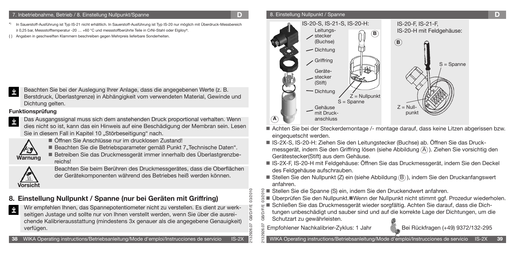#### 7. Inbetriebnahme, Betrieb / 8. Einstellung Nullpunkt/Spanne **D**

- In Sauerstoff-Ausführung ist Typ IS-21 nicht erhältlich. In Sauerstoff-Ausführung ist Typ IS-20 nur möglich mit Überdruck-Messbereich **IS-20-S, IS-20-S, IS-21-S, IS-20-H:** ≥ 0,25 bar, Messstofftemperatur -20 … +60 °C und messstoffberührte Teile in CrNi-Stahl oder Elgiloy®.
- { } Angaben in geschweiften Klammern beschreiben gegen Mehrpreis lieferbare Sonderheiten.

Beachten Sie bei der Auslegung Ihrer Anlage, dass die angegebenen Werte (z. B. Berstdruck, Überlastgrenze) in Abhängigkeit vom verwendeten Material, Gewinde und Dichtung gelten.

### **Funktionsprüfung**

İ

İ

Das Ausgangssignal muss sich dem anstehenden Druck proportional verhalten. Wenn dies nicht so ist, kann das ein Hinweis auf eine Beschädigung der Membran sein. Lesen Sie in diesem Fall in Kapitel 10 "Störbeseitigung" nach.



**Vorsicht**

Öffnen Sie Anschlüsse nur im drucklosen Zustand!

Beachten Sie die Betriebsparameter gemäß Punkt 7"Technische Daten". Betreiben Sie das Druckmessgerät immer innerhalb des Überlastgrenzbereichs!

Beachten Sie beim Berühren des Druckmessgerätes, dass die Oberflächen der Gerätekomponenten während des Betriebes heiß werden können.

### **8. Einstellung Nullpunkt / Spanne (nur bei Geräten mit Griffring)**

Wir empfehlen Ihnen, das Spannepotentiometer nicht zu verstellen. Es dient zur werk-İ seitigen Justage und sollte nur von Ihnen verstellt werden, wenn Sie über die ausreichende Kalibrierausstattung (mindestens 3x genauer als die angegebene Genauigkeit) verfügen.

### 8. Einstellung Nullpunkt / Spanne **D**



- Achten Sie bei der Steckerdemontage /- montage darauf, dass keine Litzen abgerissen bzw. eingequetscht werden.
- IS-2X-S, IS-20-H: Ziehen Sie den Leitungstecker (Buchse) ab. Öffnen Sie das Druckmessgerät, indem Sie den Griffring lösen (siehe Abbildung  $(A)$ ). Ziehen Sie vorsichtig den Gerätestecker(Stift) aus dem Gehäuse.
- IS-2X-F, IS-20-H mit Feldgehäuse: Öffnen Sie das Druckmessgerät, indem Sie den Deckel des Feldgehäuse aufschrauben.
- Stellen Sie den Nullpunkt (Z) ein (siehe Abbildung  $(B)$ ), indem Sie den Druckanfangswert anfahren.
- Stellen Sie die Spanne (S) ein, indem Sie den Druckendwert anfahren.
- 2132926.07 GB/D/F/E 03/2010 ■ Überprüfen Sie den Nullpunkt. Wenn der Nullpunkt nicht stimmt ggf. Prozedur wiederholen.
- Schließen Sie das Druckmessgerät wieder sorgfältig. Achten Sie darauf, dass die Dich-
- tungen unbeschädigt und sauber sind und auf die korrekte Lage der Dichtungen, um die Schutzart zu gewährleisten.

Empfohlener Nachkalibrier-Zyklus: 1 Jahr Bei Rückfragen (+49) 9372/132-295

2132926.07 GB/D/F/E 03/2010

03/2010

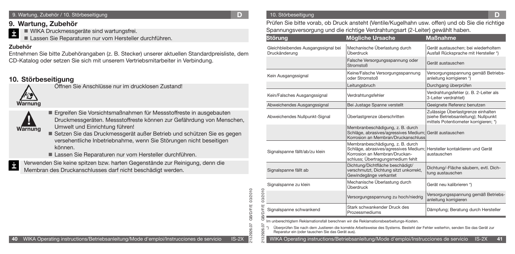#### 9. Wartung, Zubehör / 10. Störbeseitigung

### **9. Wartung, Zubehör**

- WIKA Druckmessgeräte sind wartungsfrei.
- Lassen Sie Reparaturen nur vom Hersteller durchführen.

### **Zubehör**

İ

Entnehmen Sie bitte Zubehörangaben (z. B. Stecker) unserer aktuellen Standardpreisliste, dem CD-Katalog oder setzen Sie sich mit unserem Vertriebsmitarbeiter in Verbindung.

### **10. Störbeseitigung**



Öffnen Sie Anschlüsse nur im drucklosen Zustand!



- Ergreifen Sie Vorsichtsmaßnahmen für Messstoffreste in ausgebauten Druckmessgeräten. Messstoffreste können zur Gefährdung von Menschen, Umwelt und Einrichtung führen!
- Setzen Sie das Druckmessgerät außer Betrieb und schützen Sie es gegen versehentliche Inbetriebnahme, wenn Sie Störungen nicht beseitigen können.

Lassen Sie Reparaturen nur vom Hersteller durchführen.



Verwenden Sie keine spitzen bzw. harten Gegenstände zur Reinigung, denn die Membran des Druckanschlusses darf nicht beschädigt werden.

#### **D** 10. Störbeseitigung **D** 10. Störbeseitigung **D**

Prüfen Sie bitte vorab, ob Druck ansteht (Ventile/Kugelhahn usw. offen) und ob Sie die richtige Spannungsversorgung und die richtige Verdrahtungsart (2-Leiter) gewählt haben.

|                 | <b>Störung</b>                                                                                                                                                                                                                                                                                                                                                                   | <b>Mögliche Ursache</b>                                                                                                                         | <b>Maßnahme</b>                                                                                                     |  |  |  |  |  |  |  |  |
|-----------------|----------------------------------------------------------------------------------------------------------------------------------------------------------------------------------------------------------------------------------------------------------------------------------------------------------------------------------------------------------------------------------|-------------------------------------------------------------------------------------------------------------------------------------------------|---------------------------------------------------------------------------------------------------------------------|--|--|--|--|--|--|--|--|
|                 | Gleichbleibendes Ausgangssignal bei<br>Druckänderung                                                                                                                                                                                                                                                                                                                             | Mechanische Überlastung durch<br>Überdruck                                                                                                      | Gerät austauschen: bei wiederholtem<br>Ausfall Rücksprache mit Hersteller *)                                        |  |  |  |  |  |  |  |  |
|                 |                                                                                                                                                                                                                                                                                                                                                                                  | Falsche Versorgungsspannung oder<br>Stromstoß                                                                                                   | Gerät austauschen                                                                                                   |  |  |  |  |  |  |  |  |
|                 | Kein Ausgangssignal                                                                                                                                                                                                                                                                                                                                                              | Keine/Falsche Versorgungsspannung<br>oder Stromstoß                                                                                             | Versorgungsspannung gemäß Betriebs-<br>anleitung korrigieren *)                                                     |  |  |  |  |  |  |  |  |
|                 |                                                                                                                                                                                                                                                                                                                                                                                  | Leitungsbruch                                                                                                                                   | Durchgang überprüfen                                                                                                |  |  |  |  |  |  |  |  |
|                 | Kein/Falsches Ausgangssignal                                                                                                                                                                                                                                                                                                                                                     | Verdrahtungsfehler                                                                                                                              | Verdrahtungsfehler (z. B. 2-Leiter als<br>3-Leiter verdrahtet)                                                      |  |  |  |  |  |  |  |  |
|                 | Abweichendes Ausgangssignal                                                                                                                                                                                                                                                                                                                                                      | Bei Justage Spanne verstellt                                                                                                                    | Geeignete Referenz benutzen                                                                                         |  |  |  |  |  |  |  |  |
|                 | Abweichendes Nullpunkt-Signal                                                                                                                                                                                                                                                                                                                                                    | Überlastgrenze überschritten                                                                                                                    | Zulässige Überlastgrenze einhalten<br>(siehe Betriebsanleitung); Nullpunkt<br>mittels Potentiometer korrigieren; *) |  |  |  |  |  |  |  |  |
|                 |                                                                                                                                                                                                                                                                                                                                                                                  | Membranbeschädigung, z. B. durch<br>Schläge, abrasives/agressives Medium;<br>Korrosion an Membran/Druckanschluss                                | Gerät austauschen                                                                                                   |  |  |  |  |  |  |  |  |
|                 | Signalspanne fällt/ab/zu klein                                                                                                                                                                                                                                                                                                                                                   | Membranbeschädigung, z. B. durch<br>Schläge, abrasives/agressives Medium;<br>Korrosion an Membran/Druckan-<br>schluss; Übertragungsmedium fehlt | Hersteller kontaktieren und Gerät<br>austauschen                                                                    |  |  |  |  |  |  |  |  |
|                 | Signalspanne fällt ab                                                                                                                                                                                                                                                                                                                                                            | Dichtung/Dichtfläche beschädigt/<br>verschmutzt, Dichtung sitzt unkorrekt,<br>Gewindegänge verkantet                                            | Dichtung/-Fläche säubern, evtl. Dich-<br>tung austauschen                                                           |  |  |  |  |  |  |  |  |
|                 | Signalspanne zu klein                                                                                                                                                                                                                                                                                                                                                            | Mechanische Überlastung durch<br>Überdruck                                                                                                      | Gerät neu kalibrieren *)                                                                                            |  |  |  |  |  |  |  |  |
| 03/2010         |                                                                                                                                                                                                                                                                                                                                                                                  | Versorgungsspannung zu hoch/niedrig                                                                                                             | Versorgungsspannung gemäß Betriebs-<br>anleitung korrigieren                                                        |  |  |  |  |  |  |  |  |
| <b>GB/D/F/E</b> | Signalspanne schwankend                                                                                                                                                                                                                                                                                                                                                          | Stark schwankender Druck des<br>Prozessmediums                                                                                                  | Dämpfung; Beratung durch Hersteller                                                                                 |  |  |  |  |  |  |  |  |
| 2132926.07      | Im unberechtigtem Reklamationsfall berechnen wir die Reklamationsbearbeitungs-Kosten.<br>Überprüfen Sie nach dem Justieren die korrekte Arbeitsweise des Systems. Besteht der Fehler weiterhin, senden Sie das Gerät zur<br>Reparatur ein (oder tauschen Sie das Gerät aus).<br>WIKA Operating instructions/Betriebsanleitung/Mode d'emploi/Instrucciones de servicio<br>$IS-2X$ |                                                                                                                                                 |                                                                                                                     |  |  |  |  |  |  |  |  |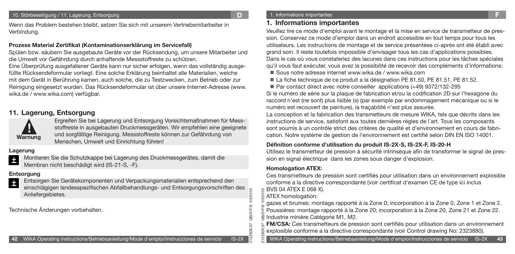#### 10. Störbeseitigung / 11. Lagerung, Entsorgung **D**

Wenn das Problem bestehen bleibt, setzen Sie sich mit unserem Vertriebsmitarbeiter in Verbindung.

#### **Prozess Material Zertifikat (Kontaminationserklärung im Servicefall)**

Spülen bzw. säubern Sie ausgebaute Geräte vor der Rücksendung, um unsere Mitarbeiter und die Umwelt vor Gefährdung durch anhaftende Messstoffreste zu schützen.

Eine Überprüfung ausgefallener Geräte kann nur sicher erfolgen, wenn das vollständig ausgefüllte Rücksendeformular vorliegt. Eine solche Erklärung beinhaltet alle Materialien, welche mit dem Gerät in Berührung kamen, auch solche, die zu Testzwecken, zum Betrieb oder zur Reinigung eingesetzt wurden. Das Rücksendeformular ist über unsere Internet-Adresse (www. wika.de / www.wika.com) verfügbar.

### **11. Lagerung, Entsorgung**



Ergreifen Sie bei Lagerung und Entsorgung Vorsichtsmaßnahmen für Messstoffreste in ausgebauten Druckmessgeräten. Wir empfehlen eine geeignete und sorgfältige Reinigung. Messstoffreste können zur Gefährdung von Menschen, Umwelt und Einrichtung führen!

### **Lagerung**

Montieren Sie die Schutzkappe bei Lagerung des Druckmessgerätes, damit die İ Membran nicht beschädigt wird (IS-21-S, -F).

### **Entsorgung**

- Entsorgen Sie Gerätekomponenten und Verpackungsmaterialien entsprechend den İ
- einschlägigen landesspezifischen Abfallbehandlungs- und Entsorgungsvorschriften des Anliefergebietes.

Technische Änderungen vorbehalten.

#### 1. Informations importantes

### **1. Informations importantes**

Veuillez lire ce mode d'emploi avant le montage et la mise en service de transmetteur de pression. Conservez ce mode d'emploi dans un endroit accessible en tout temps pour tous les utilisateurs. Les instructions de montage et de service présentées ci-après ont été établi avec grand soin. Il reste toutefois impossible d'envisager tous les cas d'applications possibles. Dans le cas où vous constateriez des lacunes dans ces instructions pour les tâches spéciales qu'il vous faut exécuter, vous avez la possibilité de recevoir des compléments d'informations:

- Sous notre adresse internet www.wika.de / www.wika.com
- La fiche technique de ce produit a la désignation PE 81.50, PE 81.51, PE 81.52.
- Par contact direct avec notre conseiller applications (+49) 9372/132-295

Si le numéro de série sur la plaque de fabrication et/ou la codification 2D sur l'hexagone du raccord n'est (ne sont) plus lisible (s) (par exemple par endommagement mécanique ou si le numéro est recouvert de peinture), la traçabilité n'est plus assurée.

La conception et la fabrication des transmetteurs de mesure WIKA, tels que décrits dans les instructions de service, satisfont aux toutes dernières règles de l'art. Tous les composants sont soumis à un contrôle strict des critères de qualité et d'environnement en cours de fabrication. Notre système de gestion de l'environnement est certifié selon DIN EN ISO 14001.

### **Définition conforme d'utilisation du produit IS-2X-S, IS-2X-F, IS-20-H**

Utilisez le transmetteur de pression à sécurité intrinsèque afin de transformer le signal de pression en signal électrique dans les zones sous danger d'explosion.

### **Homologation ATEX:**

Ces transmetteurs de pression sont certifiés pour utilisation dans un environnement explosible conforme a la directive correspondante (voir certificat d'examen CE de type ici inclus

BVS 04 ATEX E 068 X).

### ATEX homologation:

2132926.07 GB/D/F/E 03/2010

GB/D/F  $\overline{0}$ 26.

03/2010

2132926.07 GB/D/F/E 03/2010

 $\circ$  $20 -$ 

> gazes et brumes: montage rapporté à la Zone 0; incorporation à la Zone 0, Zone 1 et Zone 2. Poussières: montage rapporté à la Zone 20; incorporation à la Zone 20, Zone 21 et Zone 22. Industrie minière Catégorie M1, M2.

> **FM/CSA:** Ces transmetteurs de pression sont certifiés pour utilisation dans un environnement explosible conforme a la directive correspondante (voir Control drawing No: 2323880).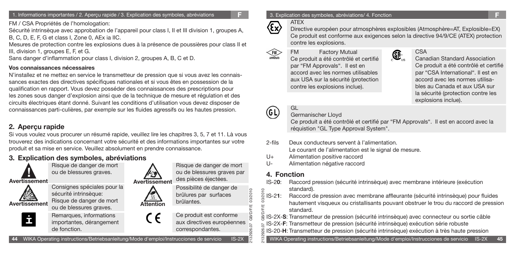1. Informations importantes / 2. Aperçu rapide / 3. Explication des symboles, abréviations **F**

FM / CSA Propriétés de l'homologation:

Sécurité intrinsèque avec approbation de l'appareil pour class I, II et III division 1, groupes A, B, C, D, E, F, G et class I, Zone 0, AEx ia IIC.

Mesures de protection contre les explosions dues à la présence de poussières pour class II et III, division 1, groupes E, F, et G.

Sans danger d'inflammation pour class I, division 2, groupes A, B, C et D.

### **Vos connaissances nécessaires**

N'installez et ne mettez en service le transmetteur de pression que si vous avez les connaissances exactes des directives spécifiques nationales et si vous êtes en possession de la qualification en rapport. Vous devez posséder des connaissances des prescriptions pour les zones sous danger d'explosion ainsi que de la technique de mesure et régulation et des circuits électriques étant donné. Suivant les conditions d'utilisation vous devez disposer de connaissances parti-culières, par exemple sur les fluides agressifs ou les hautes pression.

### **2. Aperçu rapide**

Si vous voulez vous procurer un résumé rapide, veuillez lire les chapitres 3, 5, 7 et 11. Là vous trouverez des indications concernant votre sécurité et des informations importantes sur votre produit et sa mise en service. Veuillez absolument en prendre connaissance.

### **3. Explication des symboles, abréviations**



ou de blessures graves.





sécurité intrinsèque: Risque de danger de mort ou de blessures graves. Remarques, informations

importantes, dérangement de fonction.



Risque de danger de mort ou de blessures graves par des pièces éjectées.

Possibilité de danger de brûlures par surfaces brûlantes.



2132926.07 GB/D/F/E 03/2010

03/2010 13/2010

2132926.07 GB/D/F/E 03/2010

8

#### 3. Explication des symboles, abréviations/ 4. Fonction



(FM)

Directive européen pour atmosphères explosibles (Atmosphère=AT, Explosible=EX) Ce produit est conforme aux exigences selon la directive 94/9/CE (ATEX) protection contre les explosions.

 $\bigoplus_{\cup s}$ 

FM Factory Mutual Ce produit a été contrôlé et certifié par "FM Approvals". Il est en accord avec les normes utilisables aux USA sur la sécurité (protection contre les explosions inclue).



### CSA

Canadian Standard Association Ce produit a été contrôlé et certifié par "CSA International". Il est en accord avec les normes utilisables au Canada et aux USA sur la sécurité (protection contre les explosions inclue).

# GL

### Germanischer Lloyd

Ce produit a été contrôlé et certifié par "FM Approvals". Il est en accord avec la réquistion "GL Type Approval System".

2-fils Deux conducteurs servent à l'alimentation.

Le courant de l'alimentation est le signal de mesure.

- U+ Alimentation positive raccord
- U- Alimentation négative raccord

### **4. Fonction**

- IS-2**0**: Raccord pression (sécurité intrinsèque) avec membrane intérieure (exécution standard).
- IS-2**1**: Raccord de pression avec membrane affleurante (sécurité intrinsèque) pour fluides hautement visqueux ou cristallisants pouvant obstruer le trou du raccord de pression standard.

IS-2X-**S**: Transmetteur de pression (sécurité intrinsèque) avec connecteur ou sortie câble

- IS-2X-**F**: Transmetteur de pression (sécurité intrinsèque) exécution série robuste
- IS-20-**H**: Transmetteur de pression (sécurité intrinsèque) exécution à très haute pression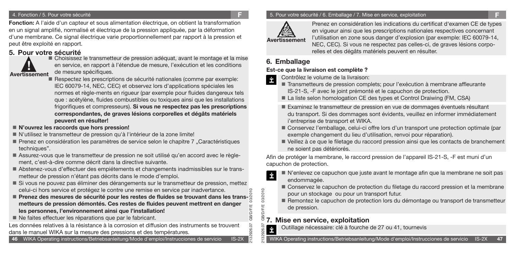### 4. Fonction / 5. Pour votre sécurité

en un signal amplifié, normalisé et électrique de la pression appliquée, par la déformation **Fonction:** A l'aide d'un capteur et sous alimentation électrique, on obtient la transformation d'une membrane. Ce signal électrique varie proportionnellement par rapport à la pression et peut être exploité en rapport.

### **5. Pour votre sécurité**



 Choisissez le transmetteur de pression adéquat, avant le montage et la mise en service, en rapport à l'étendue de mesure, l'exécution et les conditions de mesure spécifiques.

- Respectez les prescriptions de sécurité nationales (comme par exemple: IEC 60079-14, NEC, CEC) et observez lors d'applications spéciales les normes et règle-ments en rigueur (par exemple pour fluides dangereux tels que : acétylène, fluides combustibles ou toxiques ainsi que les installations frigorifiques et compresseurs). **Si vous ne respectez pas les prescriptions correspondantes, de graves lésions corporelles et dégâts matériels peuvent en résulter!**
- **N'ouvrez les raccords que hors pression!**
- N'utilisez le transmetteur de pression qu'à l'intérieur de la zone limite!
- Prenez en considération les paramètres de service selon le chapitre 7 "Caractéristiques techniques".
- Assurez-vous que le transmetteur de pression ne soit utilisé qu'en accord avec le règlement, c'est-à-dire comme décrit dans la directive suivante.
- Abstenez-vous d'effectuer des empiétements et changements inadmissibles sur le transmetteur de pression n'étant pas décrits dans le mode d'emploi.
- Si vous ne pouvez pas éliminer des dérangements sur le transmetteur de pression, mettez celui-ci hors service et protégez le contre une remise en service par inadvertance.
- 2132926.07 GB/D/F/E 03/2010 **■ Prenez des mesures de sécurité pour les restes de fluides se trouvant dans les transmetteurs de pression démontés. Ces restes de fluides peuvent mettrent en danger les personnes, l'environnement ainsi que l'installation!**
- Ne faites effectuer les réparations que par le fabricant.

Les données relatives à la résistance à la corrosion et diffusion des instruments se trouvent dans le manuel WIKA sur la mesure des pressions et des températures.

**46** WIKA Operating instructions/Betriebsanleitung/Mode d'emploi/Instrucciones de servicio IS-2X

### 5. Pour votre sécurité / 6. Emballage / 7. Mise en service, exploitation **F**



**F**

Prenez en considération les indications du certificat d'examen CE de types en vigueur ainsi que les prescriptions nationales respectives concernant l'utilisation en zone sous danger d'explosion (par exemple: IEC 60079-14, NEC, CEC). Si vous ne respectez pas celles-ci, de graves lésions corporelles et des dégâts matériels peuvent en résulter.

### **6. Emballage**

### **Est-ce que la livraison est complète ?**

Contrôlez le volume de la livraison: İ

- Transmetteurs de pression complets; pour l'exécution à membrane affleurante IS-21-S, -F avec le joint prémonté et le capuchon de protection.
- La liste selon homologation CE des types et Control Draiwing (FM, CSA)
- Examinez le transmetteur de pression en vue de dommages éventuels résultant du transport. Si des dommages sont évidents, veuillez en informer immédiatement i'entreprise de transport et WIKA.
- Conservez l'emballage, celui-ci offre lors d'un transport une protection optimale (par exemple changement du lieu d'utilisation, renvoi pour réparation).
- Veillez à ce que le filetage du raccord pression ainsi que les contacts de branchement ne soient pas détériorés.

Afin de protéger la membrane, le raccord pression de l'appareil IS-21-S, -F est muni d'un capuchon de protection.

- N'enlevez ce capuchon que juste avant le montage afin que la membrane ne soit pas İ endommagée.
	- Conservez le capuchon de protection du filetage du raccord pression et la membrane pour un stockage ou pour un transport futur.
	- Remontez le capuchon de protection lors du démontage ou transport de transmetteur de pression.

### **7. Mise en service, exploitation**

2132926.07 GB/D/F/E 03/2010

26.

D/F/E ਰ

03/2010

Outillage nécessaire: clé à fourche de 27 ou 41, tournevis İ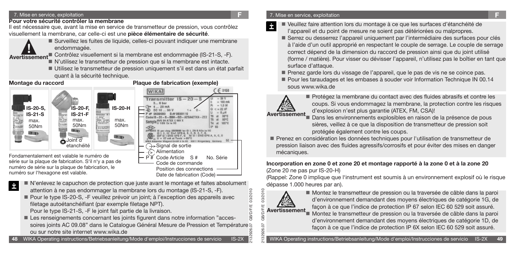#### 7. Mise en service, exploitation **F**

### **Pour votre sécurité contrôler la membrane**

Il est nécessaire que, avant la mise en service de transmetteur de pression, vous contrôlez visuellement la membrane, car celle-ci est une **pièce élémentaire de sécurité**.



İ

 Surveillez les fuites de liquide, celles-ci pouvant indiquer une membrane endommagée.

endommagée.<br> **Avertissement**<br>
Contrôlez visuellement si la membrane est endommagée (IS-21-S, -F).

N'utilisez le transmetteur de pression que si la membrane est intacte.

 Utilisez le transmetteur de pression uniquement s'il est dans un état parfait quant à la sécurité technique.

### **Montage du raccord Plaque de fabrication (exemple)**



série sur la plaque de fabrication. S'il n'y a pas de numéro de série sur la plaque de fabrication, le numéro sur l'hexagone est valable.

> N'enlevez le capuchon de protection que juste avant le montage et faites absolument attention à ne pas endommager la membrane lors du montage (IS-21-S, -F).

Position des connections Date de fabrication (Code)

 Pour le type IS-20-S, -F veuillez prévoir un joint; à l'exception des appareils avec filetage autoétanchéifiant (par exemple filetage NPT).

Pour le type IS-21-S, -F le joint fait partie de la livraison.

2132926.07 GB/D/F/E 03/2010 Les renseignements concernant les joints figurent dans notre information "accessoires joints AC 09.08" dans le Catalogue Général Mesure de Pression et Température S ou sur notre site internet www.wika.de

**48** WIKA Operating instructions/Betriebsanleitung/Mode d'emploi/Instrucciones de servicio IS-2X

### 7. Mise en service, exploitation **F**

- Veuillez faire attention lors du montage à ce que les surfaces d'étanchéité de İ
	- l'appareil et du point de mesure ne soient pas détériorées ou malpropres.
	- Serrez ou desserrez l'appareil uniquement par l'intermédiaire des surfaces pour clés à l'aide d'un outil approprié en respectant le couple de serrage. Le couple de serrage correct dépend de la dimension du raccord de pression ainsi que du joint utilisé (forme / matière). Pour visser ou dévisser l'appareil, n'utilisez pas le boîtier en tant que surface d'attaque.
	- Prenez garde lors du vissage de l'appareil, que le pas de vis ne se coince pas.
	- Pour les taraudages et les embases à souder voir Information Technique IN 00.14 sous www.wika.de



 Protégez la membrane du contact avec des fluides abrasifs et contre les coups. Si vous endommagez la membrane, la protection contre les risques d'explosion n'est plus garantie (ATEX, FM, CSA)!

### Dans les environnements explosibles en raison de la présence de pous sières, veillez à ce que la disposition de transmetteur de pression soit protégée également contre les coups.

 Prenez en considération les données techniques pour l'utilisation de transmetteur de pression liaison avec des fluides agressifs/corrosifs et pour éviter des mises en danger mécaniques.

### **Incorporation en zone 0 et zone 20 et montage rapporté à la zone 0 et à la zone 20** (Zone 20 ne pas pur IS-20-H)

(Rappel: Zone 0 implique que l'instrument est soumis à un environnement explosif où le risque dépasse 1.000 heures par an).



03/2010

 Montez le transmetteur de pression ou la traversée de câble dans la paroi d'environnement demandant des moyens électriques de catégorie 1G, de façon à ce que l'indice de protection IP 67 selon IEC 60 529 soit assuré. Montez le transmetteur de pression ou la traversée de câble dans la paroi d'environnement demandant des moyens électriques de catégorie 1D, de

façon à ce que l'indice de protection IP 6X selon IEC 60 529 soit assuré.

WIKA Operating instructions/Betriebsanleitung/Mode d'emploi/Instrucciones de servicio IS-2X **49**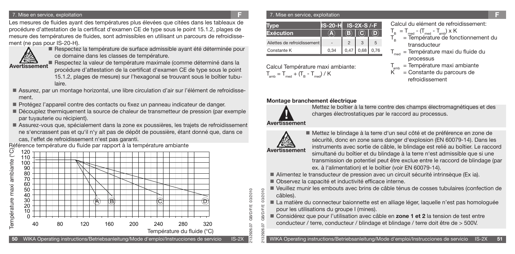#### 7. Mise en service, exploitation **F**

Les mesures de fluides ayant des températures plus élevées que citées dans les tableaux de procédure d'attestation de la certificat d'examen CE de type sous le point 15.1.2, plages de mesure des températures de fluides, sont admissibles en utilisant un parcours de refroidissement (ne pas pour IS-20-H).



Respectez la température de surface admissible ayant été déterminée pour ce domaine dans les classes de température.

**Avertissement**

 Respectez la valeur de température maximale (comme déterminé dans la procédure d'attestation de la certificat d'examen CE de type sous le point 15.1.2, plages de mesure) sur l'hexagonal se trouvant sous le boîtier tubulaire.

- Assurez, par un montage horizontal, une libre circulation d'air sur l'élément de refroidissement.
- Protégez l'appareil contre des contacts ou fixez un panneau indicateur de danger.
- Découplez thermiquement la source de chaleur de transmetteur de pression (par exemple par tuyauterie ou récipient).
- Assurez-vous que, spécialement dans la zone ex poussières, les trajets de refroidissement ne s'encrassent pas et qu'il n'y ait pas de dépôt de poussière, étant donné que, dans ce cas, l'effet de refroidissement n'est pas garanti.<br>Référence température du fluide par rapport à la température ambiante



#### 7. Mise en service, exploitation **F**

|                             | <b>IS-20-H</b> |      |      | $IS-2X-S$ /-F |  |  |  |  |
|-----------------------------|----------------|------|------|---------------|--|--|--|--|
| Exécution                   |                | B)   |      |               |  |  |  |  |
| Ailettes de refroidissement |                |      |      | 5             |  |  |  |  |
| Constante K                 | 0.34           | 0,47 | 0,68 | 0.76          |  |  |  |  |

Calcul Température maxi ambiante:

 $T_{\text{amb}} = T_{\text{med}} + (T_{\text{B}} - T_{\text{med}}) / K$ 

Calcul du elément de refroidissement:

$$
T_{\rm B} = T_{\rm med} - (T_{\rm med} - T_{\rm amb}) \times K
$$

- = Température de fonctionnement du transducteur
- $T_{med}$  = Température maxi du fluide du processus

 $T_{amb}$  = Température maxi ambiante<br>K = Constante du parcours de

 $=$  Constante du parcours de refroidissement

### **Montage branchement électrique**



Mettez le boîtier à la terre contre des champs électromagnétiques et des charges électrostatiques par le raccord au processus.

### **Avertissement**



2132926.07 GB/D/F/E 03/2010

 $\frac{8}{2}$ 

03/2010 03/2010

2132926.07 GB/D/F/E 03/2010

**GB/D/F/E** GB/D/F/

 Mettez le blindage à la terre d'un seul côté et de préférence en zone de sécurité, donc en zone sans danger d'explosion (EN 60079-14). Dans les instruments avec sortie de câble, le blindage est relié au boîtier. Le raccord simultané du boîtier et du blindage à la terre n'est admissible que si une transmission de potentiel peut être exclue entre le raccord de blindage (par ex. à l'alimentation) et le boîtier (voir EN 60079-14).

- Alimentez le transducteur de pression avec un circuit sécurité intrinsèque (Ex ia).
- Observez la capacité et inductivité efficace interne.
- Veuillez munir les embouts avec brins de câble ténus de cosses tubulaires (confection de câbles).
- La matière du connecteur baionnette est en alliage léger, laquelle n'est pas homologuée pour les utilisations du groupe I (mines).
- Considérez que pour l'utilisation avec câble en **zone 1 et 2** la tension de test entre conducteur / terre, conducteur / blindage et blindage / terre doit être de > 500V.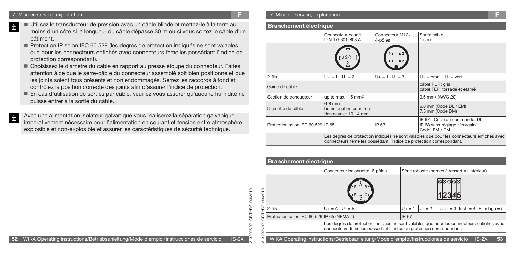İ

İ

- Utilisez le transducteur de pression avec un câble blindé et mettez-le à la terre au moins d'un côté si la longueur du câble dépasse 30 m ou si vous sortez le câble d'un bâtiment.
- Protection IP selon IEC 60 529 (les degrés de protection indiqués ne sont valables que pour les connecteurs enfichés avec connecteurs femelles possédant l'indice de protection correspondant).
- Choisissez le diamètre du câble en rapport au presse étoupe du connecteur. Faites attention à ce que le serre-câble du connecteur assemblé soit bien positionné et que les joints soient tous présents et non endommagés. Serrez les raccords à fond et contrôlez la position correcte des joints afin d'assurer l'indice de protection.
- En cas d'utilisation de sorties par câble, veuillez vous assurer qu'aucune humidité ne puisse entrer à la sortie du câble.
- Avec une alimentation isolateur galvanique vous réaliserez la séparation galvanique impérativement nécessaire pour l'alimentation en courant et tension entre atmosphère explosible et non-explosible et assurer les caractéristiques de sécurité technique.

#### **Branchement électrique**

|                                   | Connecteur coudé<br>DIN 175301-803 A                                                                                                                              | Connecteur M12x1,<br>4-pôles | Sortie câble,<br>1,5m                                                           |  |  |  |  |
|-----------------------------------|-------------------------------------------------------------------------------------------------------------------------------------------------------------------|------------------------------|---------------------------------------------------------------------------------|--|--|--|--|
|                                   | $\mathbf{I}$ 3 $\circledcirc$                                                                                                                                     |                              |                                                                                 |  |  |  |  |
| $2$ -fils                         | $U_+ = 1$ $ U_- = 2$                                                                                                                                              | $U_+ = 1$ $U_- = 3$          | $U_+$ = brun $ U_-=$ vert                                                       |  |  |  |  |
| Gaine de câble                    |                                                                                                                                                                   |                              | câble PUR: gris<br>câble FEP: torsadé et étamé                                  |  |  |  |  |
| Section de conducteur             | up to max. $1.5 \text{ mm}^2$                                                                                                                                     |                              | 0,5 mm <sup>2</sup> (AWG 20)                                                    |  |  |  |  |
| Diamètre de câble                 | $6-8$ mm<br>homologation construc-<br>tion navale: 10-14 mm                                                                                                       |                              | 6,8 mm (Code DL / EM)<br>7,5 mm (Code DM)                                       |  |  |  |  |
| Protection selon IEC 60 529 IP 65 |                                                                                                                                                                   |                              | IP 67 - Code de commande: DL<br>IP 68 sans réglage zéro/gain -<br>Code: EM / DM |  |  |  |  |
|                                   | Les degrés de protection indiqués ne sont valables que pour les connecteurs enfichés avec<br>connecteurs femelles possédant l'indice de protection correspondant. |                              |                                                                                 |  |  |  |  |

### **Branchement électrique**

2132926.07 GB/D/F/E 03/2010

26.07

**GB/D/F/E** 

03/2010

|           |                                            |                        | Connecteur bajonnette, 6-pôles                                                                                                                                    |                     | Série robuste (bornes à ressort à l'intérieur)           |         |    |
|-----------|--------------------------------------------|------------------------|-------------------------------------------------------------------------------------------------------------------------------------------------------------------|---------------------|----------------------------------------------------------|---------|----|
| 03/2010   |                                            |                        | B.                                                                                                                                                                |                     |                                                          |         |    |
| FÆ        | 2-fils                                     | $U_+ = A \mid U_- = B$ |                                                                                                                                                                   | $U_+ = 1$ $U_- = 2$ | $\text{Test}+ = 3 \text{ Test} - 4 \text{ Blindage} = 5$ |         |    |
| GB/D      | Protection selon IEC 60 529 IP 65 (NEMA 4) |                        |                                                                                                                                                                   | IP 67               |                                                          |         |    |
| 132926.07 |                                            |                        | Les degrés de protection indiqués ne sont valables que pour les connecteurs enfichés avec<br>connecteurs femelles possédant l'indice de protection correspondant. |                     |                                                          |         |    |
| $\sim$    |                                            |                        | WIKA Operating instructions/Betriebsanleitung/Mode d'emploi/Instrucciones de servicio                                                                             |                     |                                                          | $IS-2X$ | 53 |

**52** WIKA Operating instructions/Betriebsanleitung/Mode d'emploi/Instrucciones de servicio IS-2X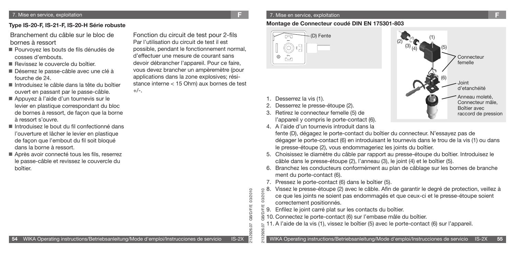### **Type IS-20-F, IS-21-F, IS-20-H Série robuste**

 Branchement du câble sur le bloc de bornes à ressort

- Pourvoyez les bouts de fils dénudés de cosses d'embouts.
- Revissez le couvercle du boîtier.
- Déserrez le passe-câble avec une clé à fourche de 24.
- Introduisez le câble dans la tête du boîtier ouvert en passant par le passe-câble.
- Appuyez à l'aide d'un tournevis sur le levier en plastique correspondant du bloc de bornes à ressort, de façon que la borne à ressort s'ouvre.
- Introduisez le bout du fil confectionné dans l'ouverture et lâcher le levier en plastique de façon que l'embout du fil soit bloqué dans la borne à ressort.
- Après avoir connecté tous les fils, reserrez le passe-câble et revissez le couvercle du boîtier.

Fonction du circuit de test pour 2-fils Par l'utilisation du circuit de test il est possible, pendant le fonctionnement normal, d'effectuer une mesure de courant sans devoir débrancher l'appareil. Pour ce faire, vous devez brancher un ampèremètre (pour applications dans la zone explosives; résistance interne < 15 Ohm) aux bornes de test  $+/-$ .

#### 7. Mise en service, exploitation **F**

### **Montage de Connecteur coudé DIN EN 175301-803**



- 1. Desserrez la vis (1).
- 2. Desserrez le presse-étoupe (2).
- 3. Retirez le connecteur femelle (5) de l'appareil y compris le porte-contact (6).
- 4. A l'aide d'un tournevis introduit dans la



fente (D), dégagez le porte-contact du boîtier du connecteur. N'essayez pas de dégager le porte-contact (6) en introduisant le tournevis dans le trou de la vis (1) ou dans le presse-étoupe (2), vous endommageriez les joints du boîtier.

- 5. Choisissez le diamètre du câble par rapport au presse-étoupe du boîtier. Introduisez le câble dans le presse-étoupe (2), l'anneau (3), le joint (4) et le boîtier (5).
- 6. Branchez les conducteurs conformément au plan de câblage sur les bornes de branche ment du porte-contact (6).
- 7. Pressez le porte-contact (6) dans le boîtier (5).
- e 8. Vissez le presse-étoupe (2) avec le câble. Afin de garantir le degré de protection, veillez à<br>ce que les joints ne soient pas endommagés et que ceux-ci et le presse-étoupe soient ce que les joints ne soient pas endommagés et que ceux-ci et le presse-étoupe soient correctement positionnés.
- 2132926.07 GB/D/F/E 03/2010 9. Enfilez le joint carré plat sur les contacts du boîtier.
- 10. Connectez le porte-contact (6) sur l'embase mâle du boîtier. Ψij
- 11. A l'aide de la vis (1), vissez le boîtier (5) avec le porte-contact (6) sur l'appareil.

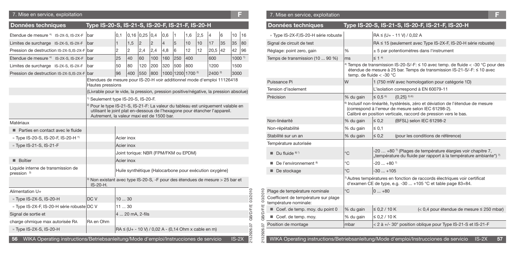### 7. Mise en service, exploitation **F** 7. Mise en service, exploitation **F**

| <b>Données techniques</b>                                                                   | Type IS-20-S, IS-21-S, IS-20-F, IS-21-F, IS-20-H                                                                                                                                                                        |              |                |                  |                |                                                          |                   |     |     |                    |    |                   |    |
|---------------------------------------------------------------------------------------------|-------------------------------------------------------------------------------------------------------------------------------------------------------------------------------------------------------------------------|--------------|----------------|------------------|----------------|----------------------------------------------------------|-------------------|-----|-----|--------------------|----|-------------------|----|
| Etendue de mesure *) IS-2X-S, IS-2X-F                                                       | bar                                                                                                                                                                                                                     | 0,1          |                | $0,16$ 0,25 0,4  |                | 0,6                                                      | 1                 | 1,6 | 2,5 | $\overline{4}$     | 6  | 10                | 16 |
| Limites de surcharge IS-2X-S, IS-2X-F                                                       | bar                                                                                                                                                                                                                     | $\mathbf{1}$ | 1,5            | 2                | $\overline{c}$ | $\overline{4}$                                           | 5                 | 10  | 10  | 17                 | 35 | 35                | 80 |
| Pression de destruction IS-2X-S.IS-2X-F bar                                                 |                                                                                                                                                                                                                         | 2            | $\overline{2}$ | 2,4              | 2,4            | 4,8                                                      | 6                 | 12  | 12  | 20,5               | 42 | 42                | 96 |
| Etendue de mesure *) IS-2X-S, IS-2X-F                                                       | bar                                                                                                                                                                                                                     | 25           | 40             | 60               | 100            | 160                                                      | 250               | 400 |     | 600                |    | 1000 <sup>1</sup> |    |
| Limites de surcharge IS-2X-S, IS-2X-F                                                       | bar                                                                                                                                                                                                                     | 50           | 80             | 120              | 200            | 320                                                      | 500               | 800 |     | 1200               |    | 1500              |    |
| Pression de destruction IS-2X-S.IS-2X-F                                                     | bar                                                                                                                                                                                                                     | 96           | 400            | 550              | 800            |                                                          | 1000 1200 1700 2) |     |     | 2400 <sup>2)</sup> |    | 3000              |    |
|                                                                                             | Etendues de mesure pour IS-20-H voir additionnel mode d'emploi 11126418<br>Hautes pressions                                                                                                                             |              |                |                  |                |                                                          |                   |     |     |                    |    |                   |    |
|                                                                                             | {Livrable pour le vide, la pression, pression positive/négative, la pression absolue}                                                                                                                                   |              |                |                  |                |                                                          |                   |     |     |                    |    |                   |    |
|                                                                                             | <sup>1)</sup> Seulement type IS-20-S, IS-20-F.                                                                                                                                                                          |              |                |                  |                |                                                          |                   |     |     |                    |    |                   |    |
|                                                                                             | <sup>2)</sup> Pour le type IS-21-S, IS-21-F: La valeur du tableau est uniquement valable en<br>utilisant le joint plat en-dessous de l'hexagone pour étancher l'appareil.<br>Autrement, la valeur maxi est de 1500 bar. |              |                |                  |                |                                                          |                   |     |     |                    |    |                   |    |
| Matériaux                                                                                   |                                                                                                                                                                                                                         |              |                |                  |                |                                                          |                   |     |     |                    |    |                   |    |
| Parties en contact avec le fluide                                                           |                                                                                                                                                                                                                         |              |                |                  |                |                                                          |                   |     |     |                    |    |                   |    |
| » Type IS-20-S, IS-20-F, IS-20-H *)                                                         |                                                                                                                                                                                                                         | Acier inox   |                |                  |                |                                                          |                   |     |     |                    |    |                   |    |
| » Type IS-21-S, IS-21-F                                                                     |                                                                                                                                                                                                                         | Acier inox   |                |                  |                |                                                          |                   |     |     |                    |    |                   |    |
|                                                                                             |                                                                                                                                                                                                                         |              |                |                  |                | Joint torique: NBR {FPM/FKM ou EPDM}                     |                   |     |     |                    |    |                   |    |
| <b>Boîtier</b>                                                                              |                                                                                                                                                                                                                         | Acier inox   |                |                  |                |                                                          |                   |     |     |                    |    |                   |    |
| Liquide interne de transmission de<br>pression <sup>3)</sup>                                |                                                                                                                                                                                                                         |              |                |                  |                | Huile synthétique {Halocarbone pour exécution oxygène}   |                   |     |     |                    |    |                   |    |
|                                                                                             | 3) Non existant avec type IS-20-S, -F pour des étendues de mesure > 25 bar et<br>IS-20-H.                                                                                                                               |              |                |                  |                |                                                          |                   |     |     |                    |    |                   |    |
| Alimentation U+                                                                             |                                                                                                                                                                                                                         |              |                |                  |                |                                                          |                   |     |     |                    |    |                   |    |
| » Type IS-2X-S, IS-20-H                                                                     | DC V                                                                                                                                                                                                                    | 1030         |                |                  |                |                                                          |                   |     |     |                    |    |                   |    |
| » Type IS-2X-F, IS-20-H série robuste DC V                                                  |                                                                                                                                                                                                                         | 1130         |                |                  |                |                                                          |                   |     |     |                    |    |                   |    |
| Signal de sortie et                                                                         |                                                                                                                                                                                                                         |              |                | 4  20 mA, 2-fils |                |                                                          |                   |     |     |                    |    |                   |    |
| charge ohmique max autorisée RA                                                             | RA en Ohm                                                                                                                                                                                                               |              |                |                  |                |                                                          |                   |     |     |                    |    |                   |    |
| » Type IS-2X-S, IS-20-H                                                                     |                                                                                                                                                                                                                         |              |                |                  |                | $RA \leq (U + -10 V) / 0.02 A - (0.14 Ohm x cable en m)$ |                   |     |     |                    |    |                   |    |
| WIKA Operating instructions/Betriebsanleitung/Mode d'emploi/Instrucciones de servicio<br>56 |                                                                                                                                                                                                                         |              |                |                  |                |                                                          |                   |     |     |                    |    | $IS-2X$           |    |

| <b>Données techniques</b>                                     |               | Type IS-20-S, IS-21-S, IS-20-F, IS-21-F, IS-20-H                                                                                                                                                                      |  |  |  |  |  |
|---------------------------------------------------------------|---------------|-----------------------------------------------------------------------------------------------------------------------------------------------------------------------------------------------------------------------|--|--|--|--|--|
| » Type IS-2X-F,IS-20-H série robuste                          |               | $RA \leq (U + -11 V) / 0.02 A$                                                                                                                                                                                        |  |  |  |  |  |
| Signal de circuit de test                                     |               | RA ≤ 15 (seulement avec Type IS-2X-F, IS-20-H série robuste)                                                                                                                                                          |  |  |  |  |  |
| Réglage: point zero, gain                                     | $\frac{0}{0}$ | $\pm$ 5 par potentiomètres dans l'instrument                                                                                                                                                                          |  |  |  |  |  |
| Temps de transmission (10  90 %)                              | ms            | $\leq$ 1 4                                                                                                                                                                                                            |  |  |  |  |  |
|                                                               |               | <sup>4)</sup> Temps de transmission IS-20-S/-F: $\leq$ 10 avec temp. de fluide $<$ -30 °C pour des<br>étendue de mesure à 25 bar. Temps de transmission IS-21-S/-F: ≤ 10 avec<br>temp. de fluide $<$ -30 $^{\circ}$ C |  |  |  |  |  |
| Puissance Pi                                                  | W             | 1 (750 mW avec homologation pour catégorie 1D)                                                                                                                                                                        |  |  |  |  |  |
| Tension d'isolement                                           |               | L'isolation correspond à EN 60079-11                                                                                                                                                                                  |  |  |  |  |  |
| Précision                                                     | % du gain     | $\leq 0.5^{6}$<br>$(0.25)$ <sup>5) 6)</sup>                                                                                                                                                                           |  |  |  |  |  |
|                                                               |               | <sup>6)</sup> Inclusif non-linéarité, hystérésis, zéro et déviation de l'étendue de mesure<br>(correspond à l'erreur de mesure selon IEC 61298-2).<br>Calibré en position verticale, raccord de pression vers le bas. |  |  |  |  |  |
| Non-linéarité                                                 | % du gain     | $\leq 0.2$<br>(BFSL) selon IEC 61298-2                                                                                                                                                                                |  |  |  |  |  |
| Non-répétabilité                                              | % du gain     | $\leq 0.1$                                                                                                                                                                                                            |  |  |  |  |  |
| Stabilité sur un an                                           | % du gain     | $\leq 0.2$<br>(pour les conditions de référence)                                                                                                                                                                      |  |  |  |  |  |
| Température autorisée                                         |               |                                                                                                                                                                                                                       |  |  |  |  |  |
| $\blacksquare$ Du fluide $8^\circ$ <sup>3</sup>               | °C            | -20  +80 $\frac{7}{1}$ (Plages de température élargies voir chapitre 7,<br>"température du fluide par rapport à la température ambiante") $\frac{1}{2}$                                                               |  |  |  |  |  |
| De l'environnement <sup>8)</sup>                              | $^{\circ}$ C  | $-20$ $+80$ <sup>7</sup>                                                                                                                                                                                              |  |  |  |  |  |
| De stockage                                                   | °C            | $-30+105$                                                                                                                                                                                                             |  |  |  |  |  |
|                                                               |               | 7) Autres températures en fonction de raccords électriques voir certificat<br>d'examen CE de type, e.g. -30  +105 °C et table page 83+84.                                                                             |  |  |  |  |  |
| Plage de température nominale                                 | °C            | $0+80$                                                                                                                                                                                                                |  |  |  |  |  |
| Coefficient de température sur plage<br>température nominale: |               |                                                                                                                                                                                                                       |  |  |  |  |  |
| Coef. de temp. moy. du point 0                                | % du gain     | $\leq 0.2 / 10 K$<br>$(< 0.4$ pour étendue de mesure $\leq 250$ mbar)                                                                                                                                                 |  |  |  |  |  |
| Coef. de temp. moy.                                           | % du gain     | ≤ 0.2 / 10 K                                                                                                                                                                                                          |  |  |  |  |  |
| Position de montage                                           | mbar          | < 2 à +/- 30° position oblique pour Type IS-21-S et IS-21-F                                                                                                                                                           |  |  |  |  |  |
|                                                               |               |                                                                                                                                                                                                                       |  |  |  |  |  |
|                                                               |               | WIKA Operating instructions/Betriebsanleitung/Mode d'emploi/Instrucciones de servicio<br>$IS-2X$<br>57                                                                                                                |  |  |  |  |  |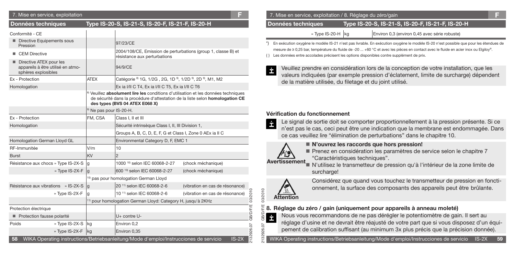| 7. Mise en service, exploitation                                                    |                                    |                                                                                                                                                                                                                  |                                 |  |  |  |  |
|-------------------------------------------------------------------------------------|------------------------------------|------------------------------------------------------------------------------------------------------------------------------------------------------------------------------------------------------------------|---------------------------------|--|--|--|--|
| Données techniques                                                                  |                                    | Type IS-20-S, IS-21-S, IS-20-F, IS-21-F, IS-20-H                                                                                                                                                                 |                                 |  |  |  |  |
| Conformité - CE                                                                     |                                    |                                                                                                                                                                                                                  |                                 |  |  |  |  |
| Directive Equipements sous<br>Pression                                              |                                    | 97/23/CE                                                                                                                                                                                                         |                                 |  |  |  |  |
| <b>CEM Directive</b>                                                                |                                    | 2004/108/CE, Emission de perturbations (group 1, classe B) et<br>résistance aux perturbations                                                                                                                    |                                 |  |  |  |  |
| Directive ATEX pour les<br>appareils à être utilisé en atmo-<br>sphères explosibles |                                    | 94/9/CE                                                                                                                                                                                                          |                                 |  |  |  |  |
| Ex - Protection                                                                     | <b>ATEX</b>                        | Catégorie <sup>8)</sup> 1G, 1/2G, 2G, 1D <sup>9</sup> , 1/2D <sup>9</sup> , 2D <sup>9</sup> , M1, M2                                                                                                             |                                 |  |  |  |  |
| Homologation                                                                        |                                    | Ex ia I/II C T4, Ex ia I/II C T5, Ex ia I/II C T6                                                                                                                                                                |                                 |  |  |  |  |
|                                                                                     |                                    | <sup>8)</sup> Veuillez absolument lire les conditions d'utilisation et les données techniques<br>de sécurité dans la procédure d'attestation de la liste selon homologation CE<br>des types (BVS 04 ATEX E068 X) |                                 |  |  |  |  |
|                                                                                     | <sup>9)</sup> Ne pas pour IS-20-H. |                                                                                                                                                                                                                  |                                 |  |  |  |  |
| Ex - Protection                                                                     | FM, CSA                            | Class I, II et III                                                                                                                                                                                               |                                 |  |  |  |  |
| Homologation                                                                        |                                    | Sécurité intrinsèque Class I, II, III Division 1,                                                                                                                                                                |                                 |  |  |  |  |
|                                                                                     |                                    | Groups A, B, C, D, E, F, G et Class I, Zone 0 AEx ia II C                                                                                                                                                        |                                 |  |  |  |  |
| Homologation German Lloyd GL                                                        |                                    | Environmental Category D, F, EMC 1                                                                                                                                                                               |                                 |  |  |  |  |
| RF-Immunitée                                                                        | V/m                                | 10                                                                                                                                                                                                               |                                 |  |  |  |  |
| <b>Burst</b>                                                                        | <b>KV</b>                          | $\overline{2}$                                                                                                                                                                                                   |                                 |  |  |  |  |
| Résistance aux chocs » Type IS-2X-S                                                 | ۱g                                 | 1000 <sup>10)</sup> selon IEC 60068-2-27                                                                                                                                                                         | (chock méchanique)              |  |  |  |  |
| » Type IS-2X-F                                                                      | g                                  | 600 10) selon IEC 60068-2-27                                                                                                                                                                                     | (chock méchanique)              |  |  |  |  |
|                                                                                     |                                    | <sup>10)</sup> pas pour homologation German Lloyd                                                                                                                                                                |                                 |  |  |  |  |
| Résistance aux vibrations » IS-2X-S                                                 | lg                                 | 20 <sup>11)</sup> selon IEC 60068-2-6                                                                                                                                                                            | (vibration en cas de résonance) |  |  |  |  |
| » Type IS-2X-F                                                                      | l q                                | 10 11) selon IEC 60068-2-6                                                                                                                                                                                       | (vibration en cas de résonance) |  |  |  |  |
|                                                                                     |                                    | <sup>11)</sup> pour homologation German Lloyd: Category H, jusqu'à 2KHz                                                                                                                                          |                                 |  |  |  |  |
| Protection électrique                                                               |                                    |                                                                                                                                                                                                                  |                                 |  |  |  |  |
| Protection fausse polarité                                                          |                                    | U+ contre U-                                                                                                                                                                                                     |                                 |  |  |  |  |
| Poids<br>» Type IS-2X-S                                                             | kg                                 | Environ 0,2                                                                                                                                                                                                      |                                 |  |  |  |  |
| » Type IS-2X-F kg                                                                   |                                    | Environ 0,35                                                                                                                                                                                                     |                                 |  |  |  |  |
| 58                                                                                  |                                    | WIKA Operating instructions/Betriebsanleitung/Mode d'emploi/Instrucciones de servicio                                                                                                                            | $IS-2X$                         |  |  |  |  |

#### 7. Mise en service, exploitation **F** 7. Mise en service, exploitation / 8. Réglage du zéro/gain **F**

 **Données techniques Type IS-20-S, IS-21-S, IS-20-F, IS-21-F, IS-20-H**

» Type IS-20-H kg | Environ 0,3 (environ 0,45 avec série robuste)

\*) En exécution oxygène le modèle IS-21 n'est pas livrable. En exécution oxygène le modèle IS-20 n'est possible que pour les étendues de mesure de ≥ 0,25 bar, température du fluide de -20 ... +60 °C et avec les pièces en contact avec le fluide en acier inox ou Elgiloy®.

{ } Les données entre accolades précisent les options disponibles contre supplément de prix.

İ

Ė

0102/20

26.07 1329 İ

Veuillez prendre en considération lors de la conception de votre installation, que les valeurs indiquées (par exemple pression d'éclatement, limite de surcharge) dépendent de la matière utilisée, du filetage et du joint utilisé.

#### **Vérification du fonctionnement**

Le signal de sortie doit se comporter proportionnellement à la pression présente. Si ce n'est pas le cas, ceci peut être une indication que la membrane est endommagée. Dans ce cas veuillez lire "élimination de perturbations" dans le chapitre 10.



**N'ouvrez les raccords que hors pression!**

Prenez en considération les paramètres de service selon le chapitre 7 "Caractéristiques techniques".

 N'utilisez le transmetteur de pression qu'à l'intérieur de la zone limite de **Avertissement** surcharge!



Considérez que quand vous touchez le transmetteur de pression en fonctionnement, la surface des composants des appareils peut être brûlante.

# 2132926.07 GB/D/F/E 03/2010 **8. Réglage du zéro / gain (uniquement pour appareils à anneau moleté)**

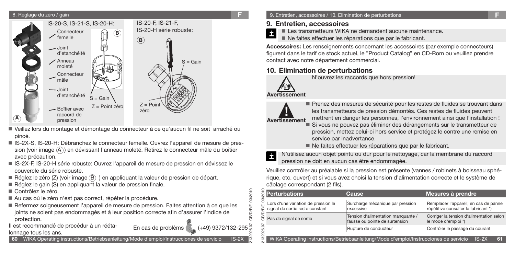#### 8. Réglage du zéro / gain



- Veillez lors du montage et démontage du connecteur à ce qu'aucun fil ne soit arraché ou pincé.
- IS-2X-S, IS-20-H: Débranchez le connecteur femelle. Ouvrez l'appareil de mesure de pression (voir image  $(\widehat{A})$ ) en dévissant l'anneau moleté. Retirez le connecteur mâle du boîtier avec précaution.
- IS-2X-F, IS-20-H série robuste: Ouvrez l'appareil de mesure de pression en dévissez le couvercle du série robuste.
- Réglez le zéro (Z) (voir image  $(B)$ ) en appliquant la valeur de pression de départ.
- Réglez le gain (S) en appliquant la valeur de pression finale.
- Contrôlez le zéro.
- Au cas où le zéro n'est pas correct, répéter la procédure.
- Refermez soigneusement l'appareil de mesure de pression. Faites attention à ce que les joints ne soient pas endommagés et à leur position correcte afin d'assurer l'indice de protection.
- Il est recommandé de procédur à un rééta-<br>
En cas de problèms ( $\frac{1}{2}$  (+49) 9372/132-295
- lonnage tous les ans.

**60** WIKA Operating instructions/Betriebsanleitung/Mode d'emploi/Instrucciones de servicio IS-2X

### 9. Entretien, accessoires / 10. Elimination de perturbations **F**

### **9. Entretien, accessoires**

Les transmetteurs WIKA ne demandent aucune maintenance. İ

Ne faites effectuer les réparations que par le fabricant.

**Accessoires:** Les renseignements concernant les accessoires (par exemple connecteurs) figurent dans le tarif de stock actuel, le "Product Catalog" en CD-Rom ou veuillez prendre contact avec notre département commercial.

### **10. Elimination de perturbations**



N'ouvrez les raccords que hors pression!

# **Avertissement**



Prenez des mesures de sécurité pour les restes de fluides se trouvant dans les transmetteurs de pression démontés. Ces restes de fluides peuvent mettrent en danger les personnes, l'environnement ainsi que l'installation !

- Si vous ne pouvez pas éliminer des dérangements sur le transmetteur de pression, mettez celui-ci hors service et protégez le contre une remise en service par inadvertance.
- Ne faites effectuer les réparations que par le fabricant.



2132926.07 GB/D/F/E 03/2010

03/2010

N'utilisez aucun objet pointu ou dur pour le nettoyage, car la membrane du raccord pression ne doit en aucun cas être endommagée.

Veuillez contrôler au préalable si la pression est présente (vannes / robinets à boisseau sphérique, etc. ouvert) et si vous avez choisi la tension d'alimentation correcte et le système de câblage correspondant (2 fils).

|                                                                                                           | <mark>ទ្ថ</mark> ី Perturbations                                          | <b>Cause</b>                                                         | Mesures à prendre                                                             |  |  |  |  |
|-----------------------------------------------------------------------------------------------------------|---------------------------------------------------------------------------|----------------------------------------------------------------------|-------------------------------------------------------------------------------|--|--|--|--|
| ຌ                                                                                                         | Lors d'une variation de pression le<br>Le signal de sortie reste constant | Surcharge mécanique par pression<br>excessive                        | Remplacer l'appareil; en cas de panne<br>répétitive consulter le fabricant *) |  |  |  |  |
|                                                                                                           | $\mathbb{\hat{B}}$ Pas de signal de sortie                                | Tension d'alimentation manquante /<br>fausse ou pointe de surtension | Corriger la tension d'alimentation selon<br>le mode d'emploi *)               |  |  |  |  |
|                                                                                                           |                                                                           | Rupture de conducteur                                                | Contrôler le passage du courant                                               |  |  |  |  |
| 21329<br>WIKA Operating instructions/Betriebsanleitung/Mode d'emploi/Instrucciones de servicio<br>$IS-2X$ |                                                                           |                                                                      |                                                                               |  |  |  |  |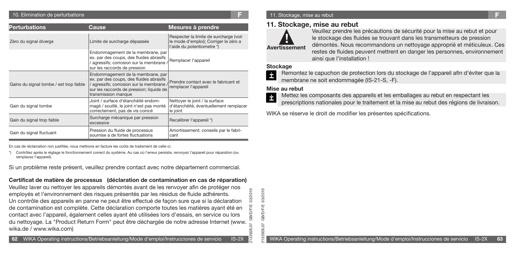#### 10. Elimination de perturbations **F**

| <b>Perturbations</b>                    | Cause                                                                                                                                                                                     | Mesures à prendre                                                                                             |
|-----------------------------------------|-------------------------------------------------------------------------------------------------------------------------------------------------------------------------------------------|---------------------------------------------------------------------------------------------------------------|
| Zéro du signal diverge                  | Limite de surcharge dépassée                                                                                                                                                              | Respecter la limite de surcharge (voir<br>le mode d'emploi); Corriger le zéro a<br>l'aide du potentiometre *) |
|                                         | Endommagement de la membrane, par<br>ex. par des coups, des fluides abrasifs<br>/ agressifs; corrosion sur la membrane /<br>sur les raccords de pression                                  | Remplacer l'appareil                                                                                          |
| Gains du signal tombe / est trop faible | Endommagement de la membrane, par<br>ex. par des coups, des fluides abrasifs<br>/ agressifs; corrosion sur la membrane<br>sur les raccords de pression; liquide de<br>transmission manque | Prendre contact avec le fabricant et<br>remplacer l'appareil                                                  |
| Gain du signal tombe                    | Joint / surface d'étanchéité endom-<br>magé / souillé, le joint n'est pas monté<br>correctement, pas de vis coincé                                                                        | Nettoyer le joint / la surface<br>d'étanchéité, éventuellement remplacer<br>le joint                          |
| Gain du signal trop faible              | Surcharge mécanique par pression<br>excessive                                                                                                                                             | Recalibrer l'appareil *)                                                                                      |
| Gain du signal fluctuant                | Pression du fluide de processus<br>soumise a de fortes fluctuations                                                                                                                       | Amortissement; conseils par le fabri-<br>cant                                                                 |

En cas de réclamation non justifiée, nous mettrons en facture les coûts de traitement de celle-ci.

Contrôlez après le réglage le fonctionnement correct du système. Au cas où l'erreur persiste, renvoyez l'appareil pour réparation (ou remplacez l'appareil).

Si un problème reste présent, veuillez prendre contact avec notre département commercial.

### **Certificat de matière de processus (déclaration de contamination en cas de réparation)**

Veuillez laver ou nettoyer les appareils démontés avant de les renvoyer afin de protéger nos 2010 2132926.07 GB/D/F/E 03/2010 employés et l'environnement des risques présentés par les résidus de fluide adhérents. පි Un contrôle des appareils en panne ne peut être effectué de façon sure que si la déclaration de contamination est complète. Cette déclaration comporte toutes les matières ayant été en bÆ contact avec l'appareil, également celles ayant été utilisées lors d'essais, en service ou lors du nettoyage. La "Product Return Form" peut être déchargée de notre adresse Internet (www. wika.de / www.wika.com)  $\circ$ 26

03/2010 2132926.07 GB/D/F/E 03/2010 **GB/D/F/E** 26.07 329

#### 11. Stockage, mise au rebut

### **11. Stockage, mise au rebut**



Veuillez prendre les précautions de sécurité pour la mise au rebut et pour le stockage des fluides se trouvant dans les transmetteurs de pression démontés. Nous recommandons un nettoyage approprié et méticuleux. Ces restes de fluides peuvent mettrent en danger les personnes, environnement ainsi que l'installation !

### **Stockage**



Remontez le capuchon de protection lors du stockage de l'appareil afin d'éviter que la membrane ne soit endommagée (IS-21-S, -F).

### **Mise au rebut**

- Mettez les composants des appareils et les emballages au rebut en respectant les
- prescriptions nationales pour le traitement et la mise au rebut des régions de livraison.

WIKA se réserve le droit de modifier les présentes spécifications.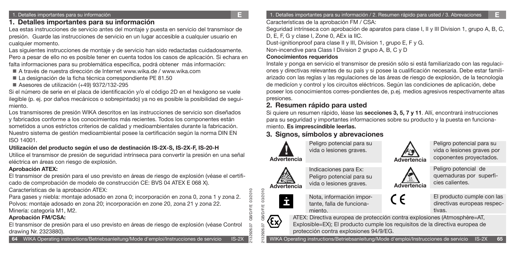### **1. Detalles importantes para su información**

Lea estas instrucciones de servicio antes del montaje y puesta en servicio del transmisor de presión. Guarde las instrucciones de servicio en un lugar accesible a cualquier usuario en cualquier momento.

Las siguientes instrucciones de montaje y de servicio han sido redactadas cuidadosamente. Pero a pesar de ello no es posible tener en cuenta todos los casos de aplicación. Si echara en falta informaciones para su problemática específica, podrá obtener más información:

- A través de nuestra dirección de Internet www.wika.de / www.wika.com
- La designación de la ficha técnica correspondiente PE 81.50
- Asesores de utilización (+49) 9372/132-295

Si el número de serie en el placa de identificación y/o el código 2D en el hexágono se vuele ilegible (p. ej. por daños mecánicos o sobrepintado) ya no es posible la posibilidad de seguimiento.

Los transmisores de presión WIKA descritos en las instrucciones de servicio son diseñados y fabricados conforme a los conocimientos más recientes. Todos los componentes están sometidos a unos estrictos criterios de calidad y medioambientales durante la fabricación. Nuestro sistema de gestión medioambiental posee la certificación según la norma DIN EN ISO 14001.

### **Utilización del producto según el uso de destinación IS-2X-S, IS-2X-F, IS-20-H**

Utilice el transmisor de presión de seguridad intrínseca para convertir la presión en una señal eléctrica en áreas con riesgo de explosión.

### **Aprobación ATEX:**

El transmisor de presión para el uso previsto en áreas de riesgo de explosión (véase el certificado de comprobación de modelo de construcción CE: BVS 04 ATEX E 068 X).

Características de la aprobación ATEX:

Para gases y niebla: montaje adosado en zona 0; incorporación en zona 0, zona 1 y zona 2. Polvos: montaje adosado en zona 20; incorporación en zone 20, zona 21 y zona 22. Minería: categoría M1, M2.

### **Aprobación FM/CSA:**

El transmisor de presión para el uso previsto en áreas de riesgo de explosión (véase Control drawing Nr. 2323880).

1. Detalles importantes para su información / 2. Resumen rápido para usted / 3. Abrevaciones **E**

Características de la aprobación FM / CSA:

Seguridad intrínseca con aprobación de aparatos para clase I, II y III Division 1, grupo A, B, C, D, E, F, G y clase I, Zone 0, AEx ia IIC.

Dust-ignitionproof para clase II y III, Division 1, grupo E, F y G.

Non-incendive para Class I Division 2 grupo A, B, C y D

### **Conocimientos requeridos**

Instale y ponga en servicio el transmisor de presión sólo si está familiarizado con las regulaciones y directivas relevantes de su país y si posee la cualificación necesaria. Debe estar familiarizado con las reglas y las regulaciones de las áreas de riesgo de explosión, de la tecnologia de medicíon y control y los circuitos eléctricos. Según las condiciones de aplicación, debe poseer los conocimientos corres-pondientes de, p.ej. medios agresivos respectivamente altas presiones.

### **2. Resumen rápido para usted**

Si quiere un resumen rápido, léase las **secciones 3, 5, 7 y 11**. Allí, encontrará instrucciones para su seguridad y importantes informaciones sobre su producto y la puesta en funcionamiento. **Es imprescindible leerlas.**

## **3. Signos, símbolos y abrevaciones**



Peligro potencial para su vida o lesiones graves.

**Advertencia**



İ

2132926.07 GB/D/F/E 03/2010

03/2010 03/2010

2132926.07 GB/D/F/E 03/2010

**BIDDE GB/D/F/E** 

Indicaciones para Ex: Peligro potencial para su vida o lesiones graves.

Nota, información importante, falla de funcionamiento.

**Advertencia**

Peligro potencial para su vida o lesiones graves por coponentes proyectados.



quemaduras por superficies calientes.



El producto cumple con las directivas europeas respectivas.

ATEX: Directiva europea de protección contra explosiones (Atmosphère=AT, Explosible=EX); El producto cumple los requisitos de la directiva europea de protección contra explosiones 94/9/EG.

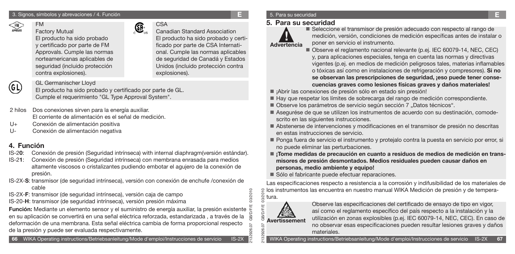

FM

Factory Mutual El producto ha sido probado y certificado por parte de FM Approvals. Cumple las normas norteamericanas aplicables de seguridad (incluido protección contra explosiones).

CSA Canadian Standard Association El producto ha sido probado y certificado por parte de CSA International. Cumple las normas aplicables de seguridad de Canadá y Estados Unidos (incluido protección contra explosiones).

# (GL)

GL Germanischer Lloyd

El producto ha sido probado y certificado por parte de GL. Cumple el requerimiento "GL Type Approval System".

- 2 hilos Dos conexiones sirven para la energía auxiliar. El corriente de alimentación es el señal de medición.
- U+ Conexión de alimentación positiva
- U- Conexión de alimentación negativa

### **4. Función**

IS-2**0**: Conexión de presión (Seguridad intrínseca) with internal diaphragm(versión estándar).

®

- IS-2**1**: Conexión de presión (Seguridad intrínseca) con membrana enrasada para medios altamente viscosos o cristalizantes pudiendo embotar el agujero de la conexión de presión.
- IS-2X-**S**: transmisor (de seguridad intrínseca), versión con conexión de enchufe /conexión de cable
- IS-2X-**F**: transmisor (de seguridad intrínseca), versión caja de campo
- IS-20-**H**: transmisor (de seguridad intrínseca), versión presión máxima

**Función:** Mediante un elemento sensor y el suministro de energía auxiliar, la presión existente en su aplicación se convertirá en una señal eléctrica reforzada, estandarizada , a través de la deformación de una membrana. Esta señal eléctrica cambia de forma proporcional respecto de la presión y puede ser evaluada respectivamente. ର

### 5. Para su securidad

### **5. Para su securidad**



 Seleccione el transmisor de presión adecuado con respecto al rango de medición, versión, condiciones de medición específicas antes de instalar o poner en servicio el instrumento.

- Observe el reglamento nacional relevante (p.ej. IEC 60079-14, NEC, CEC) y, para aplicaciones especiales, tenga en cuenta las normas y directivas vigentes (p.ej. en medios de medición peligrosos tales, materias inflamables o tóxicas así como en instalaciones de refrigeración y compresores). **Si no se observan las prescripciones de seguridad, ¡eso puede tener consecuencias graves como lesiones físicas graves y daños materiales!**
- ¡Abrir las conexiones de presión sólo en estado sin presión!
- Hay que respetar los límites de sobrecarga del rango de medición correspondiente.
- Observe los parámetros de servicio según sección 7 "Datos técnicos".
- Asegurése de que se utilizen los instrumentos de acuerdo con su destinación, comodescrito en las siguientes instrucciones.
- Abstenerse de intervenciones y modificaciones en el transmisor de presión no descritas en estas instrucciones de servicio.
- Ponga fuera de servicio el instrumento y protejalo contra la puesta en servicio por error, si no puede eliminar las perturbaciones.
- ¡Tome medidas de precaución en cuanto a residuos de medios de medición en trans**misores de presión desmontados. Medios residuales pueden causar daños en personas, medio ambiente y equipo!**
- Sólo el fabricante puede efectuar reparaciones.

Las especificaciones respecto a resistencia a la corrosión y indifusibilidad de los materiales de los instrumentos las encuentra en nuestro manual WIKA Medición de presión y de temperatura.



2132926.07 GB/D/F/E 03/2010

0102/80  $\overline{0}$ 

Observe las especificaciones del certificado de ensayo de tipo en vigor, así como el reglamento específico del país respecto a la instalación y la utilización en zonas explosibles (p.ej. IEC 60079-14, NEC, CEC). En caso de no observar esas especificaciones pueden resultar lesiones graves y daños materiales.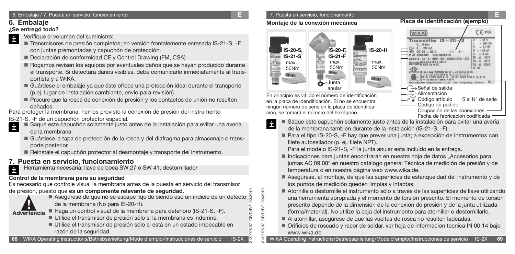### **6. Embalaje**

### **¿Se entregó todo?**

- Verifique el volumen del suministro: İ
	- Transmisores de presión completos; en versión frontalemente enrasada IS-21-S, -F con juntas premontadas y capuchón de protección.
	- Declaración de conformidad CE y Control Drawing (FM, CSA)
	- Rogamos revisen los equipos por eventuales daños que se hayan producido durante el transporte. Si detectara daños visibles, debe comunicarlo inmediatamente al transportista y a WIKA.
	- Guárdese el embalaje ya que éste ofrece una protección ideal durante el transporte (p.ej. lugar de instalación cambiante, envío para revisión).
	- Procure que la rosca de conexión de presión y los contactos de unión no resulten dañados.

Para proteger la membrana, hemos provisto la conexión de presión del instrumento

- IS-21-S, -F de un capuchón protector especial. Ė
	- Saque este capuchón solamente justo antes de la instalación para evitar una avería de la membrana.
	- Guárdese la tapa de protección de la rosca y del diafragma para almacenaje o transporte posterior.
	- Reinstale el capuchón protector al desmontaje y transporte del instrumento.

# **7. Puesta en servicio, funcionamiento**

Herramienta necesaria: llave de boca SW 27 ó SW 41, destornillador İ

### **Control de la membrana para su seguridad**

Es necesario que controle visual la membrana antes de la puesta en servicio del transmisor de presión, puesto que **es un componente relevante de seguridad**.



2132926.07 GB/D/F/E 03/2010 Asegúrese de que no se escape líquido siendo eso un indicio de un defecto de la membrana (No para IS-20-H).

Haga un control visual de la membrana para deterioro (IS-21-S, -F).

- Utilice el transmisor de presión sólo si la membrana es indemne.
- Utilice el transmisor de presión sólo si está en un estado impecable en razón de la seguridad.

**68** WIKA Operating instructions/Betriebsanleitung/Mode d'emploi/Instrucciones de servicio IS-2X

# 7. Puesta en servicio, funcionamiento **E**

### **Montaje de la conexión mecánica**



En principio es válido el número de identificación en la placa de idendificación. Si no se encuentra ningún número de serie en la placa de identificación, se tomará el número del hexágono.

**Transmitter IS**  $= 1.0 V$  $Cl = 22nl$ → Señal de salida Alimentación Código artículo  $S$  #  $N^{\circ}$  de serie P # Código de pedido Ocupación de las conexiones Fecha de fabricación codificada

**WIKA** 

- Saque este capuchón solamente justo antes de la instalación para evitar una avería İ de la membrana tambien durante de la instalación (IS-21-S, -F).
	- Para el tipo IS-20-S, -F hay que prever una junta; a excepción de instrumentos con filete autosellador (p. ej. filete NPT).

Para el modelo IS-21-S, -F la junta anular esta incluido en la entrega.

- Indicaciones para juntas encontrarán en nuestra hoja de datos "Accesorios para juntas AC 09.08" en nuestro catálogo general Técnica de medición de presión y de temperatura o en nuestra página web www.wika.de.
- Asegúrese, al montaje, de que las superficies de estanqueidad del instrumento y de los puntos de medición queden limpias y intactas.
- Atornille o destornille el instrumento sólo a través de las superficies de llave utilizando una herramienta apropiada y el momento de torsión prescrito. El momento de torsión prescrito depende de la dimensión de la conexión de presión y de la junta utilizada (forma/material). No utilize la caja del instrumento para atornillar o destornillarlo.
- Al atornillar, asegúrese de que las vueltas de rosca no resulten ladeadas.
- Orificios de roscado y racor de soldar, ver hoja de informacion tecnica IN 00.14 bajo www.wika.de

 $CE 0158$ 



2132926.07 GB/D/F/E 03/2010

26.07 329

**GB/D/F/E** 

03/2010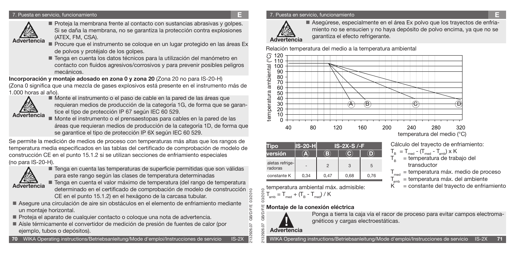#### 7. Puesta en servicio, funcionamiento **E**



Proteja la membrana frente al contacto con sustancias abrasivas y golpes. Si se daña la membrana, no se garantiza la protección contra explosiones (ATEX, FM, CSA). Advertencia (ATEX, FM, CSA).<br>**Advertencia** Procure que el instrumento se coloque en un lugar protegido en las áreas Ex **Advertencia** 

- de polvos y protéjalo de los golpes.
- Tenga en cuenta los datos técnicos para la utilización del manómetro en contacto con fluidos agresivos/corrosivos y para prevenir posibles peligros mecánicos.

**Incorporación y montaje adosado en zona 0 y zona 20** (Zona 20 no para IS-20-H) (Zona 0 significa que una mezcla de gases explosivos está presente en el instrumento más de 1.000 horas al año).



 Monte el instrumento o el paso de cable en la pared de las áreas que requieran medios de producción de la categoría 1G, de forma que se garantice el tipo de protección IP 67 según IEC 60 529.

 Monte el instrumento o el prensaestopas para cables en la pared de las áreas que requieran medios de producción de la categoría 1D, de forma que se garantice el tipo de protección IP 6X según IEC 60 529.

Se permite la medición de medios de proceso con temperaturas más altas que los rangos de temperatura media especificados en las tablas del certificado de comprobación de modelo de construcción CE en el punto 15.1.2 si se utilizan secciones de enfriamiento especiales (no para IS-20-H).



■ Tenga en cuenta las temperaturas de superficie permitidas que son válidas para este rango según las clases de temperatura determinadas

**Advertencia**

2132926.07 GB/D/F/E 03/2010 ■ Tenga en cuenta el valor máximo de temperatura (del rango de temperatura determinado en el certificado de comprobación de modelo de construcción CE en el punto 15.1.2) en el hexágono de la carcasa tubular.

- Asegure una circulación de aire sin obstáculos en el elemento de enfriamiento mediante un montaje horizontal.
- Proteja el aparato de cualquier contacto o coloque una nota de advertencia.
- Aísle térmicamente el convertidor de medición de presión de fuentes de calor (por ejemplo, tubos o depósitos).

#### 7. Puesta en servicio, funcionamiento **E**



 Asegúrese, especialmente en el área Ex polvo que los trayectos de enfriamiento no se ensucien y no haya depósito de polvo encima, ya que no se

Relación temperatura del medio a la temperatura ambiental



| ïpo                        | <b>S-20-H</b> | $IS-2X-S$ /-F  |      |      |  |  |
|----------------------------|---------------|----------------|------|------|--|--|
| versión                    | Δ.            | 13             |      |      |  |  |
| aletas refrige-<br>radoras |               | $\overline{2}$ | 3    | 5    |  |  |
| constante K                | 0,34          | 0,47           | 0,68 | 0,76 |  |  |

Cálculo del trayecto de enfriamiento:

- $T_B = T_{med} (T_{med} T_{amb}) \times K$  $T_B$  = temperatura de trabajo del transductor
- $T_{\text{med}}$  = temperatura máx. medio de proceso
- $T_{amb}$  = temperatura máx. del ambiente
- $K^{\cdots}$  = constante del travecto de enfriamiento

2132926.07 GB/D/F/E 03/2010 **Montaje de la conexión eléctrica** δ

 $T_{amb} = T_{med} + (T_B - T_{med}) / K$ 

temperatura ambiental máx. admisible:



010270

இ 26.07 26.

>Æ

Ponga a tierra la caja vía el racor de proceso para evitar campos electromagnéticos y cargas electroestáticas.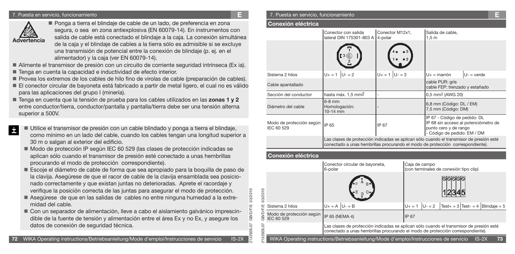#### 7. Puesta en servicio, funcionamiento **E** 7. Puesta en servicio, funcionamiento **E**



İ

■ Ponga a tierra el blindaje de cable de un lado, de preferencia en zona segura, o sea en zona antiexplosiva (EN 60079-14). En instrumentos con salida de cable está conectado el blindaje a la caja. La conexión simultánea de la caja y el blindaje de cables a la tierra sólo es admisible si se excluye una transmisión de potencial entre la conexión de blindaje (p. ej. en el alimentador) y la caja (ver EN 60079-14).

- Alimente el transmisor de presión con un circuito de corriente seguridad intrínseca (Ex ia).
- Tenga en cuenta la capacidad e inductividad de efecto interior.
- Provea los extremos de los cables de hilo fino de virolas de cable (preparación de cables).
- El conector circular de bayoneta está fabricado a partir de metal ligero, el cual no es válido para las aplicaciones del grupo I (minería).
- Tenga en cuenta que la tensión de prueba para los cables utilizados en las **zonas 1 y 2** entre conductor/tierra, conductor/pantalla y pantalla/tierra debe ser una tensión alterna superior a 500V.
	- Utilice el transmisor de presión con un cable blindado y ponga a tierra el blindaje, como mínimo en un lado del cable, cuando los cables tengan una longitud superior a 30 m o salgan al exterior del edificio.
	- Modo de protección IP según IEC 60 529 (las clases de protección indicadas se aplican sólo cuando el transmisor de presión esté conectado a unas hembrillas procurando el modo de protección correspondiente).
	- Escoje el diámetro de cable de forma que sea apropiado para la boquilla de paso de la clavija. Asegúrese de que el racor de cable de la clavija ensamblada sea posicionado correctamente y que existan juntas no deterioradas. Aprete el racordaje y verifique la posición correcta de las juntas para asegurar el modo de protección.
	- Asegúrese de que en las salidas de cables no entre ninguna humedad a la extremidad del cable.
	- Con un separador de alimentación, lleve a cabo el aislamiento galvánico imprescindible de la fuente de tensión y alimentación entre el área Ex y no Ex, y asegure los datos de conexión de seguridad técnica.

|                                        | Conector con salida<br>lateral DIN 175301-803 A                                                                                                                           | Conector M12x1,<br>4-polar | Salida de cable,<br>1,5m                                                             |                                      |  |
|----------------------------------------|---------------------------------------------------------------------------------------------------------------------------------------------------------------------------|----------------------------|--------------------------------------------------------------------------------------|--------------------------------------|--|
|                                        |                                                                                                                                                                           |                            |                                                                                      |                                      |  |
| Sistema 2 hilos                        | $U + = 1$<br>$U - 2$                                                                                                                                                      | $U_+ = 1  U_- = 3$         | $U_{+}$ = marrón                                                                     | $U -$ = verde                        |  |
| Cable apantallado                      |                                                                                                                                                                           |                            | cable PUR: gris<br>cable FEP: trenzado y estañado                                    |                                      |  |
| Sección del conductor                  | hasta máx. 1,5 mm <sup>2</sup>                                                                                                                                            |                            | 0,5 mm <sup>2</sup> (AWG 20)                                                         |                                      |  |
| Diámetro del cable                     | $6-8$ mm<br>Homologación:<br>10-14 mm                                                                                                                                     |                            | 6,8 mm (Código: DL / EM)<br>7,5 mm (Código: DM)                                      |                                      |  |
| Modo de protección según<br>IEC 60 529 | IP 65                                                                                                                                                                     | IP 67                      | IP 67 - Código de pedido: DL<br>punto cero y de rango<br>- Código de pedido: EM / DM | IP 68 sin acceso al potenciómetro de |  |
|                                        | Las clases de protección indicadas se aplican sólo cuando el transmisor de presión esté<br>conectado a unas hembrillas procurando el modo de protección correspondiente). |                            |                                                                                      |                                      |  |

### **Conexión eléctrica**

2132926.07 GB/D/F/E 03/2010

|            |                                                                                                        | Conector circular de bayoneta,<br>6-polar                                                                                                                                 | Caja de campo<br>(con terminales de conexión tipo clip)                         |  |  |  |
|------------|--------------------------------------------------------------------------------------------------------|---------------------------------------------------------------------------------------------------------------------------------------------------------------------------|---------------------------------------------------------------------------------|--|--|--|
| 03/2010    |                                                                                                        | B.                                                                                                                                                                        |                                                                                 |  |  |  |
|            | Sistema 2 hilos                                                                                        | $U + = A$ $U - = B$                                                                                                                                                       | $\text{Test} + 3 \text{Test} - 4 \text{Blindaje} = 5$<br>$ U - 2 $<br>$U + = 1$ |  |  |  |
| <b>GRE</b> | Modo de protección según   IP 65 (NEMA 4)<br>IEC 60 529                                                |                                                                                                                                                                           | IP 67                                                                           |  |  |  |
|            |                                                                                                        | Las clases de protección indicadas se aplican sólo cuando el transmisor de presión esté<br>conectado a unas hembrillas procurando el modo de protección correspondiente). |                                                                                 |  |  |  |
| 132926.    | 73<br>WIKA Operating instructions/Betriebsanleitung/Mode d'emploi/Instrucciones de servicio<br>$IS-2X$ |                                                                                                                                                                           |                                                                                 |  |  |  |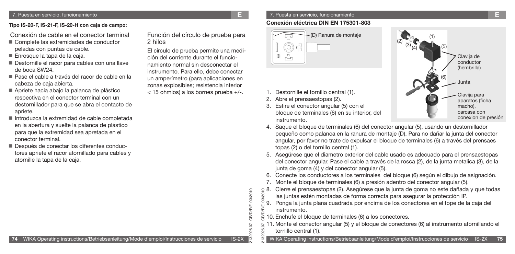**Tipo IS-20-F, IS-21-F, IS-20-H con caja de campo:**

- Conexión de cable en el conector terminal
- Complete las extremidades de conductor peladas con puntas de cable.
- Enrosque la tapa de la caja.
- Destornille el racor para cables con una llave de boca SW24.
- Pase el cable a través del racor de cable en la cabeza de caja abierta.
- Apriete hacia abajo la palanca de plástico respectiva en el conector terminal con un destornillador para que se abra el contacto de apriete.
- Introduzca la extremidad de cable completada en la abertura y suelte la palanca de plástico para que la extremidad sea apretada en el conector terminal.
- Después de conectar los diferentes conductores apriete el racor atornillado para cables y atornille la tapa de la caja.

Función del círculo de prueba para 2 hilos

El círculo de prueba permite una medición del corriente durante el funcionamiento normal sin desconectar el instrumento. Para ello, debe conectar un amperímetro (para aplicaciones en zonas explosibles; resistencia interior < 15 ohmios) a los bornes prueba +/-.

### 7. Puesta en servicio, funcionamiento **E**

### **Conexión eléctrica DIN EN 175301-803**



- 1. Destornille el tornillo central (1).
- 2. Abre el prensaestopas (2).

2132926.07 GB/D/F/E 03/2010

926.07

೫

**GB/D/F/E** 

03/2010

Щ

3. Estire el conector angular (5) con el bloque de terminales (6) en su interior, del instrumento.



- 4. Saque el bloque de terminales (6) del conector angular (5), usando un destornillador pequeño como palanca en la ranura de montaje (D). Para no dañar la junta del conector angular, por favor no trate de expulsar el bloque de terminales (6) a través del prensaes topas (2) o del tornillo central (1).
- 5. Asegúrese que el diametro exterior del cable usado es adecuado para el prensaestopas del conector angular. Pase el cable a través de la rosca (2), de la junta metalica (3), de la junta de goma (4) y del conector angular (5).
- 6. Conecte los conductores a los terminales del bloque (6) según el dibujo de asignación.
- 7. Monte el bloque de terminales (6) a presión adentro del conector angular (5).
- 2132926.07 GB/D/F/E 03/2010 8. Cierre el prensaestopas (2). Asegúrese que la junta de goma no este dañada y que todas las juntas estén montadas de forma correcta para asegurar la protección IP.
	- 9. Ponga la junta plana cuadrada por encima de los conectores en el tope de la caja del instrumento.
- 10. Enchufe el bloque de terminales (6) a los conectores.
- 11. Monte el conector angular (5) y el bloque de conectores (6) al instrumento atornillando el tornillo central (1). 329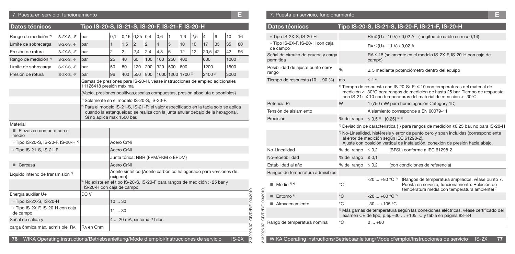### 7. Puesta en servicio, funcionamiento **E** 7. Puesta en servicio, funcionamiento **E**

| Datos técnicos                               |                                                                                                          | Tipo IS-20-S, IS-21-S, IS-20-F, IS-21-F, IS-20-H                                                                                                                                                               |                                    |            |                  |                |                |                   |                   |     |                                                                 |    |      |         |
|----------------------------------------------|----------------------------------------------------------------------------------------------------------|----------------------------------------------------------------------------------------------------------------------------------------------------------------------------------------------------------------|------------------------------------|------------|------------------|----------------|----------------|-------------------|-------------------|-----|-----------------------------------------------------------------|----|------|---------|
| Rango de medición *)                         | IS-2X-S, -F                                                                                              | bar                                                                                                                                                                                                            | 0,1                                |            | $0,16$ 0,25 0,4  |                | 0,6            | 1                 | 1,6               | 2,5 | $\overline{4}$                                                  | 6  | 10   | 16      |
| Límite de sobrecarga                         | IS-2X-S, -F                                                                                              | bar                                                                                                                                                                                                            | $\mathbf{1}$                       | 1,5        | $\sqrt{2}$       | $\overline{c}$ | $\overline{4}$ | 5                 | 10                | 10  | 17                                                              | 35 | 35   | 80      |
| Presión de rotura                            | IS-2X-S, -F                                                                                              | bar                                                                                                                                                                                                            | 2                                  | 2          | 2,4              | 2,4            | 4,8            | 6                 | 12                | 12  | 20,5                                                            | 42 | 42   | 96      |
| Rango de medición *)                         | IS-2X-S, -F                                                                                              | 25<br>40<br>60<br>100<br>160<br>250<br>400<br>600<br>bar                                                                                                                                                       |                                    |            |                  |                |                |                   | 1000 <sup>1</sup> |     |                                                                 |    |      |         |
| Límite de sobrecarga                         | $IS-2X-S. -F$                                                                                            | bar                                                                                                                                                                                                            | 50                                 | 80         | 120              | 200            | 320            | 500               | 800               |     | 1200                                                            |    | 1500 |         |
| Presión de rotura                            | $IS-2X-S. -F$                                                                                            | bar                                                                                                                                                                                                            | 96                                 | 400        | 550              | 800            |                | 1000 1200 1700 2) |                   |     | $2400^{2}$                                                      |    | 3000 |         |
|                                              | Gamas de presiones para IS-20-H, véase instrucciones de empleo adicionales<br>11126418 presión máxima    |                                                                                                                                                                                                                |                                    |            |                  |                |                |                   |                   |     |                                                                 |    |      |         |
|                                              |                                                                                                          | {Vacío, presiones positivas, escalas compuestas, presión absoluta disponibles}                                                                                                                                 |                                    |            |                  |                |                |                   |                   |     |                                                                 |    |      |         |
|                                              |                                                                                                          | <sup>1)</sup> Solamente en el modelo IS-20-S, IS-20-F.                                                                                                                                                         |                                    |            |                  |                |                |                   |                   |     |                                                                 |    |      |         |
|                                              |                                                                                                          | <sup>2)</sup> Para el modelo IS-21-S, IS-21-F: el valor especificado en la tabla solo se aplica<br>cuando la estangueidad se realiza con la junta anular debajo de la hexagonal.<br>Si no aplica max 1500 bar. |                                    |            |                  |                |                |                   |                   |     |                                                                 |    |      |         |
| Material                                     |                                                                                                          |                                                                                                                                                                                                                |                                    |            |                  |                |                |                   |                   |     |                                                                 |    |      |         |
| Piezas en contacto con el<br>medio           |                                                                                                          |                                                                                                                                                                                                                |                                    |            |                  |                |                |                   |                   |     |                                                                 |    |      |         |
| » Tipo IS-20-S, IS-20-F, IS-20-H *)          |                                                                                                          |                                                                                                                                                                                                                | Acero CrNi                         |            |                  |                |                |                   |                   |     |                                                                 |    |      |         |
| » Tipo IS-21-S, IS-21-F                      |                                                                                                          |                                                                                                                                                                                                                |                                    | Acero CrNi |                  |                |                |                   |                   |     |                                                                 |    |      |         |
|                                              |                                                                                                          |                                                                                                                                                                                                                | Junta tórica: NBR {FPM/FKM o EPDM} |            |                  |                |                |                   |                   |     |                                                                 |    |      |         |
| $\blacksquare$ Carcasa                       |                                                                                                          |                                                                                                                                                                                                                | Acero CrNi                         |            |                  |                |                |                   |                   |     |                                                                 |    |      |         |
| Líquido interno de transmisión 3)            |                                                                                                          |                                                                                                                                                                                                                | oxígeno}                           |            |                  |                |                |                   |                   |     | Aceite sintético {Aceite carbónico halogenado para versiones de |    |      |         |
|                                              | 3) No existe en el tipo IS-20-S, IS-20-F para rangos de medición > 25 bar y<br>IS-20-H con caja de campo |                                                                                                                                                                                                                |                                    |            |                  |                |                |                   |                   |     |                                                                 |    |      |         |
| Energía auxiliar U+                          |                                                                                                          | DC V                                                                                                                                                                                                           |                                    |            |                  |                |                |                   |                   |     |                                                                 |    |      |         |
| » Tipo IS-2X-S, IS-20-H                      |                                                                                                          | 1030                                                                                                                                                                                                           |                                    |            |                  |                |                |                   |                   |     |                                                                 |    |      |         |
| » Tipo IS-2X-F, IS-20-H con caja<br>de campo | 1130                                                                                                     |                                                                                                                                                                                                                |                                    |            | GB/D/F/E 03/2010 |                |                |                   |                   |     |                                                                 |    |      |         |
| Señal de salida y                            |                                                                                                          |                                                                                                                                                                                                                | 4  20 mA, sistema 2 hilos          |            |                  |                |                |                   |                   |     |                                                                 |    |      |         |
| carga óhmica máx. admisible RA               | RA en Ohm                                                                                                |                                                                                                                                                                                                                |                                    |            |                  |                |                |                   |                   |     |                                                                 |    |      |         |
|                                              | 2132926.07<br>WIKA Operating instructions/Betriebsanleitung/Mode d'emploi/Instrucciones de servicio      |                                                                                                                                                                                                                |                                    |            |                  |                |                |                   |                   |     |                                                                 |    |      |         |
| 76                                           |                                                                                                          |                                                                                                                                                                                                                |                                    |            |                  |                |                |                   |                   |     |                                                                 |    |      | $IS-2X$ |

| Datos técnicos                                   |             |                                                                                                 | Tipo IS-20-S, IS-21-S, IS-20-F, IS-21-F, IS-20-H                                                                                                                                                                                                   |  |  |
|--------------------------------------------------|-------------|-------------------------------------------------------------------------------------------------|----------------------------------------------------------------------------------------------------------------------------------------------------------------------------------------------------------------------------------------------------|--|--|
| » Tipo IS-2X-S, IS-20-H                          |             |                                                                                                 | $RA \leq (U + -10 V) / 0.02 A - (longitud de cable en m x 0.14)$                                                                                                                                                                                   |  |  |
| » Tipo IS-2X-F, IS-20-H con caja<br>de campo     |             | $RA \leq (U + -11 V) / 0.02 A$                                                                  |                                                                                                                                                                                                                                                    |  |  |
| Señal de circuito de prueba y carga<br>permitida |             | campo)                                                                                          | RA ≤ 15 (solamente en el modelo IS-2X-F, IS-20-H con caja de                                                                                                                                                                                       |  |  |
| Posibilidad de ajuste punto cero/<br>rango       | %           |                                                                                                 | ± 5 mediante potenciómetro dentro del equipo                                                                                                                                                                                                       |  |  |
| Tiempo de respuesta (10  90 %)                   | ms          | $\leq$ 1 4                                                                                      |                                                                                                                                                                                                                                                    |  |  |
|                                                  |             |                                                                                                 | <sup>4)</sup> Tiempo de respuesta con IS-20-S/-F: $\leq$ 10 con temperaturas del material de<br>medición < -30°C para rangos de medición de hasta 25 bar. Tiempo de respuesta<br>con IS-21: ≤ 10 con temperaturas del material de medición < -30°C |  |  |
| Potencia Pi                                      | W           |                                                                                                 | 1 (750 mW para homologación Category 1D)                                                                                                                                                                                                           |  |  |
| Tensión de aislamiento                           |             |                                                                                                 | Aislamiento corresponde a EN 60079-11                                                                                                                                                                                                              |  |  |
| Precisión                                        | % del rango | $\leq 0.5^{6}$ {0.25} <sup>5) 6)</sup>                                                          |                                                                                                                                                                                                                                                    |  |  |
|                                                  |             | <sup>5</sup> Deviación de característica { } para rangos de medición ≥0,25 bar, no para IS-20-H |                                                                                                                                                                                                                                                    |  |  |
|                                                  |             | al error de medición según IEC 61298-2).                                                        | <sup>6)</sup> No-Linealidad, histéresis y error de punto cero y span incluidas (correspondiente<br>Ajuste con posición vertical de instalación, conexión de presión hacia abajo.                                                                   |  |  |
| No-Linealidad                                    | % del rango | $\leq 0.2$                                                                                      | (BFSL) conforme a IEC 61298-2                                                                                                                                                                                                                      |  |  |
| No-repetibilidad                                 | % del rango | $\leq 0.1$                                                                                      |                                                                                                                                                                                                                                                    |  |  |
| Estabilidad al año                               | % del rango | $\leq 0.2$                                                                                      | (con condiciones de referencia)                                                                                                                                                                                                                    |  |  |
| Rangos de temperatura admisibles                 |             |                                                                                                 |                                                                                                                                                                                                                                                    |  |  |
| Medio $8x$<br>٠                                  | $^{\circ}C$ | $-20+80 °C$ <sup>7</sup>                                                                        | (Rangos de temperatura ampliados, véase punto 7.<br>Puesta en servicio, funcionamiento: Relación de<br>temperatura media con temperatura ambiente) <sup>7</sup>                                                                                    |  |  |
| Entorno $8$<br>■                                 | °C          | $-20+80 °C$ <sup>7</sup>                                                                        |                                                                                                                                                                                                                                                    |  |  |
| Almacenamiento                                   | $^{\circ}C$ | $-30+105$ °C                                                                                    |                                                                                                                                                                                                                                                    |  |  |
| 2132926.07 GB/D/F/E 03/2010                      |             |                                                                                                 | $\eta$ Más gamas de temperatura según las conexiones eléctricas, véase certificado del<br>examen CE de tipo, p.ej. -30  +105 °C y tabla en página 83+84                                                                                            |  |  |
| Rango de temperatura nominal                     | $^{\circ}C$ | $0+80$                                                                                          |                                                                                                                                                                                                                                                    |  |  |
|                                                  |             |                                                                                                 |                                                                                                                                                                                                                                                    |  |  |
|                                                  |             |                                                                                                 | WIKA Operating instructions/Betriebsanleitung/Mode d'emploi/Instrucciones de servicio<br>$IS-2X$<br>77                                                                                                                                             |  |  |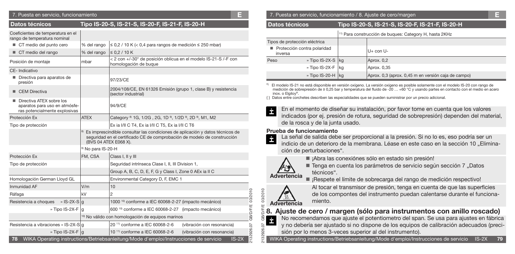#### 7. Puesta en servicio, funcionamiento **E**

| Tipo IS-20-S, IS-21-S, IS-20-F, IS-21-F, IS-20-H<br><b>Datos técnicos</b>                              |                                                   |                                                                                                                                                                         |  |  |
|--------------------------------------------------------------------------------------------------------|---------------------------------------------------|-------------------------------------------------------------------------------------------------------------------------------------------------------------------------|--|--|
| Coeficientes de temperatura en el<br>rango de temperatura nominal                                      |                                                   |                                                                                                                                                                         |  |  |
| CT medio del punto cero                                                                                | % del rango                                       | $\leq$ 0,2 / 10 K (< 0,4 para rangos de medición $\leq$ 250 mbar)                                                                                                       |  |  |
| CT medio del rango                                                                                     | % del rango                                       | $\leq 0.2 / 10 K$                                                                                                                                                       |  |  |
| Posición de montaje                                                                                    | mbar                                              | < 2 con +/-30° de posición oblicua en el modelo IS-21-S /-F con<br>homologación de buque                                                                                |  |  |
| CE-Indicativo                                                                                          |                                                   |                                                                                                                                                                         |  |  |
| Directiva para aparatos de<br>٠<br>presión                                                             |                                                   | 97/23/CE                                                                                                                                                                |  |  |
| $\blacksquare$ CEM Directiva                                                                           |                                                   | 2004/108/CE, EN 61326 Emisión (grupo 1, clase B) y resistencia<br>(sector industrial)                                                                                   |  |  |
| Directiva ATEX sobre los<br>aparatos para uso en atmósfe-<br>94/9/CE<br>ras potencialmente explosivas  |                                                   |                                                                                                                                                                         |  |  |
| Protección Ex                                                                                          | <b>ATEX</b>                                       | Category <sup>8</sup> 1G, 1/2G, 2G, 1D <sup>9</sup> , 1/2D <sup>9</sup> , 2D <sup>9</sup> , M1, M2                                                                      |  |  |
| Tipo de protección                                                                                     |                                                   | Ex ia I/II C T4, Ex ia I/II C T5, Ex ia I/II C T6                                                                                                                       |  |  |
|                                                                                                        | (BVS 04 ATEX E068 X).                             | <sup>8)</sup> Es imprescindible consultar las condiciones de aplicación y datos técnicos de<br>seguridad en el certificado CE de comprobación de modelo de construcción |  |  |
|                                                                                                        | <sup>9)</sup> No para IS-20-H                     |                                                                                                                                                                         |  |  |
| Protección Ex                                                                                          | FM, CSA                                           | Class I, II y III                                                                                                                                                       |  |  |
| Tipo de protección                                                                                     |                                                   | Sequridad intrínseca Clase I, II, III Division 1,                                                                                                                       |  |  |
|                                                                                                        |                                                   | Group A, B, C, D, E, F, G y Class I, Zone 0 AEx ia II C                                                                                                                 |  |  |
| Homologación German Lloyd GL                                                                           |                                                   | Environmental Category D, F, EMC 1                                                                                                                                      |  |  |
| Inmunidad AF                                                                                           | V/m                                               | 10                                                                                                                                                                      |  |  |
| Ráfaga                                                                                                 | kV                                                | 03/2010<br>$\overline{2}$                                                                                                                                               |  |  |
| Resistencia a choques<br>» $ S-2X-S g$                                                                 |                                                   | 1000 <sup>10</sup> conforme a IEC 60068-2-27 (impacto mecánico)                                                                                                         |  |  |
| » Tipo IS-2X-F                                                                                         | lg                                                | GB/D/F/E<br>600 <sup>10</sup> conforme a IEC 60068-2-27 (impacto mecánico)                                                                                              |  |  |
|                                                                                                        | 10) No válido con homologación de equipos marinos |                                                                                                                                                                         |  |  |
| Resistencia a vibraciones » IS-2X-S q                                                                  |                                                   | 20 <sup>11</sup> conforme a IEC 60068-2-6<br>(vibración con resonancia)                                                                                                 |  |  |
| » Tipo IS-2X-F q                                                                                       |                                                   | 2132926.07<br>10 <sup>11)</sup> conforme a IEC 60068-2-6<br>(vibración con resonancia)                                                                                  |  |  |
| WIKA Operating instructions/Betriebsanleitung/Mode d'emploi/Instrucciones de servicio<br>$IS-2X$<br>78 |                                                   |                                                                                                                                                                         |  |  |

#### 7. Puesta en servicio, funcionamiento / 8. Ajuste de cero/margen **E**

#### **Datos técnicos Tipo IS-20-S, IS-21-S, IS-20-F, IS-21-F, IS-20-H**

11) Para construcción de buques: Category H, hasta 2KHz

| Tipos de protección eléctrica<br>Protección contra polaridad<br>inversa |  |                                                     |
|-------------------------------------------------------------------------|--|-----------------------------------------------------|
|                                                                         |  | U+ con U-                                           |
| » Tipo IS-2X-S   kg<br>Peso                                             |  | Aprox. 0,2                                          |
| » Tipo IS-2X-F kg<br>» Tipo IS-20-H $\vert$ kg                          |  | Aprox. 0,35                                         |
|                                                                         |  | Aprox. 0,3 (aprox. 0,45 m en versión caja de campo) |

\*) El modelo IS-21 no está disponible en versión oxígeno. La versión oxígeno es posible solamente con el modelo IS-20 con rango de medición de sobrepresión de ≥ 0,25 bar y temperatura del fluido de -20 … +60 °C y usando partes en contacto con el medio en acero inox. o Elgiloy®.

{ } Datos entre corchetes describen las especialidades que se pueden suministrar por un precio adicional.

En el momento de diseñar su instalación, por favor tome en cuenta que los valores İ indicados (por ej. presión de rotura, seguridad de sobrepresión) dependen del material, de la rosca y de la junta usado.

#### **Prueba de funcionamiento**

La señal de salida debe ser proporcional a la presión. Si no lo es, eso podría ser un indicio de un deterioro de la membrana. Léase en este caso en la sección 10 . Eliminación de perturbaciones".



■ ¡Abra las conexiónes sólo en estado sin presión!

■ Tenga en cuenta los parámetros de servicio según sección 7 "Datos técnicos".

■ ¡Respete el límite de sobrecarga del rango de medición respectivo!



2132926.07 GB/D/F/E 03/2010

0103/2010

Al tocar el transmisor de presión, tenga en cuenta de que las superficies de los compontes del instrumento puedan calentarse durante el funcionamiento.

### **8. Ajuste de cero / margen (sólo para instrumentos con anillo roscado)**

No recomendamos que ajuste el potentiometro del span. Se usa para ajustes en fábrica İ y no debería ser ajustado si no dispone de los equipos de calibración adecuados (precisión por lo menos 3-veces superior al del instrumento).

WIKA Operating instructions/Betriebsanleitung/Mode d'emploi/Instrucciones de servicio IS-2X **79**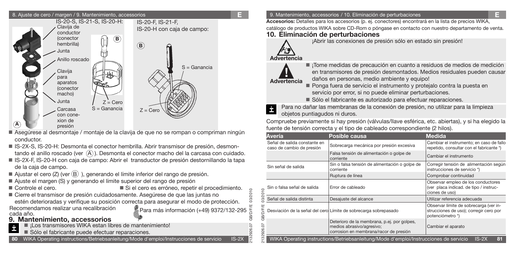### 8. Ajuste de cero / margen / 9. Mantenimiento, accessorios **E**



- Asegúrese al desmontaje / montaje de la clavija de que no se rompan o compriman ningún conductor.
- IS-2X-S, IS-20-H: Desmonta el conector hembrilla. Abrir transmisor de presión, desmontando el anillo roscado (ver  $(A)$ ). Desmonta el conector macho del la carcasa con cuidado.
- IS-2X-F, IS-20-H con caja de campo: Abrir el transductor de presión destornillando la tapa de la caja de campo.
- Ajustar el cero (Z) (ver  $(B)$ ), generando el límite inferior del rango de presión.
- Ajuste el margen (S) y generando el límite superior del rango de presión
- Controle el cero. Si el cero es erróneo, repetir el procedimiento.
- Recomendamos realizar una recalibración<br>cada año. Para más información (+49) 9372/132-295  $\frac{C}{6}$  Cierre el transmisor de presión cuidadosamente. Asegúrese de que las juntas no estén deterioradas y verifique su posición correcta para asegurar el modo de protección.

# **9. Mantenimiento, accessorios**

- $\blacksquare$  iLos transmisores WIKA estan libres de mantenimiento!
- Sólo el fabricante puede efectuar reparaciones.
- **80** WIKA Operating instructions/Betriebsanleitung/Mode d'emploi/Instrucciones de servicio IS-2X

### 9. Mantenimiento, accessorios / 10. Eliminación de perturbaciones **E**

**Accesorios:** Detalles para los accesorios (p. ej. conectores) encontrará en la lista de precios WIKA,

catálogo de productos WIKA sobre CD-Rom o póngase en contacto con nuestro departamento de venta. **10. Eliminación de perturbaciones**



¡Abrir las conexiones de presión sólo en estado sin presión!

# **Advertencia**



2132926.07 GB/D/F/E 03/2010

2132926.07 GB/D/F/E 03/2010

**GB/D/F/E** 

03/2010

■ ¡Tome medidas de precaución en cuanto a residuos de medios de medición en transmisores de presión desmontados. Medios residuales pueden causar daños en personas, medio ambiente y equipo!

- Ponga fuera de servicio el instrumento y protejalo contra la puesta en servicio por error, si no puede eliminar perturbaciones.
- Sólo el fabricante es autorizado para efectuar reparaciones.

Para no dañar las membranas de la conexión de presión, no utilizar para la limpieza objetos puntiagudos ni duros.

Compruebe previamente si hay presión (válvulas/llave esférica, etc. abiertas), y si ha elegido la fuente de tensión correcta y el tipo de cableado correspondiente (2 hilos).

| Avería                                                                                                 | Posible causa                                                                                                      | <b>Medida</b>                                                                                        |  |  |  |  |
|--------------------------------------------------------------------------------------------------------|--------------------------------------------------------------------------------------------------------------------|------------------------------------------------------------------------------------------------------|--|--|--|--|
| Señal de salida constante en<br>caso de cambio de presión                                              | Sobrecarga mecánica por presión excesiva                                                                           | Cambiar el instrumento; en caso de fallo<br>repetido, consultar con el fabricante *)                 |  |  |  |  |
|                                                                                                        | Falsa tensión de alimentación o golpe de<br>corriente                                                              | Cambiar el instrumento                                                                               |  |  |  |  |
| Sin señal de salida                                                                                    | Sin o falsa tensión de alimentación o golpe de<br>corriente                                                        | Corregir tensión de alimentación según<br>instrucciones de servicio *)                               |  |  |  |  |
|                                                                                                        | Ruptura de línea                                                                                                   | Comprobar continuidad                                                                                |  |  |  |  |
| Sin o falsa señal de salida                                                                            | Error de cableado                                                                                                  | Observar empleo de los conductores<br>(ver placa indicad. de tipo / instruc-<br>ciones de uso)       |  |  |  |  |
| Señal de salida distinta                                                                               | Desajuste del alcance                                                                                              | Utilizar referencia adecuada                                                                         |  |  |  |  |
|                                                                                                        | Desviación de la señal del cero Límite de sobrecarga sobrepasado                                                   | Observar límite de sobrecarga (ver in-<br>strucciones de uso); corregir cero por<br>potenciómetro *) |  |  |  |  |
|                                                                                                        | Deterioro de la membrana, p.ej. por golpes,<br>medios abrasivo/agresivo;<br>corrosion en membrana/racor de presión | Cambiar el aparato                                                                                   |  |  |  |  |
| WIKA Operating instructions/Betriebsanleitung/Mode d'emploi/Instrucciones de servicio<br>$IS-2X$<br>81 |                                                                                                                    |                                                                                                      |  |  |  |  |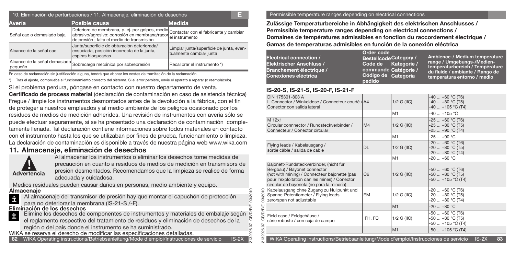| 10. Eliminación de perturbaciones / 11. Almacenaje, eliminación de desechos |                                                                                                                                                                                       |                                                                     |  |  |  |  |
|-----------------------------------------------------------------------------|---------------------------------------------------------------------------------------------------------------------------------------------------------------------------------------|---------------------------------------------------------------------|--|--|--|--|
| Avería<br>Posible causa                                                     | <b>Medida</b>                                                                                                                                                                         |                                                                     |  |  |  |  |
| Señal cae o demasiado baja                                                  | Deterioro de membrana, p. ej. por golpes, medio Contactar con el fabricante y cambiar<br>abrasivo/agresivo; corrosión en membrana/racor<br>de presión ; falta el medio de transmisión | lel instrumento                                                     |  |  |  |  |
| Alcance de la señal cae                                                     | Junta/superficie de obturación deteriorada/<br>ensuciada, posición incorrecta de la junta,<br>espiras bloqueadas                                                                      | Limpiar junta/superficie de junta, even-<br>tualmente cambiar junta |  |  |  |  |
| pequeño                                                                     | Alcance de la señal demasiado Sobrecarga mecánica por sobrepresión                                                                                                                    | Recalibrar el instrumento *)                                        |  |  |  |  |

En caso de reclamación sin justificación alguna, tendrá que abonar los costes de tramitación de la reclamación.

\*) Tras el ajuste, compruebe el funcionamiento correcto del sistema. Si el error persiste, envíe el aparato a reparar (o reemplácelo).

Si el problema perdura, póngase en contacto con nuestro departamento de venta.

**Certificado de process material** (declaración de contaminación en caso de asistencia técnica) Fregue / limpie los instrumentos desmontados antes de la devolución a la fábrica, con el fin de proteger a nuestros empleados y al medio ambiente de los peligros ocasionado por los residuos de medios de medición adheridos. Una revisión de instrumentos con avería sólo se puede efectuar seguramente, si se ha presentado una declaración de contaminación completamente llenada. Tal declaración contiene informaciones sobre todos materiales en contacto con el instrumento hasta los que se utilizaban por fines de prueba, funcionamiento o limpieza. La declaración de contaminación es disponible a través de nuestra página web www.wika.com

### **11. Almacenaje, eliminación de desechos**



Al almacenar los instrumentos o eliminar los desechos tome medidas de precaución en cuanto a residuos de medios de medición en transmisors de presión desmontados. Recomendamos que la limpieza se realice de forma adecuada y cuidadosa.

Medios residuales pueden causar daños en personas, medio ambiente y equipo.

#### **Almacenaje**

Al almacenaje del transmisor de presión hay que montar el capuchón de protección İ para no deteriorar la membrana (IS-21-S /-F).

Elimine los desechos de componentes de instrumentos y materiales de embalaje según **Eliminación de los desechos**

- el reglamento respectivo del tratamiento de residuos y eliminación de desechos de la región o del país donde el instrumento se ha suministrado.
- WIKA se reserva el derecho de modificar las especificaciones detalladas.

**82** WIKA Operating instructions/Betriebsanleitung/Mode d'emploi/Instrucciones de servicio IS-2X

#### Permissible temperature ranges depending on electrical connections

**Zulässige Temperaturbereiche in Abhängigkeit des elektrischen Anschlusses / Permissible temperature ranges depending on electrical connections / Domaines de températures admissibles en fonction du raccordement électrique / Gamas de temperaturas admisibles en función de la conexión eléctrica**

| Electrical connection /<br>Elektrischer Anschluss /<br>Branchement électrique /<br>Conexiones eléctrica | Order code<br>Bestellcode Category /<br>Code de Kategorie /<br>commande Catégorie /<br>Código de Categoría<br>pedido | Ambience-/ Medium temperature<br>range / Umgebungs-/Medien-<br>temperaturbereich / Température<br>du fluide / ambiante / Rango de b<br>temperatura entorno / medio |
|---------------------------------------------------------------------------------------------------------|----------------------------------------------------------------------------------------------------------------------|--------------------------------------------------------------------------------------------------------------------------------------------------------------------|
|---------------------------------------------------------------------------------------------------------|----------------------------------------------------------------------------------------------------------------------|--------------------------------------------------------------------------------------------------------------------------------------------------------------------|

### **IS-20-S, IS-21-S, IS-20-F, IS-21-F**

2132926.07 GB/D/F/E 03/2010

26

| DIN 175301-803 A<br>L-Connector / Winkeldose / Connecteur coudé / A4<br>Conector con salida lateral                                                                                                                    |                | $1/2$ G (IIC) | -40  +60 °C (T6)<br>$-40+80$ °C (T5)<br>$-40+105$ °C (T4)   |  |
|------------------------------------------------------------------------------------------------------------------------------------------------------------------------------------------------------------------------|----------------|---------------|-------------------------------------------------------------|--|
|                                                                                                                                                                                                                        |                | M1            | $-40+105$ °C                                                |  |
| M 12x1<br>Circular connnector / Rundsteckverbinder /<br>Connecteur / Conector circular                                                                                                                                 | M <sub>4</sub> | $1/2$ G (IIC) | -25  +60 °C (T6)<br>-25  +80 °C (T5)<br>-25  +90 °C (T4)    |  |
|                                                                                                                                                                                                                        |                | M1            | $-25+90 °C$                                                 |  |
| Flying leads / Kabelausgang /<br>sortie câble / salida de cable                                                                                                                                                        | <b>DL</b>      | $1/2$ G (IIC) | $-20+60$ °C (T6)<br>$-20+80$ °C (T5)<br>$-20$ $+80$ °C (T4) |  |
|                                                                                                                                                                                                                        |                | M1            | $-20+60 °C$                                                 |  |
| Bajonett-Rundsteckverbinder, (nicht für<br>Bergbau) / Bayonet connector<br>(not with mining) / Connecteur bajonette (pas<br>pour l'exploitation dan les mines) / Conector<br>circular de bayoneta (no para la minería) | C <sub>6</sub> | $1/2$ G (IIC) | -50  +60 °C (T6)<br>$-50+80$ °C (T5)<br>-50  +105 °C (T4)   |  |
| Kabelausgang ohne Zugang zu Nullpunkt und<br>ă<br>.<br>20<br>Spanne-Potentiometer / Flying leads<br>ജ<br>zero/span not adjustable                                                                                      | <b>EM</b>      | $1/2$ G (IIC) | -20  +60 °C (T6)<br>-20  +80 °C (T5)<br>-20  +80 °C (T4)    |  |
|                                                                                                                                                                                                                        |                | M1            | $-20+80$ °C                                                 |  |
| <b>B/D/F/E</b><br>Field case / Feldgehäuse /<br>ஶ<br>série robuste / con caja de campo                                                                                                                                 | FH, FC         | $1/2$ G (IIC) | -50  +60 °C (T6)<br>$-50+80$ °C (T5)<br>-50  +105 °C (T4)   |  |
| 2132926.07                                                                                                                                                                                                             |                | M1            | $-50+105$ °C (T4)                                           |  |
| $IS-2X$<br>83<br>WIKA Operating instructions/Betriebsanleitung/Mode d'emploi/Instrucciones de servicio                                                                                                                 |                |               |                                                             |  |